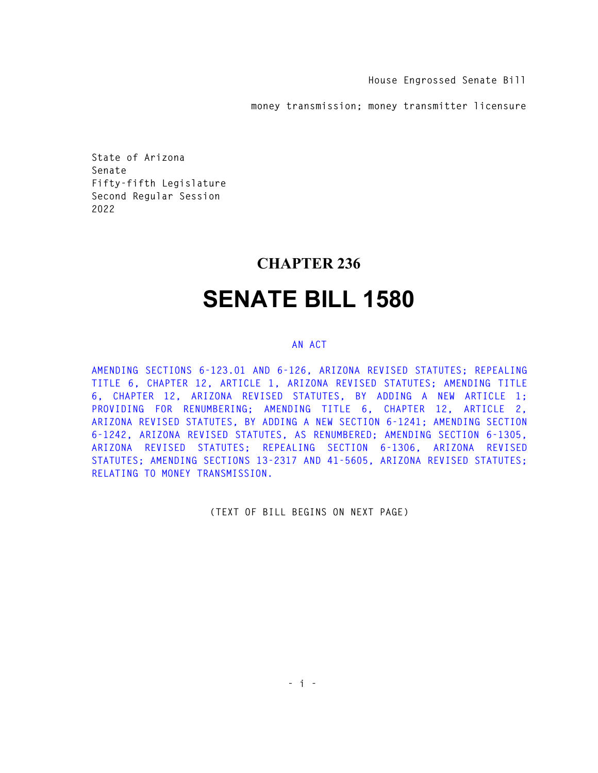**House Engrossed Senate Bill** 

**money transmission; money transmitter licensure** 

**State of Arizona Senate Fifty-fifth Legislature Second Regular Session 2022** 

## **CHAPTER 236**

## **SENATE BILL 1580**

## **AN ACT**

**AMENDING SECTIONS 6-123.01 AND 6-126, ARIZONA REVISED STATUTES; REPEALING TITLE 6, CHAPTER 12, ARTICLE 1, ARIZONA REVISED STATUTES; AMENDING TITLE 6, CHAPTER 12, ARIZONA REVISED STATUTES, BY ADDING A NEW ARTICLE 1; PROVIDING FOR RENUMBERING; AMENDING TITLE 6, CHAPTER 12, ARTICLE 2, ARIZONA REVISED STATUTES, BY ADDING A NEW SECTION 6-1241; AMENDING SECTION 6-1242, ARIZONA REVISED STATUTES, AS RENUMBERED; AMENDING SECTION 6-1305, ARIZONA REVISED STATUTES; REPEALING SECTION 6-1306, ARIZONA REVISED STATUTES; AMENDING SECTIONS 13-2317 AND 41-5605, ARIZONA REVISED STATUTES; RELATING TO MONEY TRANSMISSION.** 

**(TEXT OF BILL BEGINS ON NEXT PAGE)**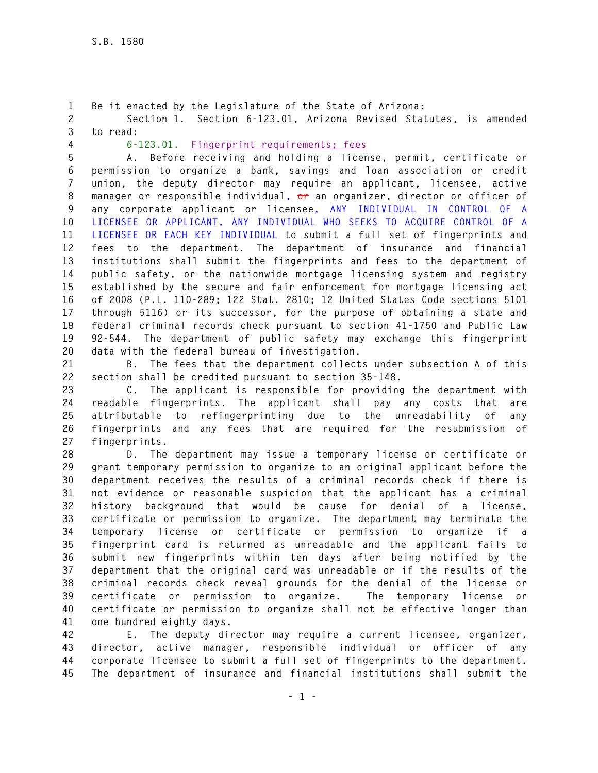**1 Be it enacted by the Legislature of the State of Arizona: 2 Section 1. Section 6-123.01, Arizona Revised Statutes, is amended 3 to read:** 

**4 6-123.01. Fingerprint requirements; fees**

**5 A. Before receiving and holding a license, permit, certificate or 6 permission to organize a bank, savings and loan association or credit 7 union, the deputy director may require an applicant, licensee, active 8 manager or responsible individual, or an organizer, director or officer of 9 any corporate applicant or licensee, ANY INDIVIDUAL IN CONTROL OF A 10 LICENSEE OR APPLICANT, ANY INDIVIDUAL WHO SEEKS TO ACQUIRE CONTROL OF A 11 LICENSEE OR EACH KEY INDIVIDUAL to submit a full set of fingerprints and 12 fees to the department. The department of insurance and financial 13 institutions shall submit the fingerprints and fees to the department of 14 public safety, or the nationwide mortgage licensing system and registry 15 established by the secure and fair enforcement for mortgage licensing act 16 of 2008 (P.L. 110-289; 122 Stat. 2810; 12 United States Code sections 5101 17 through 5116) or its successor, for the purpose of obtaining a state and 18 federal criminal records check pursuant to section 41-1750 and Public Law 19 92-544. The department of public safety may exchange this fingerprint 20 data with the federal bureau of investigation.** 

**21 B. The fees that the department collects under subsection A of this 22 section shall be credited pursuant to section 35-148.** 

**23 C. The applicant is responsible for providing the department with 24 readable fingerprints. The applicant shall pay any costs that are 25 attributable to refingerprinting due to the unreadability of any 26 fingerprints and any fees that are required for the resubmission of 27 fingerprints.** 

**28 D. The department may issue a temporary license or certificate or 29 grant temporary permission to organize to an original applicant before the 30 department receives the results of a criminal records check if there is 31 not evidence or reasonable suspicion that the applicant has a criminal 32 history background that would be cause for denial of a license, 33 certificate or permission to organize. The department may terminate the 34 temporary license or certificate or permission to organize if a 35 fingerprint card is returned as unreadable and the applicant fails to 36 submit new fingerprints within ten days after being notified by the 37 department that the original card was unreadable or if the results of the 38 criminal records check reveal grounds for the denial of the license or 39 certificate or permission to organize. The temporary license or 40 certificate or permission to organize shall not be effective longer than 41 one hundred eighty days.** 

**42 E. The deputy director may require a current licensee, organizer, 43 director, active manager, responsible individual or officer of any 44 corporate licensee to submit a full set of fingerprints to the department. 45 The department of insurance and financial institutions shall submit the**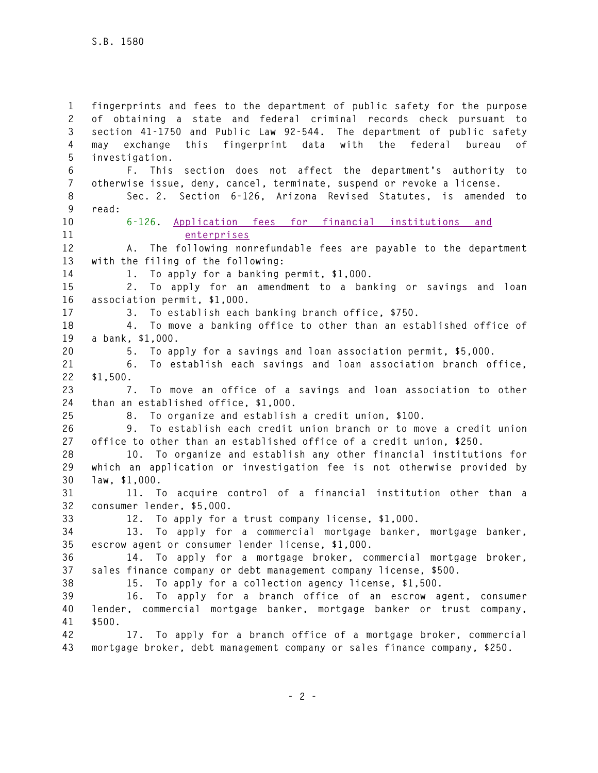**1 fingerprints and fees to the department of public safety for the purpose 2 of obtaining a state and federal criminal records check pursuant to 3 section 41-1750 and Public Law 92-544. The department of public safety 4 may exchange this fingerprint data with the federal bureau of 5 investigation. 6 F. This section does not affect the department's authority to 7 otherwise issue, deny, cancel, terminate, suspend or revoke a license. 8 Sec. 2. Section 6-126, Arizona Revised Statutes, is amended to 9 read: 10 6-126. Application fees for financial institutions and 11 enterprises 12 A. The following nonrefundable fees are payable to the department 13 with the filing of the following: 14 1. To apply for a banking permit, \$1,000. 15 2. To apply for an amendment to a banking or savings and loan 16 association permit, \$1,000. 17 3. To establish each banking branch office, \$750. 18 4. To move a banking office to other than an established office of 19 a bank, \$1,000. 20 5. To apply for a savings and loan association permit, \$5,000. 21 6. To establish each savings and loan association branch office, 22 \$1,500. 23 7. To move an office of a savings and loan association to other 24 than an established office, \$1,000. 25 8. To organize and establish a credit union, \$100. 26 9. To establish each credit union branch or to move a credit union 27 office to other than an established office of a credit union, \$250. 28 10. To organize and establish any other financial institutions for 29 which an application or investigation fee is not otherwise provided by 30 law, \$1,000. 31 11. To acquire control of a financial institution other than a 32 consumer lender, \$5,000. 33 12. To apply for a trust company license, \$1,000. 34 13. To apply for a commercial mortgage banker, mortgage banker, 35 escrow agent or consumer lender license, \$1,000. 36 14. To apply for a mortgage broker, commercial mortgage broker, 37 sales finance company or debt management company license, \$500. 38 15. To apply for a collection agency license, \$1,500. 39 16. To apply for a branch office of an escrow agent, consumer 40 lender, commercial mortgage banker, mortgage banker or trust company, 41 \$500. 42 17. To apply for a branch office of a mortgage broker, commercial 43 mortgage broker, debt management company or sales finance company, \$250.**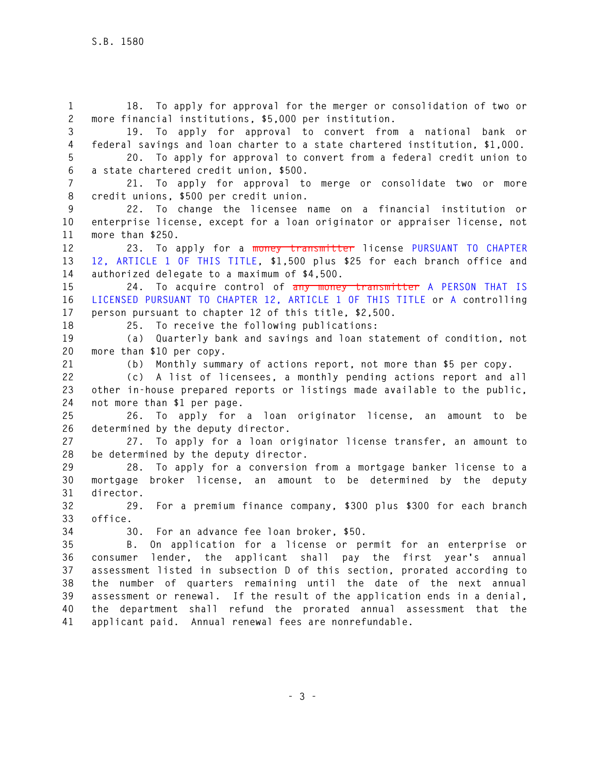**1 18. To apply for approval for the merger or consolidation of two or 2 more financial institutions, \$5,000 per institution. 3 19. To apply for approval to convert from a national bank or 4 federal savings and loan charter to a state chartered institution, \$1,000. 5 20. To apply for approval to convert from a federal credit union to 6 a state chartered credit union, \$500. 7 21. To apply for approval to merge or consolidate two or more 8 credit unions, \$500 per credit union. 9 22. To change the licensee name on a financial institution or 10 enterprise license, except for a loan originator or appraiser license, not 11 more than \$250. 12 23. To apply for a money transmitter license PURSUANT TO CHAPTER 13 12, ARTICLE 1 OF THIS TITLE, \$1,500 plus \$25 for each branch office and 14 authorized delegate to a maximum of \$4,500. 15 24. To acquire control of any money transmitter A PERSON THAT IS 16 LICENSED PURSUANT TO CHAPTER 12, ARTICLE 1 OF THIS TITLE or A controlling 17 person pursuant to chapter 12 of this title, \$2,500. 18 25. To receive the following publications: 19 (a) Quarterly bank and savings and loan statement of condition, not 20 more than \$10 per copy. 21 (b) Monthly summary of actions report, not more than \$5 per copy. 22 (c) A list of licensees, a monthly pending actions report and all 23 other in-house prepared reports or listings made available to the public, 24 not more than \$1 per page. 25 26. To apply for a loan originator license, an amount to be 26 determined by the deputy director. 27 27. To apply for a loan originator license transfer, an amount to 28 be determined by the deputy director. 29 28. To apply for a conversion from a mortgage banker license to a 30 mortgage broker license, an amount to be determined by the deputy 31 director. 32 29. For a premium finance company, \$300 plus \$300 for each branch 33 office. 34 30. For an advance fee loan broker, \$50. 35 B. On application for a license or permit for an enterprise or 36 consumer lender, the applicant shall pay the first year's annual 37 assessment listed in subsection D of this section, prorated according to 38 the number of quarters remaining until the date of the next annual 39 assessment or renewal. If the result of the application ends in a denial, 40 the department shall refund the prorated annual assessment that the 41 applicant paid. Annual renewal fees are nonrefundable.**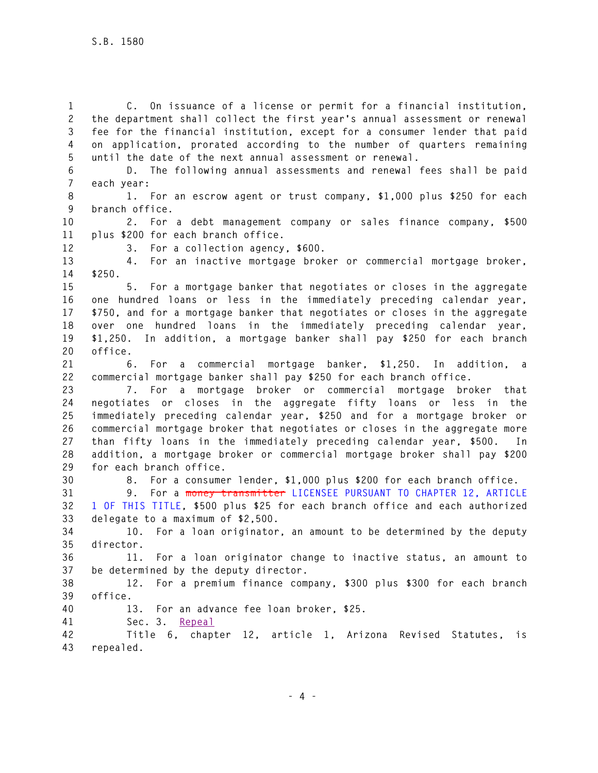**1 C. On issuance of a license or permit for a financial institution, 2 the department shall collect the first year's annual assessment or renewal 3 fee for the financial institution, except for a consumer lender that paid 4 on application, prorated according to the number of quarters remaining 5 until the date of the next annual assessment or renewal.** 

**6 D. The following annual assessments and renewal fees shall be paid 7 each year:** 

**8 1. For an escrow agent or trust company, \$1,000 plus \$250 for each 9 branch office.** 

**10 2. For a debt management company or sales finance company, \$500 11 plus \$200 for each branch office.** 

**12 3. For a collection agency, \$600.** 

**13 4. For an inactive mortgage broker or commercial mortgage broker, 14 \$250.** 

**15 5. For a mortgage banker that negotiates or closes in the aggregate 16 one hundred loans or less in the immediately preceding calendar year, 17 \$750, and for a mortgage banker that negotiates or closes in the aggregate 18 over one hundred loans in the immediately preceding calendar year, 19 \$1,250. In addition, a mortgage banker shall pay \$250 for each branch 20 office.** 

**21 6. For a commercial mortgage banker, \$1,250. In addition, a 22 commercial mortgage banker shall pay \$250 for each branch office.** 

**23 7. For a mortgage broker or commercial mortgage broker that 24 negotiates or closes in the aggregate fifty loans or less in the 25 immediately preceding calendar year, \$250 and for a mortgage broker or 26 commercial mortgage broker that negotiates or closes in the aggregate more 27 than fifty loans in the immediately preceding calendar year, \$500. In 28 addition, a mortgage broker or commercial mortgage broker shall pay \$200 29 for each branch office.** 

**30 8. For a consumer lender, \$1,000 plus \$200 for each branch office.** 

**31 9. For a money transmitter LICENSEE PURSUANT TO CHAPTER 12, ARTICLE 32 1 OF THIS TITLE, \$500 plus \$25 for each branch office and each authorized 33 delegate to a maximum of \$2,500.** 

**34 10. For a loan originator, an amount to be determined by the deputy 35 director.** 

**36 11. For a loan originator change to inactive status, an amount to 37 be determined by the deputy director.** 

**38 12. For a premium finance company, \$300 plus \$300 for each branch 39 office.** 

**40 13. For an advance fee loan broker, \$25.** 

**41 Sec. 3. Repeal**

**42 Title 6, chapter 12, article 1, Arizona Revised Statutes, is 43 repealed.**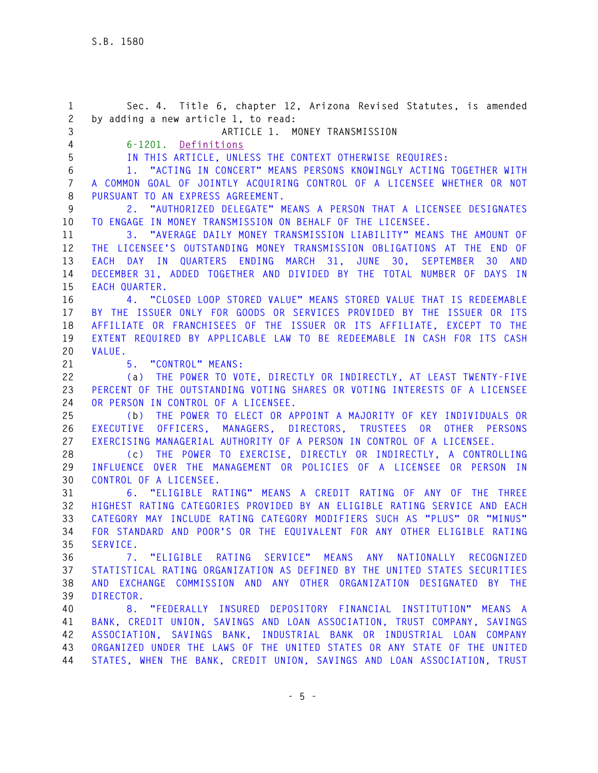**1 Sec. 4. Title 6, chapter 12, Arizona Revised Statutes, is amended 2 by adding a new article 1, to read: 3 ARTICLE 1. MONEY TRANSMISSION 4 6-1201. Definitions 5 IN THIS ARTICLE, UNLESS THE CONTEXT OTHERWISE REQUIRES: 6 1. "ACTING IN CONCERT" MEANS PERSONS KNOWINGLY ACTING TOGETHER WITH 7 A COMMON GOAL OF JOINTLY ACQUIRING CONTROL OF A LICENSEE WHETHER OR NOT 8 PURSUANT TO AN EXPRESS AGREEMENT. 9 2. "AUTHORIZED DELEGATE" MEANS A PERSON THAT A LICENSEE DESIGNATES 10 TO ENGAGE IN MONEY TRANSMISSION ON BEHALF OF THE LICENSEE. 11 3. "AVERAGE DAILY MONEY TRANSMISSION LIABILITY" MEANS THE AMOUNT OF 12 THE LICENSEE'S OUTSTANDING MONEY TRANSMISSION OBLIGATIONS AT THE END OF 13 EACH DAY IN QUARTERS ENDING MARCH 31, JUNE 30, SEPTEMBER 30 AND 14 DECEMBER 31, ADDED TOGETHER AND DIVIDED BY THE TOTAL NUMBER OF DAYS IN 15 EACH QUARTER. 16 4. "CLOSED LOOP STORED VALUE" MEANS STORED VALUE THAT IS REDEEMABLE 17 BY THE ISSUER ONLY FOR GOODS OR SERVICES PROVIDED BY THE ISSUER OR ITS 18 AFFILIATE OR FRANCHISEES OF THE ISSUER OR ITS AFFILIATE, EXCEPT TO THE 19 EXTENT REQUIRED BY APPLICABLE LAW TO BE REDEEMABLE IN CASH FOR ITS CASH 20 VALUE. 21 5. "CONTROL" MEANS: 22 (a) THE POWER TO VOTE, DIRECTLY OR INDIRECTLY, AT LEAST TWENTY-FIVE 23 PERCENT OF THE OUTSTANDING VOTING SHARES OR VOTING INTERESTS OF A LICENSEE 24 OR PERSON IN CONTROL OF A LICENSEE. 25 (b) THE POWER TO ELECT OR APPOINT A MAJORITY OF KEY INDIVIDUALS OR 26 EXECUTIVE OFFICERS, MANAGERS, DIRECTORS, TRUSTEES OR OTHER PERSONS 27 EXERCISING MANAGERIAL AUTHORITY OF A PERSON IN CONTROL OF A LICENSEE. 28 (c) THE POWER TO EXERCISE, DIRECTLY OR INDIRECTLY, A CONTROLLING 29 INFLUENCE OVER THE MANAGEMENT OR POLICIES OF A LICENSEE OR PERSON IN 30 CONTROL OF A LICENSEE. 31 6. "ELIGIBLE RATING" MEANS A CREDIT RATING OF ANY OF THE THREE 32 HIGHEST RATING CATEGORIES PROVIDED BY AN ELIGIBLE RATING SERVICE AND EACH 33 CATEGORY MAY INCLUDE RATING CATEGORY MODIFIERS SUCH AS "PLUS" OR "MINUS" 34 FOR STANDARD AND POOR'S OR THE EQUIVALENT FOR ANY OTHER ELIGIBLE RATING 35 SERVICE. 36 7. "ELIGIBLE RATING SERVICE" MEANS ANY NATIONALLY RECOGNIZED 37 STATISTICAL RATING ORGANIZATION AS DEFINED BY THE UNITED STATES SECURITIES 38 AND EXCHANGE COMMISSION AND ANY OTHER ORGANIZATION DESIGNATED BY THE 39 DIRECTOR. 40 8. "FEDERALLY INSURED DEPOSITORY FINANCIAL INSTITUTION" MEANS A 41 BANK, CREDIT UNION, SAVINGS AND LOAN ASSOCIATION, TRUST COMPANY, SAVINGS 42 ASSOCIATION, SAVINGS BANK, INDUSTRIAL BANK OR INDUSTRIAL LOAN COMPANY 43 ORGANIZED UNDER THE LAWS OF THE UNITED STATES OR ANY STATE OF THE UNITED 44 STATES, WHEN THE BANK, CREDIT UNION, SAVINGS AND LOAN ASSOCIATION, TRUST**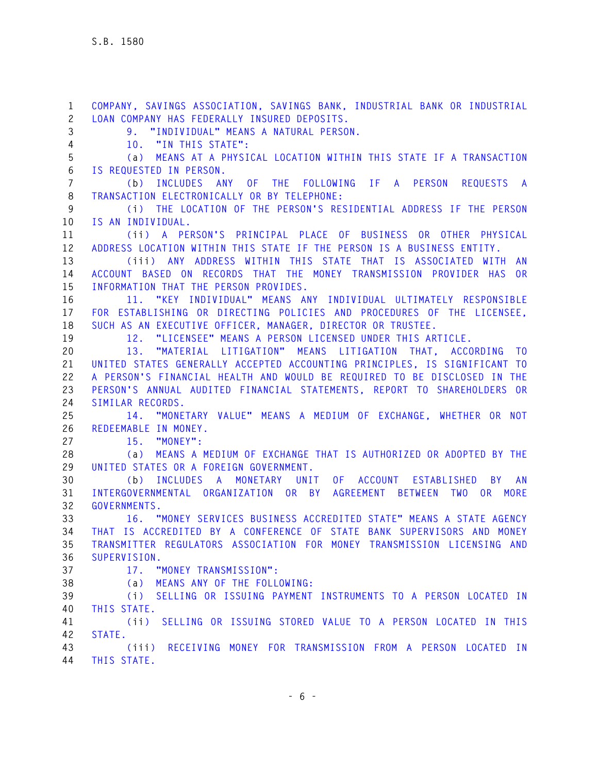**1 COMPANY, SAVINGS ASSOCIATION, SAVINGS BANK, INDUSTRIAL BANK OR INDUSTRIAL 2 LOAN COMPANY HAS FEDERALLY INSURED DEPOSITS. 3 9. "INDIVIDUAL" MEANS A NATURAL PERSON. 4 10. "IN THIS STATE": 5 (a) MEANS AT A PHYSICAL LOCATION WITHIN THIS STATE IF A TRANSACTION 6 IS REQUESTED IN PERSON. 7 (b) INCLUDES ANY OF THE FOLLOWING IF A PERSON REQUESTS A 8 TRANSACTION ELECTRONICALLY OR BY TELEPHONE: 9 (i) THE LOCATION OF THE PERSON'S RESIDENTIAL ADDRESS IF THE PERSON 10 IS AN INDIVIDUAL. 11 (ii) A PERSON'S PRINCIPAL PLACE OF BUSINESS OR OTHER PHYSICAL 12 ADDRESS LOCATION WITHIN THIS STATE IF THE PERSON IS A BUSINESS ENTITY. 13 (iii) ANY ADDRESS WITHIN THIS STATE THAT IS ASSOCIATED WITH AN 14 ACCOUNT BASED ON RECORDS THAT THE MONEY TRANSMISSION PROVIDER HAS OR 15 INFORMATION THAT THE PERSON PROVIDES. 16 11. "KEY INDIVIDUAL" MEANS ANY INDIVIDUAL ULTIMATELY RESPONSIBLE 17 FOR ESTABLISHING OR DIRECTING POLICIES AND PROCEDURES OF THE LICENSEE, 18 SUCH AS AN EXECUTIVE OFFICER, MANAGER, DIRECTOR OR TRUSTEE. 19 12. "LICENSEE" MEANS A PERSON LICENSED UNDER THIS ARTICLE. 20 13. "MATERIAL LITIGATION" MEANS LITIGATION THAT, ACCORDING TO 21 UNITED STATES GENERALLY ACCEPTED ACCOUNTING PRINCIPLES, IS SIGNIFICANT TO 22 A PERSON'S FINANCIAL HEALTH AND WOULD BE REQUIRED TO BE DISCLOSED IN THE 23 PERSON'S ANNUAL AUDITED FINANCIAL STATEMENTS, REPORT TO SHAREHOLDERS OR 24 SIMILAR RECORDS. 25 14. "MONETARY VALUE" MEANS A MEDIUM OF EXCHANGE, WHETHER OR NOT 26 REDEEMABLE IN MONEY. 27 15. "MONEY": 28 (a) MEANS A MEDIUM OF EXCHANGE THAT IS AUTHORIZED OR ADOPTED BY THE 29 UNITED STATES OR A FOREIGN GOVERNMENT. 30 (b) INCLUDES A MONETARY UNIT OF ACCOUNT ESTABLISHED BY AN 31 INTERGOVERNMENTAL ORGANIZATION OR BY AGREEMENT BETWEEN TWO OR MORE 32 GOVERNMENTS. 33 16. "MONEY SERVICES BUSINESS ACCREDITED STATE" MEANS A STATE AGENCY 34 THAT IS ACCREDITED BY A CONFERENCE OF STATE BANK SUPERVISORS AND MONEY 35 TRANSMITTER REGULATORS ASSOCIATION FOR MONEY TRANSMISSION LICENSING AND 36 SUPERVISION. 37 17. "MONEY TRANSMISSION": 38 (a) MEANS ANY OF THE FOLLOWING: 39 (i) SELLING OR ISSUING PAYMENT INSTRUMENTS TO A PERSON LOCATED IN 40 THIS STATE. 41 (ii) SELLING OR ISSUING STORED VALUE TO A PERSON LOCATED IN THIS 42 STATE. 43 (iii) RECEIVING MONEY FOR TRANSMISSION FROM A PERSON LOCATED IN 44 THIS STATE.**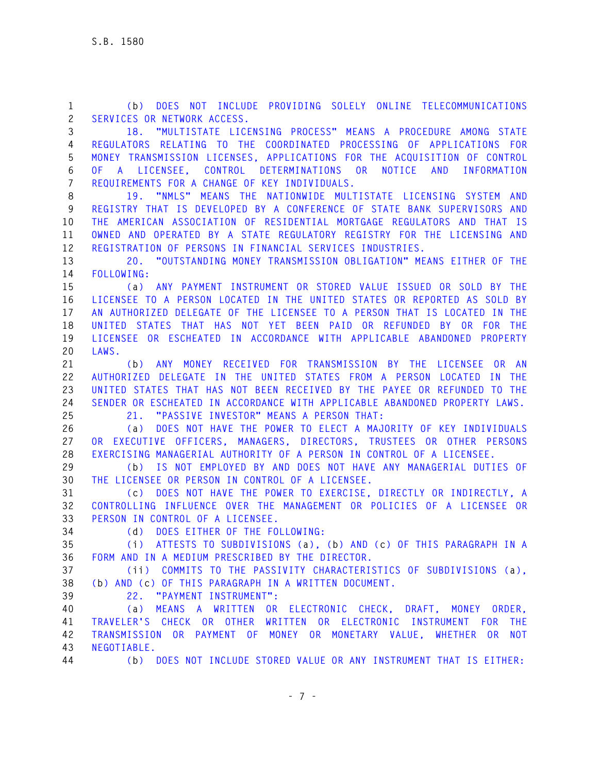**1 (b) DOES NOT INCLUDE PROVIDING SOLELY ONLINE TELECOMMUNICATIONS 2 SERVICES OR NETWORK ACCESS. 3 18. "MULTISTATE LICENSING PROCESS" MEANS A PROCEDURE AMONG STATE 4 REGULATORS RELATING TO THE COORDINATED PROCESSING OF APPLICATIONS FOR 5 MONEY TRANSMISSION LICENSES, APPLICATIONS FOR THE ACQUISITION OF CONTROL 6 OF A LICENSEE, CONTROL DETERMINATIONS OR NOTICE AND INFORMATION 7 REQUIREMENTS FOR A CHANGE OF KEY INDIVIDUALS. 8 19. "NMLS" MEANS THE NATIONWIDE MULTISTATE LICENSING SYSTEM AND 9 REGISTRY THAT IS DEVELOPED BY A CONFERENCE OF STATE BANK SUPERVISORS AND 10 THE AMERICAN ASSOCIATION OF RESIDENTIAL MORTGAGE REGULATORS AND THAT IS 11 OWNED AND OPERATED BY A STATE REGULATORY REGISTRY FOR THE LICENSING AND 12 REGISTRATION OF PERSONS IN FINANCIAL SERVICES INDUSTRIES. 13 20. "OUTSTANDING MONEY TRANSMISSION OBLIGATION" MEANS EITHER OF THE 14 FOLLOWING: 15 (a) ANY PAYMENT INSTRUMENT OR STORED VALUE ISSUED OR SOLD BY THE 16 LICENSEE TO A PERSON LOCATED IN THE UNITED STATES OR REPORTED AS SOLD BY 17 AN AUTHORIZED DELEGATE OF THE LICENSEE TO A PERSON THAT IS LOCATED IN THE 18 UNITED STATES THAT HAS NOT YET BEEN PAID OR REFUNDED BY OR FOR THE 19 LICENSEE OR ESCHEATED IN ACCORDANCE WITH APPLICABLE ABANDONED PROPERTY 20 LAWS. 21 (b) ANY MONEY RECEIVED FOR TRANSMISSION BY THE LICENSEE OR AN 22 AUTHORIZED DELEGATE IN THE UNITED STATES FROM A PERSON LOCATED IN THE 23 UNITED STATES THAT HAS NOT BEEN RECEIVED BY THE PAYEE OR REFUNDED TO THE 24 SENDER OR ESCHEATED IN ACCORDANCE WITH APPLICABLE ABANDONED PROPERTY LAWS. 25 21. "PASSIVE INVESTOR" MEANS A PERSON THAT: 26 (a) DOES NOT HAVE THE POWER TO ELECT A MAJORITY OF KEY INDIVIDUALS 27 OR EXECUTIVE OFFICERS, MANAGERS, DIRECTORS, TRUSTEES OR OTHER PERSONS 28 EXERCISING MANAGERIAL AUTHORITY OF A PERSON IN CONTROL OF A LICENSEE. 29 (b) IS NOT EMPLOYED BY AND DOES NOT HAVE ANY MANAGERIAL DUTIES OF 30 THE LICENSEE OR PERSON IN CONTROL OF A LICENSEE. 31 (c) DOES NOT HAVE THE POWER TO EXERCISE, DIRECTLY OR INDIRECTLY, A 32 CONTROLLING INFLUENCE OVER THE MANAGEMENT OR POLICIES OF A LICENSEE OR 33 PERSON IN CONTROL OF A LICENSEE. 34 (d) DOES EITHER OF THE FOLLOWING: 35 (i) ATTESTS TO SUBDIVISIONS (a), (b) AND (c) OF THIS PARAGRAPH IN A 36 FORM AND IN A MEDIUM PRESCRIBED BY THE DIRECTOR. 37 (ii) COMMITS TO THE PASSIVITY CHARACTERISTICS OF SUBDIVISIONS (a), 38 (b) AND (c) OF THIS PARAGRAPH IN A WRITTEN DOCUMENT. 39 22. "PAYMENT INSTRUMENT": 40 (a) MEANS A WRITTEN OR ELECTRONIC CHECK, DRAFT, MONEY ORDER, 41 TRAVELER'S CHECK OR OTHER WRITTEN OR ELECTRONIC INSTRUMENT FOR THE 42 TRANSMISSION OR PAYMENT OF MONEY OR MONETARY VALUE, WHETHER OR NOT 43 NEGOTIABLE.**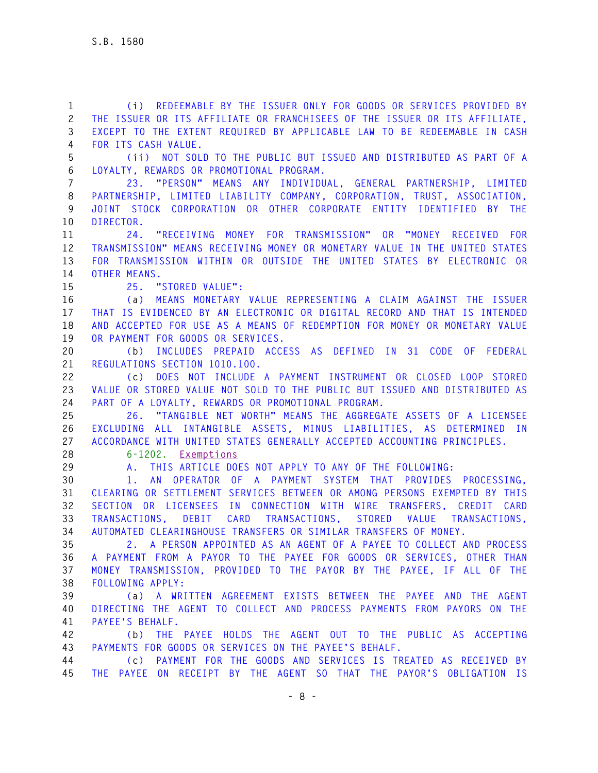**1 (i) REDEEMABLE BY THE ISSUER ONLY FOR GOODS OR SERVICES PROVIDED BY 2 THE ISSUER OR ITS AFFILIATE OR FRANCHISEES OF THE ISSUER OR ITS AFFILIATE, 3 EXCEPT TO THE EXTENT REQUIRED BY APPLICABLE LAW TO BE REDEEMABLE IN CASH 4 FOR ITS CASH VALUE. 5 (ii) NOT SOLD TO THE PUBLIC BUT ISSUED AND DISTRIBUTED AS PART OF A 6 LOYALTY, REWARDS OR PROMOTIONAL PROGRAM. 7 23. "PERSON" MEANS ANY INDIVIDUAL, GENERAL PARTNERSHIP, LIMITED 8 PARTNERSHIP, LIMITED LIABILITY COMPANY, CORPORATION, TRUST, ASSOCIATION, 9 JOINT STOCK CORPORATION OR OTHER CORPORATE ENTITY IDENTIFIED BY THE 10 DIRECTOR. 11 24. "RECEIVING MONEY FOR TRANSMISSION" OR "MONEY RECEIVED FOR 12 TRANSMISSION" MEANS RECEIVING MONEY OR MONETARY VALUE IN THE UNITED STATES 13 FOR TRANSMISSION WITHIN OR OUTSIDE THE UNITED STATES BY ELECTRONIC OR 14 OTHER MEANS. 15 25. "STORED VALUE": 16 (a) MEANS MONETARY VALUE REPRESENTING A CLAIM AGAINST THE ISSUER 17 THAT IS EVIDENCED BY AN ELECTRONIC OR DIGITAL RECORD AND THAT IS INTENDED 18 AND ACCEPTED FOR USE AS A MEANS OF REDEMPTION FOR MONEY OR MONETARY VALUE 19 OR PAYMENT FOR GOODS OR SERVICES. 20 (b) INCLUDES PREPAID ACCESS AS DEFINED IN 31 CODE OF FEDERAL 21 REGULATIONS SECTION 1010.100. 22 (c) DOES NOT INCLUDE A PAYMENT INSTRUMENT OR CLOSED LOOP STORED 23 VALUE OR STORED VALUE NOT SOLD TO THE PUBLIC BUT ISSUED AND DISTRIBUTED AS 24 PART OF A LOYALTY, REWARDS OR PROMOTIONAL PROGRAM. 25 26. "TANGIBLE NET WORTH" MEANS THE AGGREGATE ASSETS OF A LICENSEE 26 EXCLUDING ALL INTANGIBLE ASSETS, MINUS LIABILITIES, AS DETERMINED IN 27 ACCORDANCE WITH UNITED STATES GENERALLY ACCEPTED ACCOUNTING PRINCIPLES. 28 6-1202. Exemptions 29 A. THIS ARTICLE DOES NOT APPLY TO ANY OF THE FOLLOWING: 30 1. AN OPERATOR OF A PAYMENT SYSTEM THAT PROVIDES PROCESSING, 31 CLEARING OR SETTLEMENT SERVICES BETWEEN OR AMONG PERSONS EXEMPTED BY THIS 32 SECTION OR LICENSEES IN CONNECTION WITH WIRE TRANSFERS, CREDIT CARD 33 TRANSACTIONS, DEBIT CARD TRANSACTIONS, STORED VALUE TRANSACTIONS, 34 AUTOMATED CLEARINGHOUSE TRANSFERS OR SIMILAR TRANSFERS OF MONEY. 35 2. A PERSON APPOINTED AS AN AGENT OF A PAYEE TO COLLECT AND PROCESS 36 A PAYMENT FROM A PAYOR TO THE PAYEE FOR GOODS OR SERVICES, OTHER THAN 37 MONEY TRANSMISSION, PROVIDED TO THE PAYOR BY THE PAYEE, IF ALL OF THE 38 FOLLOWING APPLY: 39 (a) A WRITTEN AGREEMENT EXISTS BETWEEN THE PAYEE AND THE AGENT 40 DIRECTING THE AGENT TO COLLECT AND PROCESS PAYMENTS FROM PAYORS ON THE 41 PAYEE'S BEHALF. 42 (b) THE PAYEE HOLDS THE AGENT OUT TO THE PUBLIC AS ACCEPTING 43 PAYMENTS FOR GOODS OR SERVICES ON THE PAYEE'S BEHALF. 44 (c) PAYMENT FOR THE GOODS AND SERVICES IS TREATED AS RECEIVED BY 45 THE PAYEE ON RECEIPT BY THE AGENT SO THAT THE PAYOR'S OBLIGATION IS**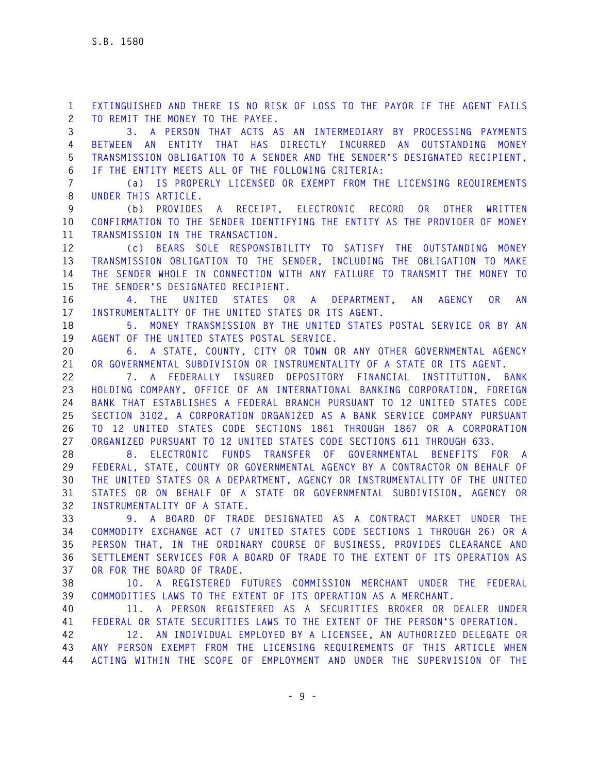**2 TO REMIT THE MONEY TO THE PAYEE. 3 3. A PERSON THAT ACTS AS AN INTERMEDIARY BY PROCESSING PAYMENTS 4 BETWEEN AN ENTITY THAT HAS DIRECTLY INCURRED AN OUTSTANDING MONEY 5 TRANSMISSION OBLIGATION TO A SENDER AND THE SENDER'S DESIGNATED RECIPIENT, 6 IF THE ENTITY MEETS ALL OF THE FOLLOWING CRITERIA: 7 (a) IS PROPERLY LICENSED OR EXEMPT FROM THE LICENSING REQUIREMENTS 8 UNDER THIS ARTICLE. 9 (b) PROVIDES A RECEIPT, ELECTRONIC RECORD OR OTHER WRITTEN 10 CONFIRMATION TO THE SENDER IDENTIFYING THE ENTITY AS THE PROVIDER OF MONEY 11 TRANSMISSION IN THE TRANSACTION. 12 (c) BEARS SOLE RESPONSIBILITY TO SATISFY THE OUTSTANDING MONEY 13 TRANSMISSION OBLIGATION TO THE SENDER, INCLUDING THE OBLIGATION TO MAKE 14 THE SENDER WHOLE IN CONNECTION WITH ANY FAILURE TO TRANSMIT THE MONEY TO 15 THE SENDER'S DESIGNATED RECIPIENT. 16 4. THE UNITED STATES OR A DEPARTMENT, AN AGENCY OR AN 17 INSTRUMENTALITY OF THE UNITED STATES OR ITS AGENT. 18 5. MONEY TRANSMISSION BY THE UNITED STATES POSTAL SERVICE OR BY AN 19 AGENT OF THE UNITED STATES POSTAL SERVICE. 20 6. A STATE, COUNTY, CITY OR TOWN OR ANY OTHER GOVERNMENTAL AGENCY 21 OR GOVERNMENTAL SUBDIVISION OR INSTRUMENTALITY OF A STATE OR ITS AGENT. 22 7. A FEDERALLY INSURED DEPOSITORY FINANCIAL INSTITUTION, BANK 23 HOLDING COMPANY, OFFICE OF AN INTERNATIONAL BANKING CORPORATION, FOREIGN 24 BANK THAT ESTABLISHES A FEDERAL BRANCH PURSUANT TO 12 UNITED STATES CODE 25 SECTION 3102, A CORPORATION ORGANIZED AS A BANK SERVICE COMPANY PURSUANT 26 TO 12 UNITED STATES CODE SECTIONS 1861 THROUGH 1867 OR A CORPORATION 27 ORGANIZED PURSUANT TO 12 UNITED STATES CODE SECTIONS 611 THROUGH 633. 28 8. ELECTRONIC FUNDS TRANSFER OF GOVERNMENTAL BENEFITS FOR A 29 FEDERAL, STATE, COUNTY OR GOVERNMENTAL AGENCY BY A CONTRACTOR ON BEHALF OF 30 THE UNITED STATES OR A DEPARTMENT, AGENCY OR INSTRUMENTALITY OF THE UNITED 31 STATES OR ON BEHALF OF A STATE OR GOVERNMENTAL SUBDIVISION, AGENCY OR 32 INSTRUMENTALITY OF A STATE. 33 9. A BOARD OF TRADE DESIGNATED AS A CONTRACT MARKET UNDER THE 34 COMMODITY EXCHANGE ACT (7 UNITED STATES CODE SECTIONS 1 THROUGH 26) OR A 35 PERSON THAT, IN THE ORDINARY COURSE OF BUSINESS, PROVIDES CLEARANCE AND 36 SETTLEMENT SERVICES FOR A BOARD OF TRADE TO THE EXTENT OF ITS OPERATION AS 37 OR FOR THE BOARD OF TRADE.** 

**1 EXTINGUISHED AND THERE IS NO RISK OF LOSS TO THE PAYOR IF THE AGENT FAILS** 

**38 10. A REGISTERED FUTURES COMMISSION MERCHANT UNDER THE FEDERAL 39 COMMODITIES LAWS TO THE EXTENT OF ITS OPERATION AS A MERCHANT.** 

**40 11. A PERSON REGISTERED AS A SECURITIES BROKER OR DEALER UNDER 41 FEDERAL OR STATE SECURITIES LAWS TO THE EXTENT OF THE PERSON'S OPERATION.** 

**42 12. AN INDIVIDUAL EMPLOYED BY A LICENSEE, AN AUTHORIZED DELEGATE OR 43 ANY PERSON EXEMPT FROM THE LICENSING REQUIREMENTS OF THIS ARTICLE WHEN 44 ACTING WITHIN THE SCOPE OF EMPLOYMENT AND UNDER THE SUPERVISION OF THE**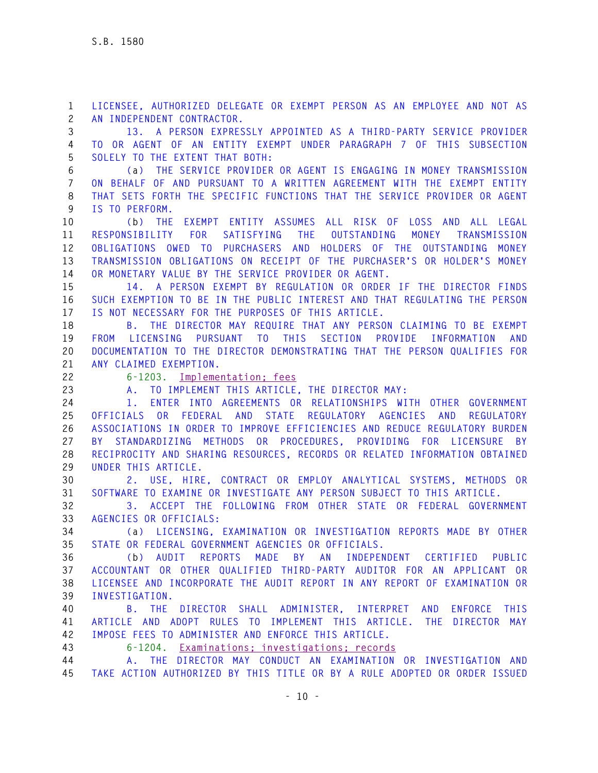**1 LICENSEE, AUTHORIZED DELEGATE OR EXEMPT PERSON AS AN EMPLOYEE AND NOT AS 2 AN INDEPENDENT CONTRACTOR.** 

**3 13. A PERSON EXPRESSLY APPOINTED AS A THIRD-PARTY SERVICE PROVIDER 4 TO OR AGENT OF AN ENTITY EXEMPT UNDER PARAGRAPH 7 OF THIS SUBSECTION 5 SOLELY TO THE EXTENT THAT BOTH:** 

**6 (a) THE SERVICE PROVIDER OR AGENT IS ENGAGING IN MONEY TRANSMISSION 7 ON BEHALF OF AND PURSUANT TO A WRITTEN AGREEMENT WITH THE EXEMPT ENTITY 8 THAT SETS FORTH THE SPECIFIC FUNCTIONS THAT THE SERVICE PROVIDER OR AGENT 9 IS TO PERFORM.** 

**10 (b) THE EXEMPT ENTITY ASSUMES ALL RISK OF LOSS AND ALL LEGAL 11 RESPONSIBILITY FOR SATISFYING THE OUTSTANDING MONEY TRANSMISSION 12 OBLIGATIONS OWED TO PURCHASERS AND HOLDERS OF THE OUTSTANDING MONEY 13 TRANSMISSION OBLIGATIONS ON RECEIPT OF THE PURCHASER'S OR HOLDER'S MONEY 14 OR MONETARY VALUE BY THE SERVICE PROVIDER OR AGENT.** 

**15 14. A PERSON EXEMPT BY REGULATION OR ORDER IF THE DIRECTOR FINDS 16 SUCH EXEMPTION TO BE IN THE PUBLIC INTEREST AND THAT REGULATING THE PERSON 17 IS NOT NECESSARY FOR THE PURPOSES OF THIS ARTICLE.** 

**18 B. THE DIRECTOR MAY REQUIRE THAT ANY PERSON CLAIMING TO BE EXEMPT 19 FROM LICENSING PURSUANT TO THIS SECTION PROVIDE INFORMATION AND 20 DOCUMENTATION TO THE DIRECTOR DEMONSTRATING THAT THE PERSON QUALIFIES FOR 21 ANY CLAIMED EXEMPTION.**

**22 6-1203. Implementation; fees** 

**23 A. TO IMPLEMENT THIS ARTICLE, THE DIRECTOR MAY:** 

**24 1. ENTER INTO AGREEMENTS OR RELATIONSHIPS WITH OTHER GOVERNMENT 25 OFFICIALS OR FEDERAL AND STATE REGULATORY AGENCIES AND REGULATORY 26 ASSOCIATIONS IN ORDER TO IMPROVE EFFICIENCIES AND REDUCE REGULATORY BURDEN 27 BY STANDARDIZING METHODS OR PROCEDURES, PROVIDING FOR LICENSURE BY 28 RECIPROCITY AND SHARING RESOURCES, RECORDS OR RELATED INFORMATION OBTAINED 29 UNDER THIS ARTICLE.** 

**30 2. USE, HIRE, CONTRACT OR EMPLOY ANALYTICAL SYSTEMS, METHODS OR 31 SOFTWARE TO EXAMINE OR INVESTIGATE ANY PERSON SUBJECT TO THIS ARTICLE.** 

**32 3. ACCEPT THE FOLLOWING FROM OTHER STATE OR FEDERAL GOVERNMENT 33 AGENCIES OR OFFICIALS:** 

**34 (a) LICENSING, EXAMINATION OR INVESTIGATION REPORTS MADE BY OTHER 35 STATE OR FEDERAL GOVERNMENT AGENCIES OR OFFICIALS.** 

**36 (b) AUDIT REPORTS MADE BY AN INDEPENDENT CERTIFIED PUBLIC 37 ACCOUNTANT OR OTHER QUALIFIED THIRD-PARTY AUDITOR FOR AN APPLICANT OR 38 LICENSEE AND INCORPORATE THE AUDIT REPORT IN ANY REPORT OF EXAMINATION OR 39 INVESTIGATION.** 

**40 B. THE DIRECTOR SHALL ADMINISTER, INTERPRET AND ENFORCE THIS 41 ARTICLE AND ADOPT RULES TO IMPLEMENT THIS ARTICLE. THE DIRECTOR MAY 42 IMPOSE FEES TO ADMINISTER AND ENFORCE THIS ARTICLE.**

**43 6-1204. Examinations; investigations; records** 

**44 A. THE DIRECTOR MAY CONDUCT AN EXAMINATION OR INVESTIGATION AND 45 TAKE ACTION AUTHORIZED BY THIS TITLE OR BY A RULE ADOPTED OR ORDER ISSUED**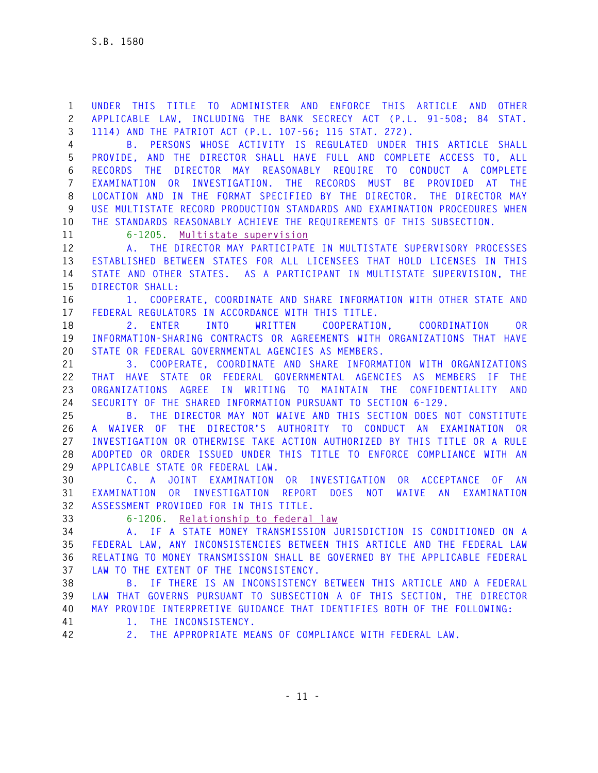**1 UNDER THIS TITLE TO ADMINISTER AND ENFORCE THIS ARTICLE AND OTHER 2 APPLICABLE LAW, INCLUDING THE BANK SECRECY ACT (P.L. 91-508; 84 STAT. 3 1114) AND THE PATRIOT ACT (P.L. 107-56; 115 STAT. 272).** 

**4 B. PERSONS WHOSE ACTIVITY IS REGULATED UNDER THIS ARTICLE SHALL 5 PROVIDE, AND THE DIRECTOR SHALL HAVE FULL AND COMPLETE ACCESS TO, ALL 6 RECORDS THE DIRECTOR MAY REASONABLY REQUIRE TO CONDUCT A COMPLETE 7 EXAMINATION OR INVESTIGATION. THE RECORDS MUST BE PROVIDED AT THE 8 LOCATION AND IN THE FORMAT SPECIFIED BY THE DIRECTOR. THE DIRECTOR MAY 9 USE MULTISTATE RECORD PRODUCTION STANDARDS AND EXAMINATION PROCEDURES WHEN 10 THE STANDARDS REASONABLY ACHIEVE THE REQUIREMENTS OF THIS SUBSECTION.** 

**11 6-1205. Multistate supervision** 

**12 A. THE DIRECTOR MAY PARTICIPATE IN MULTISTATE SUPERVISORY PROCESSES 13 ESTABLISHED BETWEEN STATES FOR ALL LICENSEES THAT HOLD LICENSES IN THIS 14 STATE AND OTHER STATES. AS A PARTICIPANT IN MULTISTATE SUPERVISION, THE 15 DIRECTOR SHALL:** 

**16 1. COOPERATE, COORDINATE AND SHARE INFORMATION WITH OTHER STATE AND 17 FEDERAL REGULATORS IN ACCORDANCE WITH THIS TITLE.** 

**18 2. ENTER INTO WRITTEN COOPERATION, COORDINATION OR 19 INFORMATION-SHARING CONTRACTS OR AGREEMENTS WITH ORGANIZATIONS THAT HAVE 20 STATE OR FEDERAL GOVERNMENTAL AGENCIES AS MEMBERS.** 

**21 3. COOPERATE, COORDINATE AND SHARE INFORMATION WITH ORGANIZATIONS 22 THAT HAVE STATE OR FEDERAL GOVERNMENTAL AGENCIES AS MEMBERS IF THE 23 ORGANIZATIONS AGREE IN WRITING TO MAINTAIN THE CONFIDENTIALITY AND 24 SECURITY OF THE SHARED INFORMATION PURSUANT TO SECTION 6-129.** 

**25 B. THE DIRECTOR MAY NOT WAIVE AND THIS SECTION DOES NOT CONSTITUTE 26 A WAIVER OF THE DIRECTOR'S AUTHORITY TO CONDUCT AN EXAMINATION OR 27 INVESTIGATION OR OTHERWISE TAKE ACTION AUTHORIZED BY THIS TITLE OR A RULE 28 ADOPTED OR ORDER ISSUED UNDER THIS TITLE TO ENFORCE COMPLIANCE WITH AN 29 APPLICABLE STATE OR FEDERAL LAW.** 

**30 C. A JOINT EXAMINATION OR INVESTIGATION OR ACCEPTANCE OF AN 31 EXAMINATION OR INVESTIGATION REPORT DOES NOT WAIVE AN EXAMINATION 32 ASSESSMENT PROVIDED FOR IN THIS TITLE.**

**33 6-1206. Relationship to federal law** 

**34 A. IF A STATE MONEY TRANSMISSION JURISDICTION IS CONDITIONED ON A 35 FEDERAL LAW, ANY INCONSISTENCIES BETWEEN THIS ARTICLE AND THE FEDERAL LAW 36 RELATING TO MONEY TRANSMISSION SHALL BE GOVERNED BY THE APPLICABLE FEDERAL 37 LAW TO THE EXTENT OF THE INCONSISTENCY.** 

**38 B. IF THERE IS AN INCONSISTENCY BETWEEN THIS ARTICLE AND A FEDERAL 39 LAW THAT GOVERNS PURSUANT TO SUBSECTION A OF THIS SECTION, THE DIRECTOR 40 MAY PROVIDE INTERPRETIVE GUIDANCE THAT IDENTIFIES BOTH OF THE FOLLOWING:** 

**41 1. THE INCONSISTENCY.** 

**42 2. THE APPROPRIATE MEANS OF COMPLIANCE WITH FEDERAL LAW.**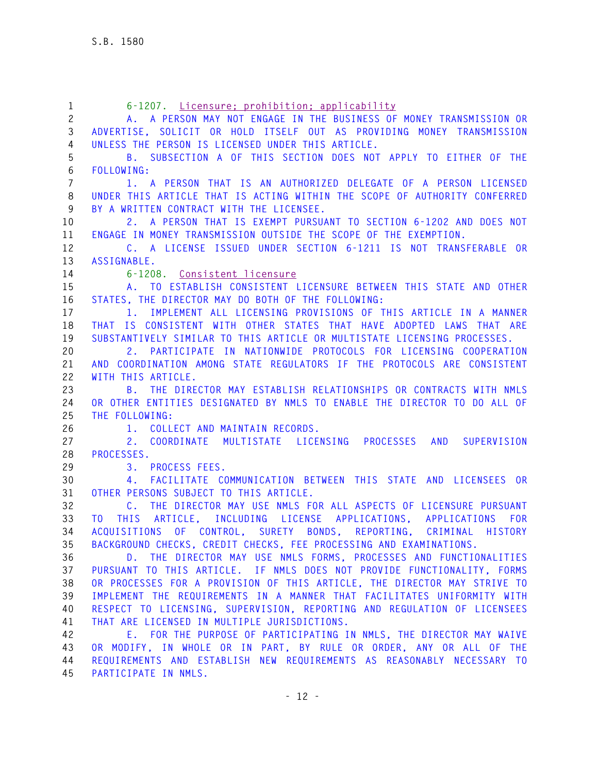| $\mathbf{1}$          | 6-1207. Licensure: prohibition: applicability                                     |
|-----------------------|-----------------------------------------------------------------------------------|
| $\mathbf{2}^{\prime}$ | A. A PERSON MAY NOT ENGAGE IN THE BUSINESS OF MONEY TRANSMISSION OR               |
| 3                     | ADVERTISE, SOLICIT OR HOLD ITSELF OUT AS PROVIDING MONEY TRANSMISSION             |
| $\overline{4}$        | UNLESS THE PERSON IS LICENSED UNDER THIS ARTICLE.                                 |
| 5                     | B. SUBSECTION A OF THIS SECTION DOES NOT APPLY TO EITHER OF THE                   |
| 6                     | FOLLOWING:                                                                        |
| $\overline{7}$        | 1. A PERSON THAT IS AN AUTHORIZED DELEGATE OF A PERSON LICENSED                   |
| 8                     | UNDER THIS ARTICLE THAT IS ACTING WITHIN THE SCOPE OF AUTHORITY CONFERRED         |
| 9                     | BY A WRITTEN CONTRACT WITH THE LICENSEE.                                          |
| 10                    | A PERSON THAT IS EXEMPT PURSUANT TO SECTION 6-1202 AND DOES NOT<br>2.             |
| 11                    | ENGAGE IN MONEY TRANSMISSION OUTSIDE THE SCOPE OF THE EXEMPTION.                  |
| 12                    | C. A LICENSE ISSUED UNDER SECTION 6-1211 IS NOT TRANSFERABLE OR                   |
| 13                    | ASSIGNABLE.                                                                       |
| 14                    | 6-1208. Consistent licensure                                                      |
| 15                    | A. TO ESTABLISH CONSISTENT LICENSURE BETWEEN THIS STATE AND OTHER                 |
| 16                    | STATES, THE DIRECTOR MAY DO BOTH OF THE FOLLOWING:                                |
| 17                    | 1. IMPLEMENT ALL LICENSING PROVISIONS OF THIS ARTICLE IN A MANNER                 |
| 18                    | THAT IS CONSISTENT WITH OTHER STATES THAT HAVE ADOPTED LAWS THAT ARE              |
| 19                    | SUBSTANTIVELY SIMILAR TO THIS ARTICLE OR MULTISTATE LICENSING PROCESSES.          |
| 20                    | PARTICIPATE IN NATIONWIDE PROTOCOLS FOR LICENSING COOPERATION<br>2.               |
| 21                    | AND COORDINATION AMONG STATE REGULATORS IF THE PROTOCOLS ARE CONSISTENT           |
| 22                    | WITH THIS ARTICLE.                                                                |
| 23                    | B. THE DIRECTOR MAY ESTABLISH RELATIONSHIPS OR CONTRACTS WITH NMLS                |
| 24                    | OR OTHER ENTITIES DESIGNATED BY NMLS TO ENABLE THE DIRECTOR TO DO ALL OF          |
| 25                    | THE FOLLOWING:                                                                    |
| 26                    | 1. COLLECT AND MAINTAIN RECORDS.                                                  |
| 27                    | 2. COORDINATE MULTISTATE LICENSING PROCESSES AND<br>SUPERVISION                   |
| 28                    | PROCESSES.                                                                        |
| 29                    | 3. PROCESS FEES.                                                                  |
| 30                    | FACILITATE COMMUNICATION BETWEEN THIS STATE AND LICENSEES OR<br>4.                |
| 31                    | OTHER PERSONS SUBJECT TO THIS ARTICLE.                                            |
| 32                    | THE DIRECTOR MAY USE NMLS FOR ALL ASPECTS OF LICENSURE PURSUANT<br>$\mathsf{C}$ . |
| 33                    | THIS ARTICLE, INCLUDING LICENSE APPLICATIONS, APPLICATIONS FOR<br>T <sub>0</sub>  |
| 34                    | ACQUISITIONS OF CONTROL, SURETY BONDS, REPORTING,<br>CRIMINAL HISTORY             |
| 35                    | BACKGROUND CHECKS, CREDIT CHECKS, FEE PROCESSING AND EXAMINATIONS.                |
| 36                    | D. THE DIRECTOR MAY USE NMLS FORMS. PROCESSES AND FUNCTIONALITIES                 |
| 37                    | PURSUANT TO THIS ARTICLE. IF NMLS DOES NOT PROVIDE FUNCTIONALITY, FORMS           |
| 38                    | OR PROCESSES FOR A PROVISION OF THIS ARTICLE, THE DIRECTOR MAY STRIVE TO          |
| 39                    | IMPLEMENT THE REQUIREMENTS IN A MANNER THAT FACILITATES UNIFORMITY WITH           |
| 40                    | RESPECT TO LICENSING, SUPERVISION, REPORTING AND REGULATION OF LICENSEES          |
| 41                    | THAT ARE LICENSED IN MULTIPLE JURISDICTIONS.                                      |
| 42                    | E. FOR THE PURPOSE OF PARTICIPATING IN NMLS, THE DIRECTOR MAY WAIVE               |
| 43                    | OR MODIFY, IN WHOLE OR IN PART, BY RULE OR ORDER, ANY OR ALL OF THE               |
| 44                    | REQUIREMENTS AND ESTABLISH NEW REQUIREMENTS AS REASONABLY NECESSARY TO            |
| 45                    | PARTICIPATE IN NMLS.                                                              |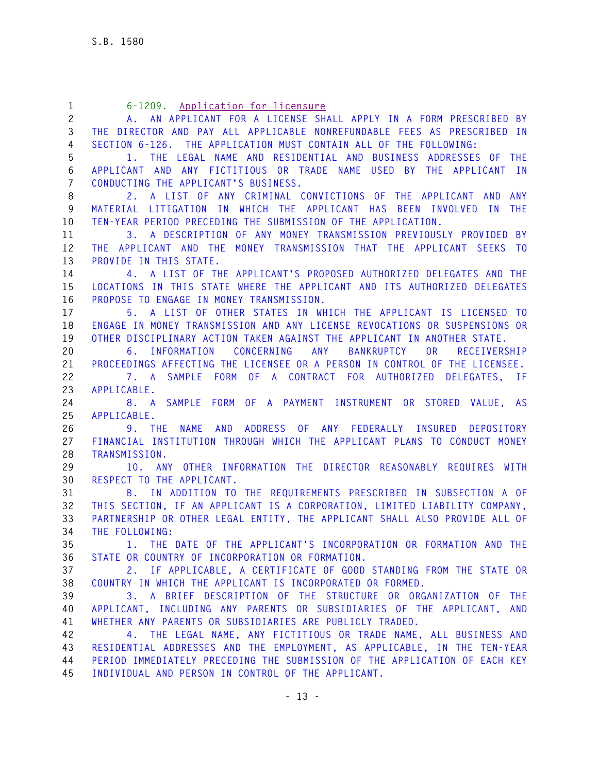| $\mathbf{1}$          | 6-1209. Application for licensure                                          |
|-----------------------|----------------------------------------------------------------------------|
| $\mathbf{2}^{\prime}$ | A. AN APPLICANT FOR A LICENSE SHALL APPLY IN A FORM PRESCRIBED BY          |
| 3                     | THE DIRECTOR AND PAY ALL APPLICABLE NONREFUNDABLE FEES AS PRESCRIBED IN    |
| 4                     | SECTION 6-126. THE APPLICATION MUST CONTAIN ALL OF THE FOLLOWING:          |
| 5                     | 1. THE LEGAL NAME AND RESIDENTIAL AND BUSINESS ADDRESSES OF THE            |
| 6                     | APPLICANT AND ANY FICTITIOUS OR TRADE NAME USED BY THE APPLICANT IN        |
| $\overline{7}$        | CONDUCTING THE APPLICANT'S BUSINESS.                                       |
| 8                     | 2. A LIST OF ANY CRIMINAL CONVICTIONS OF THE APPLICANT AND ANY             |
| 9                     | MATERIAL LITIGATION IN WHICH THE APPLICANT HAS BEEN INVOLVED IN THE        |
| 10                    | TEN-YEAR PERIOD PRECEDING THE SUBMISSION OF THE APPLICATION.               |
| 11                    | 3. A DESCRIPTION OF ANY MONEY TRANSMISSION PREVIOUSLY PROVIDED BY          |
| 12                    | THE APPLICANT AND THE MONEY TRANSMISSION THAT THE APPLICANT SEEKS TO       |
| 13                    | PROVIDE IN THIS STATE.                                                     |
| 14                    | 4. A LIST OF THE APPLICANT'S PROPOSED AUTHORIZED DELEGATES AND THE         |
| 15                    | LOCATIONS IN THIS STATE WHERE THE APPLICANT AND ITS AUTHORIZED DELEGATES   |
| 16                    | PROPOSE TO ENGAGE IN MONEY TRANSMISSION.                                   |
| 17                    | 5. A LIST OF OTHER STATES IN WHICH THE APPLICANT IS LICENSED TO            |
| 18                    | ENGAGE IN MONEY TRANSMISSION AND ANY LICENSE REVOCATIONS OR SUSPENSIONS OR |
| 19                    | OTHER DISCIPLINARY ACTION TAKEN AGAINST THE APPLICANT IN ANOTHER STATE.    |
| 20                    | 6. INFORMATION CONCERNING ANY<br>BANKRUPTCY OR<br>RECEIVERSHIP             |
| 21                    | PROCEEDINGS AFFECTING THE LICENSEE OR A PERSON IN CONTROL OF THE LICENSEE. |
| 22                    | 7. A SAMPLE FORM OF A CONTRACT FOR AUTHORIZED DELEGATES, IF                |
| 23                    | APPLICABLE.                                                                |
| 24                    | 8. A SAMPLE FORM OF A PAYMENT INSTRUMENT OR STORED VALUE, AS               |
| 25                    | APPLICABLE.                                                                |
| 26                    | <b>NAME</b><br>AND ADDRESS OF ANY FEDERALLY INSURED DEPOSITORY<br>9. THE   |
| 27                    | FINANCIAL INSTITUTION THROUGH WHICH THE APPLICANT PLANS TO CONDUCT MONEY   |
| 28                    | TRANSMISSION.                                                              |
| 29                    | 10. ANY OTHER INFORMATION THE DIRECTOR REASONABLY REQUIRES WITH            |
| 30                    | RESPECT TO THE APPLICANT.                                                  |
| 31                    | B. IN ADDITION TO THE REQUIREMENTS PRESCRIBED IN SUBSECTION A OF           |
| 32                    | THIS SECTION, IF AN APPLICANT IS A CORPORATION, LIMITED LIABILITY COMPANY, |
| 33                    | PARTNERSHIP OR OTHER LEGAL ENTITY, THE APPLICANT SHALL ALSO PROVIDE ALL OF |
| 34                    | THE FOLLOWING:                                                             |
| 35                    | THE DATE OF THE APPLICANT'S INCORPORATION OR FORMATION AND THE<br>1.       |
| 36                    | STATE OR COUNTRY OF INCORPORATION OR FORMATION.                            |
| 37                    | 2. IF APPLICABLE, A CERTIFICATE OF GOOD STANDING FROM THE STATE OR         |
| 38                    | COUNTRY IN WHICH THE APPLICANT IS INCORPORATED OR FORMED.                  |
| 39                    | 3. A BRIEF DESCRIPTION OF THE STRUCTURE OR ORGANIZATION OF THE             |
| 40                    | APPLICANT, INCLUDING ANY PARENTS OR SUBSIDIARIES OF THE APPLICANT, AND     |
| 41                    | WHETHER ANY PARENTS OR SUBSIDIARIES ARE PUBLICLY TRADED.                   |
| 42                    | 4. THE LEGAL NAME, ANY FICTITIOUS OR TRADE NAME, ALL BUSINESS AND          |
| 43                    | RESIDENTIAL ADDRESSES AND THE EMPLOYMENT, AS APPLICABLE, IN THE TEN-YEAR   |
| 44                    | PERIOD IMMEDIATELY PRECEDING THE SUBMISSION OF THE APPLICATION OF EACH KEY |
| 45                    | INDIVIDUAL AND PERSON IN CONTROL OF THE APPLICANT.                         |
|                       |                                                                            |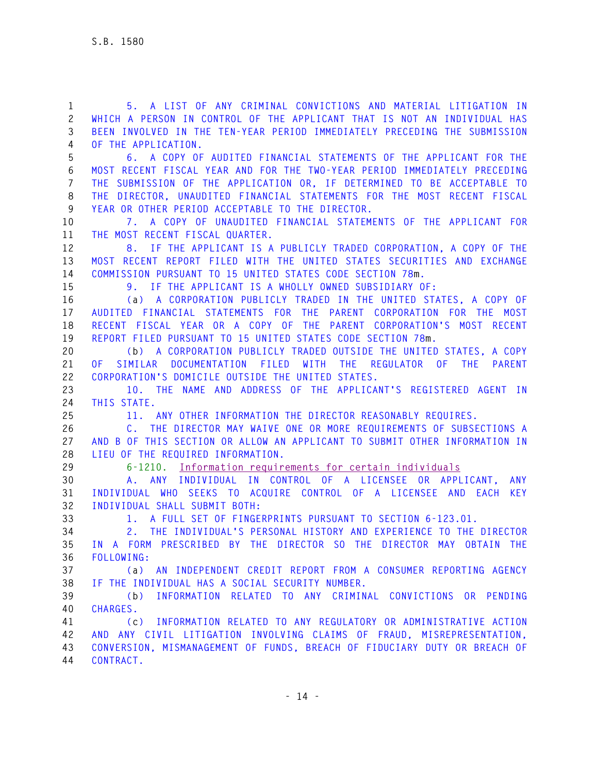**1 5. A LIST OF ANY CRIMINAL CONVICTIONS AND MATERIAL LITIGATION IN 2 WHICH A PERSON IN CONTROL OF THE APPLICANT THAT IS NOT AN INDIVIDUAL HAS 3 BEEN INVOLVED IN THE TEN-YEAR PERIOD IMMEDIATELY PRECEDING THE SUBMISSION 4 OF THE APPLICATION. 5 6. A COPY OF AUDITED FINANCIAL STATEMENTS OF THE APPLICANT FOR THE 6 MOST RECENT FISCAL YEAR AND FOR THE TWO-YEAR PERIOD IMMEDIATELY PRECEDING 7 THE SUBMISSION OF THE APPLICATION OR, IF DETERMINED TO BE ACCEPTABLE TO 8 THE DIRECTOR, UNAUDITED FINANCIAL STATEMENTS FOR THE MOST RECENT FISCAL 9 YEAR OR OTHER PERIOD ACCEPTABLE TO THE DIRECTOR. 10 7. A COPY OF UNAUDITED FINANCIAL STATEMENTS OF THE APPLICANT FOR 11 THE MOST RECENT FISCAL QUARTER. 12 8. IF THE APPLICANT IS A PUBLICLY TRADED CORPORATION, A COPY OF THE 13 MOST RECENT REPORT FILED WITH THE UNITED STATES SECURITIES AND EXCHANGE 14 COMMISSION PURSUANT TO 15 UNITED STATES CODE SECTION 78m. 15 9. IF THE APPLICANT IS A WHOLLY OWNED SUBSIDIARY OF: 16 (a) A CORPORATION PUBLICLY TRADED IN THE UNITED STATES, A COPY OF 17 AUDITED FINANCIAL STATEMENTS FOR THE PARENT CORPORATION FOR THE MOST 18 RECENT FISCAL YEAR OR A COPY OF THE PARENT CORPORATION'S MOST RECENT 19 REPORT FILED PURSUANT TO 15 UNITED STATES CODE SECTION 78m. 20 (b) A CORPORATION PUBLICLY TRADED OUTSIDE THE UNITED STATES, A COPY 21 OF SIMILAR DOCUMENTATION FILED WITH THE REGULATOR OF THE PARENT 22 CORPORATION'S DOMICILE OUTSIDE THE UNITED STATES. 23 10. THE NAME AND ADDRESS OF THE APPLICANT'S REGISTERED AGENT IN 24 THIS STATE. 25 11. ANY OTHER INFORMATION THE DIRECTOR REASONABLY REQUIRES. 26 C. THE DIRECTOR MAY WAIVE ONE OR MORE REQUIREMENTS OF SUBSECTIONS A 27 AND B OF THIS SECTION OR ALLOW AN APPLICANT TO SUBMIT OTHER INFORMATION IN 28 LIEU OF THE REQUIRED INFORMATION. 29 6-1210. Information requirements for certain individuals 30 A. ANY INDIVIDUAL IN CONTROL OF A LICENSEE OR APPLICANT, ANY 31 INDIVIDUAL WHO SEEKS TO ACQUIRE CONTROL OF A LICENSEE AND EACH KEY 32 INDIVIDUAL SHALL SUBMIT BOTH: 33 1. A FULL SET OF FINGERPRINTS PURSUANT TO SECTION 6-123.01. 34 2. THE INDIVIDUAL'S PERSONAL HISTORY AND EXPERIENCE TO THE DIRECTOR 35 IN A FORM PRESCRIBED BY THE DIRECTOR SO THE DIRECTOR MAY OBTAIN THE 36 FOLLOWING: 37 (a) AN INDEPENDENT CREDIT REPORT FROM A CONSUMER REPORTING AGENCY 38 IF THE INDIVIDUAL HAS A SOCIAL SECURITY NUMBER. 39 (b) INFORMATION RELATED TO ANY CRIMINAL CONVICTIONS OR PENDING 40 CHARGES. 41 (c) INFORMATION RELATED TO ANY REGULATORY OR ADMINISTRATIVE ACTION 42 AND ANY CIVIL LITIGATION INVOLVING CLAIMS OF FRAUD, MISREPRESENTATION, 43 CONVERSION, MISMANAGEMENT OF FUNDS, BREACH OF FIDUCIARY DUTY OR BREACH OF 44 CONTRACT.**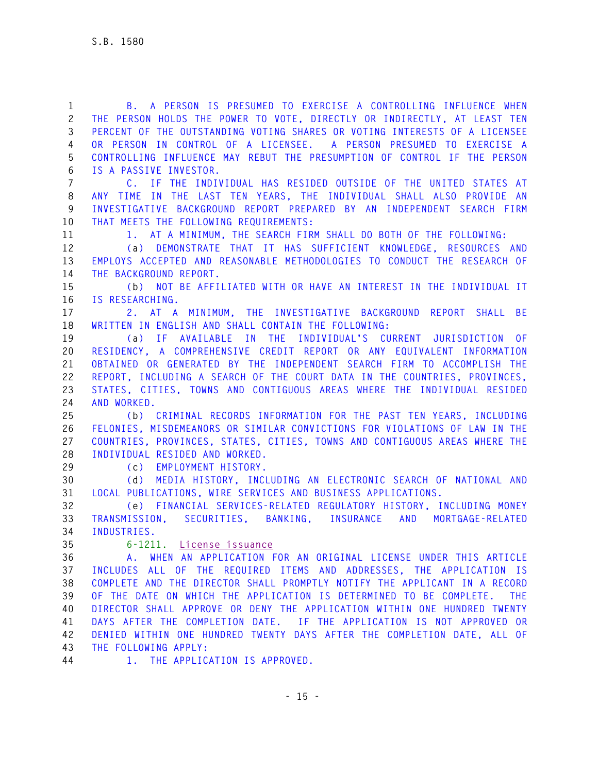**1 B. A PERSON IS PRESUMED TO EXERCISE A CONTROLLING INFLUENCE WHEN 2 THE PERSON HOLDS THE POWER TO VOTE, DIRECTLY OR INDIRECTLY, AT LEAST TEN 3 PERCENT OF THE OUTSTANDING VOTING SHARES OR VOTING INTERESTS OF A LICENSEE 4 OR PERSON IN CONTROL OF A LICENSEE. A PERSON PRESUMED TO EXERCISE A 5 CONTROLLING INFLUENCE MAY REBUT THE PRESUMPTION OF CONTROL IF THE PERSON 6 IS A PASSIVE INVESTOR. 7 C. IF THE INDIVIDUAL HAS RESIDED OUTSIDE OF THE UNITED STATES AT 8 ANY TIME IN THE LAST TEN YEARS, THE INDIVIDUAL SHALL ALSO PROVIDE AN 9 INVESTIGATIVE BACKGROUND REPORT PREPARED BY AN INDEPENDENT SEARCH FIRM 10 THAT MEETS THE FOLLOWING REQUIREMENTS: 11 1. AT A MINIMUM, THE SEARCH FIRM SHALL DO BOTH OF THE FOLLOWING: 12 (a) DEMONSTRATE THAT IT HAS SUFFICIENT KNOWLEDGE, RESOURCES AND 13 EMPLOYS ACCEPTED AND REASONABLE METHODOLOGIES TO CONDUCT THE RESEARCH OF 14 THE BACKGROUND REPORT. 15 (b) NOT BE AFFILIATED WITH OR HAVE AN INTEREST IN THE INDIVIDUAL IT 16 IS RESEARCHING. 17 2. AT A MINIMUM, THE INVESTIGATIVE BACKGROUND REPORT SHALL BE 18 WRITTEN IN ENGLISH AND SHALL CONTAIN THE FOLLOWING: 19 (a) IF AVAILABLE IN THE INDIVIDUAL'S CURRENT JURISDICTION OF 20 RESIDENCY, A COMPREHENSIVE CREDIT REPORT OR ANY EQUIVALENT INFORMATION 21 OBTAINED OR GENERATED BY THE INDEPENDENT SEARCH FIRM TO ACCOMPLISH THE 22 REPORT, INCLUDING A SEARCH OF THE COURT DATA IN THE COUNTRIES, PROVINCES, 23 STATES, CITIES, TOWNS AND CONTIGUOUS AREAS WHERE THE INDIVIDUAL RESIDED 24 AND WORKED. 25 (b) CRIMINAL RECORDS INFORMATION FOR THE PAST TEN YEARS, INCLUDING 26 FELONIES, MISDEMEANORS OR SIMILAR CONVICTIONS FOR VIOLATIONS OF LAW IN THE 27 COUNTRIES, PROVINCES, STATES, CITIES, TOWNS AND CONTIGUOUS AREAS WHERE THE 28 INDIVIDUAL RESIDED AND WORKED. 29 (c) EMPLOYMENT HISTORY. 30 (d) MEDIA HISTORY, INCLUDING AN ELECTRONIC SEARCH OF NATIONAL AND 31 LOCAL PUBLICATIONS, WIRE SERVICES AND BUSINESS APPLICATIONS. 32 (e) FINANCIAL SERVICES-RELATED REGULATORY HISTORY, INCLUDING MONEY 33 TRANSMISSION, SECURITIES, BANKING, INSURANCE AND MORTGAGE-RELATED 34 INDUSTRIES. 35 6-1211. License issuance 36 A. WHEN AN APPLICATION FOR AN ORIGINAL LICENSE UNDER THIS ARTICLE 37 INCLUDES ALL OF THE REQUIRED ITEMS AND ADDRESSES, THE APPLICATION IS 38 COMPLETE AND THE DIRECTOR SHALL PROMPTLY NOTIFY THE APPLICANT IN A RECORD 39 OF THE DATE ON WHICH THE APPLICATION IS DETERMINED TO BE COMPLETE. THE 40 DIRECTOR SHALL APPROVE OR DENY THE APPLICATION WITHIN ONE HUNDRED TWENTY 41 DAYS AFTER THE COMPLETION DATE. IF THE APPLICATION IS NOT APPROVED OR 42 DENIED WITHIN ONE HUNDRED TWENTY DAYS AFTER THE COMPLETION DATE, ALL OF 43 THE FOLLOWING APPLY:** 

**44 1. THE APPLICATION IS APPROVED.**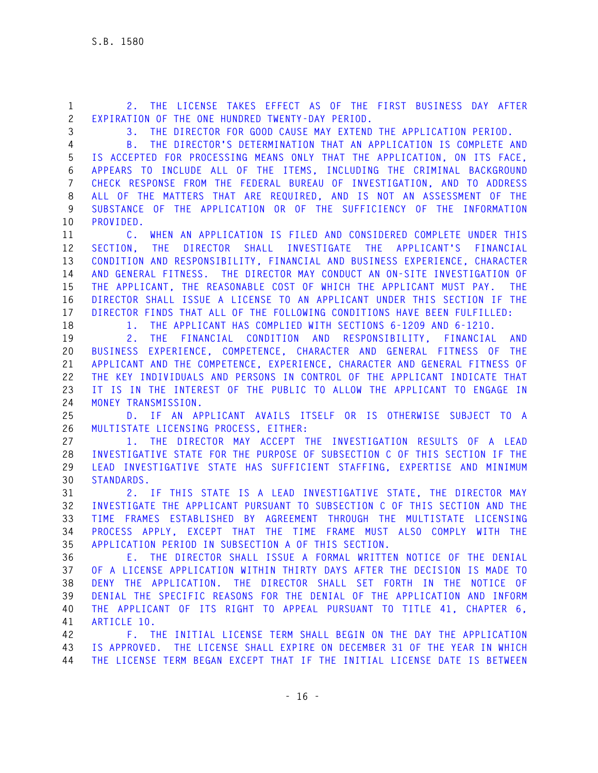**1 2. THE LICENSE TAKES EFFECT AS OF THE FIRST BUSINESS DAY AFTER 2 EXPIRATION OF THE ONE HUNDRED TWENTY-DAY PERIOD.** 

**3 3. THE DIRECTOR FOR GOOD CAUSE MAY EXTEND THE APPLICATION PERIOD.** 

**4 B. THE DIRECTOR'S DETERMINATION THAT AN APPLICATION IS COMPLETE AND 5 IS ACCEPTED FOR PROCESSING MEANS ONLY THAT THE APPLICATION, ON ITS FACE, 6 APPEARS TO INCLUDE ALL OF THE ITEMS, INCLUDING THE CRIMINAL BACKGROUND 7 CHECK RESPONSE FROM THE FEDERAL BUREAU OF INVESTIGATION, AND TO ADDRESS 8 ALL OF THE MATTERS THAT ARE REQUIRED, AND IS NOT AN ASSESSMENT OF THE 9 SUBSTANCE OF THE APPLICATION OR OF THE SUFFICIENCY OF THE INFORMATION 10 PROVIDED.** 

**11 C. WHEN AN APPLICATION IS FILED AND CONSIDERED COMPLETE UNDER THIS 12 SECTION, THE DIRECTOR SHALL INVESTIGATE THE APPLICANT'S FINANCIAL 13 CONDITION AND RESPONSIBILITY, FINANCIAL AND BUSINESS EXPERIENCE, CHARACTER 14 AND GENERAL FITNESS. THE DIRECTOR MAY CONDUCT AN ON-SITE INVESTIGATION OF 15 THE APPLICANT, THE REASONABLE COST OF WHICH THE APPLICANT MUST PAY. THE 16 DIRECTOR SHALL ISSUE A LICENSE TO AN APPLICANT UNDER THIS SECTION IF THE 17 DIRECTOR FINDS THAT ALL OF THE FOLLOWING CONDITIONS HAVE BEEN FULFILLED:** 

**18 1. THE APPLICANT HAS COMPLIED WITH SECTIONS 6-1209 AND 6-1210.** 

**19 2. THE FINANCIAL CONDITION AND RESPONSIBILITY, FINANCIAL AND 20 BUSINESS EXPERIENCE, COMPETENCE, CHARACTER AND GENERAL FITNESS OF THE 21 APPLICANT AND THE COMPETENCE, EXPERIENCE, CHARACTER AND GENERAL FITNESS OF 22 THE KEY INDIVIDUALS AND PERSONS IN CONTROL OF THE APPLICANT INDICATE THAT 23 IT IS IN THE INTEREST OF THE PUBLIC TO ALLOW THE APPLICANT TO ENGAGE IN 24 MONEY TRANSMISSION.** 

**25 D. IF AN APPLICANT AVAILS ITSELF OR IS OTHERWISE SUBJECT TO A 26 MULTISTATE LICENSING PROCESS, EITHER:** 

**27 1. THE DIRECTOR MAY ACCEPT THE INVESTIGATION RESULTS OF A LEAD 28 INVESTIGATIVE STATE FOR THE PURPOSE OF SUBSECTION C OF THIS SECTION IF THE 29 LEAD INVESTIGATIVE STATE HAS SUFFICIENT STAFFING, EXPERTISE AND MINIMUM 30 STANDARDS.** 

**31 2. IF THIS STATE IS A LEAD INVESTIGATIVE STATE, THE DIRECTOR MAY 32 INVESTIGATE THE APPLICANT PURSUANT TO SUBSECTION C OF THIS SECTION AND THE 33 TIME FRAMES ESTABLISHED BY AGREEMENT THROUGH THE MULTISTATE LICENSING 34 PROCESS APPLY, EXCEPT THAT THE TIME FRAME MUST ALSO COMPLY WITH THE 35 APPLICATION PERIOD IN SUBSECTION A OF THIS SECTION.** 

**36 E. THE DIRECTOR SHALL ISSUE A FORMAL WRITTEN NOTICE OF THE DENIAL 37 OF A LICENSE APPLICATION WITHIN THIRTY DAYS AFTER THE DECISION IS MADE TO 38 DENY THE APPLICATION. THE DIRECTOR SHALL SET FORTH IN THE NOTICE OF 39 DENIAL THE SPECIFIC REASONS FOR THE DENIAL OF THE APPLICATION AND INFORM 40 THE APPLICANT OF ITS RIGHT TO APPEAL PURSUANT TO TITLE 41, CHAPTER 6, 41 ARTICLE 10.** 

**42 F. THE INITIAL LICENSE TERM SHALL BEGIN ON THE DAY THE APPLICATION 43 IS APPROVED. THE LICENSE SHALL EXPIRE ON DECEMBER 31 OF THE YEAR IN WHICH 44 THE LICENSE TERM BEGAN EXCEPT THAT IF THE INITIAL LICENSE DATE IS BETWEEN**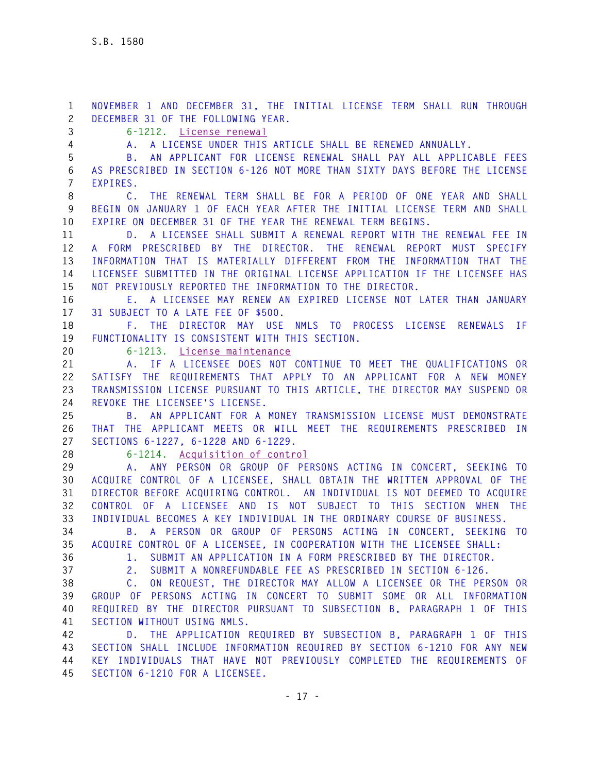**1 NOVEMBER 1 AND DECEMBER 31, THE INITIAL LICENSE TERM SHALL RUN THROUGH 2 DECEMBER 31 OF THE FOLLOWING YEAR. 3 6-1212. License renewal 4 A. A LICENSE UNDER THIS ARTICLE SHALL BE RENEWED ANNUALLY. 5 B. AN APPLICANT FOR LICENSE RENEWAL SHALL PAY ALL APPLICABLE FEES 6 AS PRESCRIBED IN SECTION 6-126 NOT MORE THAN SIXTY DAYS BEFORE THE LICENSE 7 EXPIRES. 8 C. THE RENEWAL TERM SHALL BE FOR A PERIOD OF ONE YEAR AND SHALL 9 BEGIN ON JANUARY 1 OF EACH YEAR AFTER THE INITIAL LICENSE TERM AND SHALL 10 EXPIRE ON DECEMBER 31 OF THE YEAR THE RENEWAL TERM BEGINS. 11 D. A LICENSEE SHALL SUBMIT A RENEWAL REPORT WITH THE RENEWAL FEE IN 12 A FORM PRESCRIBED BY THE DIRECTOR. THE RENEWAL REPORT MUST SPECIFY 13 INFORMATION THAT IS MATERIALLY DIFFERENT FROM THE INFORMATION THAT THE 14 LICENSEE SUBMITTED IN THE ORIGINAL LICENSE APPLICATION IF THE LICENSEE HAS 15 NOT PREVIOUSLY REPORTED THE INFORMATION TO THE DIRECTOR. 16 E. A LICENSEE MAY RENEW AN EXPIRED LICENSE NOT LATER THAN JANUARY 17 31 SUBJECT TO A LATE FEE OF \$500. 18 F. THE DIRECTOR MAY USE NMLS TO PROCESS LICENSE RENEWALS IF 19 FUNCTIONALITY IS CONSISTENT WITH THIS SECTION. 20 6-1213. License maintenance 21 A. IF A LICENSEE DOES NOT CONTINUE TO MEET THE QUALIFICATIONS OR 22 SATISFY THE REQUIREMENTS THAT APPLY TO AN APPLICANT FOR A NEW MONEY 23 TRANSMISSION LICENSE PURSUANT TO THIS ARTICLE, THE DIRECTOR MAY SUSPEND OR 24 REVOKE THE LICENSEE'S LICENSE. 25 B. AN APPLICANT FOR A MONEY TRANSMISSION LICENSE MUST DEMONSTRATE 26 THAT THE APPLICANT MEETS OR WILL MEET THE REQUIREMENTS PRESCRIBED IN 27 SECTIONS 6-1227, 6-1228 AND 6-1229. 28 6-1214. Acquisition of control 29 A. ANY PERSON OR GROUP OF PERSONS ACTING IN CONCERT, SEEKING TO 30 ACQUIRE CONTROL OF A LICENSEE, SHALL OBTAIN THE WRITTEN APPROVAL OF THE 31 DIRECTOR BEFORE ACQUIRING CONTROL. AN INDIVIDUAL IS NOT DEEMED TO ACQUIRE 32 CONTROL OF A LICENSEE AND IS NOT SUBJECT TO THIS SECTION WHEN THE 33 INDIVIDUAL BECOMES A KEY INDIVIDUAL IN THE ORDINARY COURSE OF BUSINESS. 34 B. A PERSON OR GROUP OF PERSONS ACTING IN CONCERT, SEEKING TO 35 ACQUIRE CONTROL OF A LICENSEE, IN COOPERATION WITH THE LICENSEE SHALL: 36 1. SUBMIT AN APPLICATION IN A FORM PRESCRIBED BY THE DIRECTOR. 37 2. SUBMIT A NONREFUNDABLE FEE AS PRESCRIBED IN SECTION 6-126. 38 C. ON REQUEST, THE DIRECTOR MAY ALLOW A LICENSEE OR THE PERSON OR 39 GROUP OF PERSONS ACTING IN CONCERT TO SUBMIT SOME OR ALL INFORMATION 40 REQUIRED BY THE DIRECTOR PURSUANT TO SUBSECTION B, PARAGRAPH 1 OF THIS 41 SECTION WITHOUT USING NMLS. 42 D. THE APPLICATION REQUIRED BY SUBSECTION B, PARAGRAPH 1 OF THIS 43 SECTION SHALL INCLUDE INFORMATION REQUIRED BY SECTION 6-1210 FOR ANY NEW 44 KEY INDIVIDUALS THAT HAVE NOT PREVIOUSLY COMPLETED THE REQUIREMENTS OF 45 SECTION 6-1210 FOR A LICENSEE.**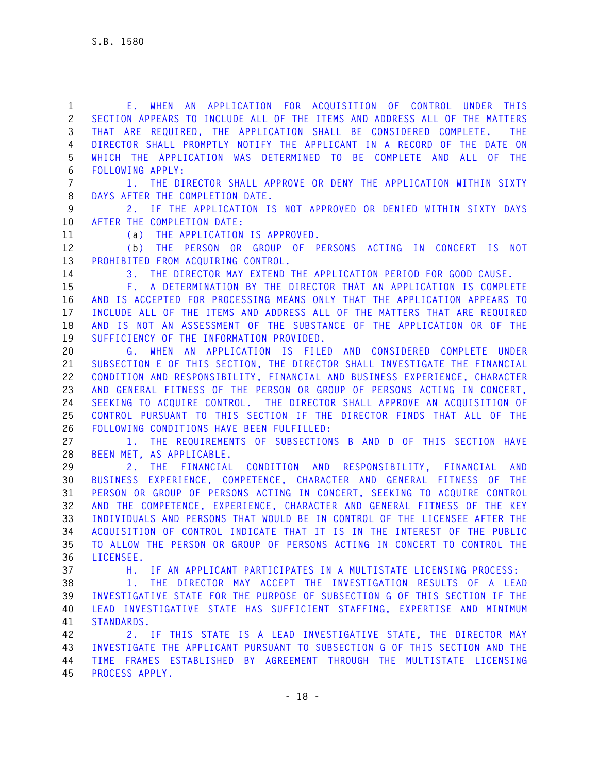**1 E. WHEN AN APPLICATION FOR ACQUISITION OF CONTROL UNDER THIS 2 SECTION APPEARS TO INCLUDE ALL OF THE ITEMS AND ADDRESS ALL OF THE MATTERS 3 THAT ARE REQUIRED, THE APPLICATION SHALL BE CONSIDERED COMPLETE. THE 4 DIRECTOR SHALL PROMPTLY NOTIFY THE APPLICANT IN A RECORD OF THE DATE ON 5 WHICH THE APPLICATION WAS DETERMINED TO BE COMPLETE AND ALL OF THE 6 FOLLOWING APPLY: 7 1. THE DIRECTOR SHALL APPROVE OR DENY THE APPLICATION WITHIN SIXTY 8 DAYS AFTER THE COMPLETION DATE. 9 2. IF THE APPLICATION IS NOT APPROVED OR DENIED WITHIN SIXTY DAYS 10 AFTER THE COMPLETION DATE: 11 (a) THE APPLICATION IS APPROVED. 12 (b) THE PERSON OR GROUP OF PERSONS ACTING IN CONCERT IS NOT 13 PROHIBITED FROM ACQUIRING CONTROL. 14 3. THE DIRECTOR MAY EXTEND THE APPLICATION PERIOD FOR GOOD CAUSE. 15 F. A DETERMINATION BY THE DIRECTOR THAT AN APPLICATION IS COMPLETE 16 AND IS ACCEPTED FOR PROCESSING MEANS ONLY THAT THE APPLICATION APPEARS TO 17 INCLUDE ALL OF THE ITEMS AND ADDRESS ALL OF THE MATTERS THAT ARE REQUIRED 18 AND IS NOT AN ASSESSMENT OF THE SUBSTANCE OF THE APPLICATION OR OF THE 19 SUFFICIENCY OF THE INFORMATION PROVIDED. 20 G. WHEN AN APPLICATION IS FILED AND CONSIDERED COMPLETE UNDER 21 SUBSECTION E OF THIS SECTION, THE DIRECTOR SHALL INVESTIGATE THE FINANCIAL 22 CONDITION AND RESPONSIBILITY, FINANCIAL AND BUSINESS EXPERIENCE, CHARACTER 23 AND GENERAL FITNESS OF THE PERSON OR GROUP OF PERSONS ACTING IN CONCERT, 24 SEEKING TO ACQUIRE CONTROL. THE DIRECTOR SHALL APPROVE AN ACQUISITION OF 25 CONTROL PURSUANT TO THIS SECTION IF THE DIRECTOR FINDS THAT ALL OF THE 26 FOLLOWING CONDITIONS HAVE BEEN FULFILLED: 27 1. THE REQUIREMENTS OF SUBSECTIONS B AND D OF THIS SECTION HAVE 28 BEEN MET, AS APPLICABLE. 29 2. THE FINANCIAL CONDITION AND RESPONSIBILITY, FINANCIAL AND 30 BUSINESS EXPERIENCE, COMPETENCE, CHARACTER AND GENERAL FITNESS OF THE 31 PERSON OR GROUP OF PERSONS ACTING IN CONCERT, SEEKING TO ACQUIRE CONTROL 32 AND THE COMPETENCE, EXPERIENCE, CHARACTER AND GENERAL FITNESS OF THE KEY 33 INDIVIDUALS AND PERSONS THAT WOULD BE IN CONTROL OF THE LICENSEE AFTER THE 34 ACQUISITION OF CONTROL INDICATE THAT IT IS IN THE INTEREST OF THE PUBLIC 35 TO ALLOW THE PERSON OR GROUP OF PERSONS ACTING IN CONCERT TO CONTROL THE 36 LICENSEE. 37 H. IF AN APPLICANT PARTICIPATES IN A MULTISTATE LICENSING PROCESS: 38 1. THE DIRECTOR MAY ACCEPT THE INVESTIGATION RESULTS OF A LEAD 39 INVESTIGATIVE STATE FOR THE PURPOSE OF SUBSECTION G OF THIS SECTION IF THE 40 LEAD INVESTIGATIVE STATE HAS SUFFICIENT STAFFING, EXPERTISE AND MINIMUM 41 STANDARDS. 42 2. IF THIS STATE IS A LEAD INVESTIGATIVE STATE, THE DIRECTOR MAY 43 INVESTIGATE THE APPLICANT PURSUANT TO SUBSECTION G OF THIS SECTION AND THE** 

**44 TIME FRAMES ESTABLISHED BY AGREEMENT THROUGH THE MULTISTATE LICENSING 45 PROCESS APPLY.**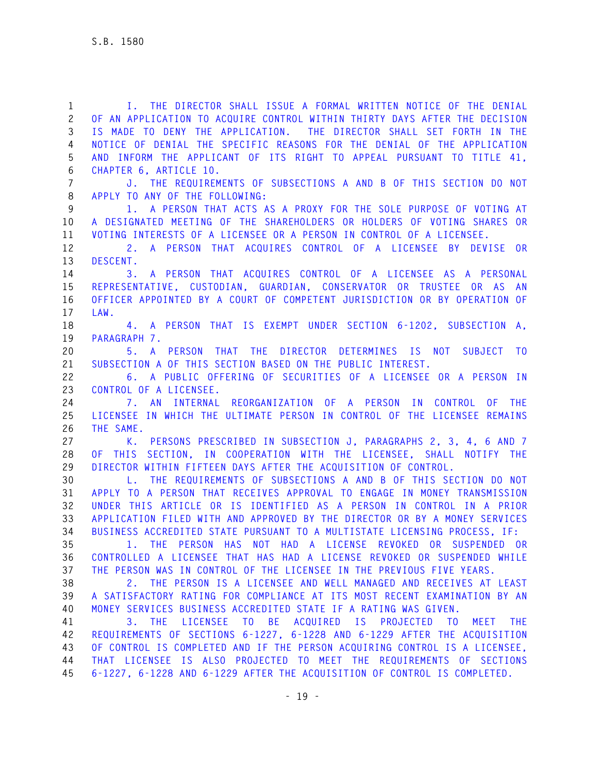**1 I. THE DIRECTOR SHALL ISSUE A FORMAL WRITTEN NOTICE OF THE DENIAL 2 OF AN APPLICATION TO ACQUIRE CONTROL WITHIN THIRTY DAYS AFTER THE DECISION 3 IS MADE TO DENY THE APPLICATION. THE DIRECTOR SHALL SET FORTH IN THE 4 NOTICE OF DENIAL THE SPECIFIC REASONS FOR THE DENIAL OF THE APPLICATION 5 AND INFORM THE APPLICANT OF ITS RIGHT TO APPEAL PURSUANT TO TITLE 41, 6 CHAPTER 6, ARTICLE 10. 7 J. THE REQUIREMENTS OF SUBSECTIONS A AND B OF THIS SECTION DO NOT 8 APPLY TO ANY OF THE FOLLOWING: 9 1. A PERSON THAT ACTS AS A PROXY FOR THE SOLE PURPOSE OF VOTING AT 10 A DESIGNATED MEETING OF THE SHAREHOLDERS OR HOLDERS OF VOTING SHARES OR 11 VOTING INTERESTS OF A LICENSEE OR A PERSON IN CONTROL OF A LICENSEE. 12 2. A PERSON THAT ACQUIRES CONTROL OF A LICENSEE BY DEVISE OR 13 DESCENT. 14 3. A PERSON THAT ACQUIRES CONTROL OF A LICENSEE AS A PERSONAL 15 REPRESENTATIVE, CUSTODIAN, GUARDIAN, CONSERVATOR OR TRUSTEE OR AS AN 16 OFFICER APPOINTED BY A COURT OF COMPETENT JURISDICTION OR BY OPERATION OF 17 LAW. 18 4. A PERSON THAT IS EXEMPT UNDER SECTION 6-1202, SUBSECTION A, 19 PARAGRAPH 7. 20 5. A PERSON THAT THE DIRECTOR DETERMINES IS NOT SUBJECT TO 21 SUBSECTION A OF THIS SECTION BASED ON THE PUBLIC INTEREST. 22 6. A PUBLIC OFFERING OF SECURITIES OF A LICENSEE OR A PERSON IN 23 CONTROL OF A LICENSEE. 24 7. AN INTERNAL REORGANIZATION OF A PERSON IN CONTROL OF THE 25 LICENSEE IN WHICH THE ULTIMATE PERSON IN CONTROL OF THE LICENSEE REMAINS 26 THE SAME. 27 K. PERSONS PRESCRIBED IN SUBSECTION J, PARAGRAPHS 2, 3, 4, 6 AND 7 28 OF THIS SECTION, IN COOPERATION WITH THE LICENSEE, SHALL NOTIFY THE 29 DIRECTOR WITHIN FIFTEEN DAYS AFTER THE ACQUISITION OF CONTROL. 30 L. THE REQUIREMENTS OF SUBSECTIONS A AND B OF THIS SECTION DO NOT 31 APPLY TO A PERSON THAT RECEIVES APPROVAL TO ENGAGE IN MONEY TRANSMISSION 32 UNDER THIS ARTICLE OR IS IDENTIFIED AS A PERSON IN CONTROL IN A PRIOR 33 APPLICATION FILED WITH AND APPROVED BY THE DIRECTOR OR BY A MONEY SERVICES 34 BUSINESS ACCREDITED STATE PURSUANT TO A MULTISTATE LICENSING PROCESS, IF: 35 1. THE PERSON HAS NOT HAD A LICENSE REVOKED OR SUSPENDED OR 36 CONTROLLED A LICENSEE THAT HAS HAD A LICENSE REVOKED OR SUSPENDED WHILE 37 THE PERSON WAS IN CONTROL OF THE LICENSEE IN THE PREVIOUS FIVE YEARS. 38 2. THE PERSON IS A LICENSEE AND WELL MANAGED AND RECEIVES AT LEAST 39 A SATISFACTORY RATING FOR COMPLIANCE AT ITS MOST RECENT EXAMINATION BY AN 40 MONEY SERVICES BUSINESS ACCREDITED STATE IF A RATING WAS GIVEN. 41 3. THE LICENSEE TO BE ACQUIRED IS PROJECTED TO MEET THE 42 REQUIREMENTS OF SECTIONS 6-1227, 6-1228 AND 6-1229 AFTER THE ACQUISITION 43 OF CONTROL IS COMPLETED AND IF THE PERSON ACQUIRING CONTROL IS A LICENSEE, 44 THAT LICENSEE IS ALSO PROJECTED TO MEET THE REQUIREMENTS OF SECTIONS 45 6-1227, 6-1228 AND 6-1229 AFTER THE ACQUISITION OF CONTROL IS COMPLETED.**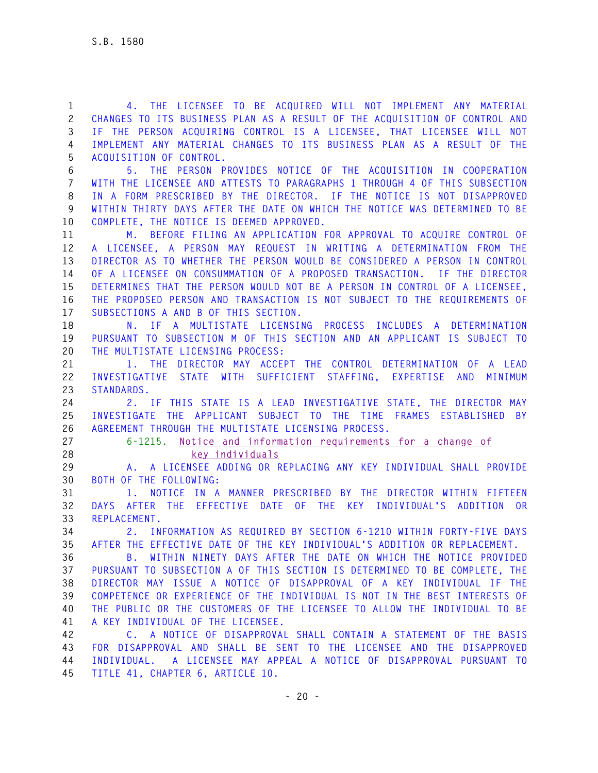**1 4. THE LICENSEE TO BE ACQUIRED WILL NOT IMPLEMENT ANY MATERIAL 2 CHANGES TO ITS BUSINESS PLAN AS A RESULT OF THE ACQUISITION OF CONTROL AND 3 IF THE PERSON ACQUIRING CONTROL IS A LICENSEE, THAT LICENSEE WILL NOT 4 IMPLEMENT ANY MATERIAL CHANGES TO ITS BUSINESS PLAN AS A RESULT OF THE 5 ACQUISITION OF CONTROL. 6 5. THE PERSON PROVIDES NOTICE OF THE ACQUISITION IN COOPERATION 7 WITH THE LICENSEE AND ATTESTS TO PARAGRAPHS 1 THROUGH 4 OF THIS SUBSECTION 8 IN A FORM PRESCRIBED BY THE DIRECTOR. IF THE NOTICE IS NOT DISAPPROVED 9 WITHIN THIRTY DAYS AFTER THE DATE ON WHICH THE NOTICE WAS DETERMINED TO BE 10 COMPLETE, THE NOTICE IS DEEMED APPROVED. 11 M. BEFORE FILING AN APPLICATION FOR APPROVAL TO ACQUIRE CONTROL OF 12 A LICENSEE, A PERSON MAY REQUEST IN WRITING A DETERMINATION FROM THE 13 DIRECTOR AS TO WHETHER THE PERSON WOULD BE CONSIDERED A PERSON IN CONTROL 14 OF A LICENSEE ON CONSUMMATION OF A PROPOSED TRANSACTION. IF THE DIRECTOR 15 DETERMINES THAT THE PERSON WOULD NOT BE A PERSON IN CONTROL OF A LICENSEE, 16 THE PROPOSED PERSON AND TRANSACTION IS NOT SUBJECT TO THE REQUIREMENTS OF 17 SUBSECTIONS A AND B OF THIS SECTION. 18 N. IF A MULTISTATE LICENSING PROCESS INCLUDES A DETERMINATION 19 PURSUANT TO SUBSECTION M OF THIS SECTION AND AN APPLICANT IS SUBJECT TO 20 THE MULTISTATE LICENSING PROCESS: 21 1. THE DIRECTOR MAY ACCEPT THE CONTROL DETERMINATION OF A LEAD 22 INVESTIGATIVE STATE WITH SUFFICIENT STAFFING, EXPERTISE AND MINIMUM 23 STANDARDS. 24 2. IF THIS STATE IS A LEAD INVESTIGATIVE STATE, THE DIRECTOR MAY 25 INVESTIGATE THE APPLICANT SUBJECT TO THE TIME FRAMES ESTABLISHED BY 26 AGREEMENT THROUGH THE MULTISTATE LICENSING PROCESS. 27 6-1215. Notice and information requirements for a change of 28 key individuals 29 A. A LICENSEE ADDING OR REPLACING ANY KEY INDIVIDUAL SHALL PROVIDE 30 BOTH OF THE FOLLOWING: 31 1. NOTICE IN A MANNER PRESCRIBED BY THE DIRECTOR WITHIN FIFTEEN 32 DAYS AFTER THE EFFECTIVE DATE OF THE KEY INDIVIDUAL'S ADDITION OR 33 REPLACEMENT. 34 2. INFORMATION AS REQUIRED BY SECTION 6-1210 WITHIN FORTY-FIVE DAYS 35 AFTER THE EFFECTIVE DATE OF THE KEY INDIVIDUAL'S ADDITION OR REPLACEMENT. 36 B. WITHIN NINETY DAYS AFTER THE DATE ON WHICH THE NOTICE PROVIDED 37 PURSUANT TO SUBSECTION A OF THIS SECTION IS DETERMINED TO BE COMPLETE, THE 38 DIRECTOR MAY ISSUE A NOTICE OF DISAPPROVAL OF A KEY INDIVIDUAL IF THE 39 COMPETENCE OR EXPERIENCE OF THE INDIVIDUAL IS NOT IN THE BEST INTERESTS OF 40 THE PUBLIC OR THE CUSTOMERS OF THE LICENSEE TO ALLOW THE INDIVIDUAL TO BE 41 A KEY INDIVIDUAL OF THE LICENSEE. 42 C. A NOTICE OF DISAPPROVAL SHALL CONTAIN A STATEMENT OF THE BASIS 43 FOR DISAPPROVAL AND SHALL BE SENT TO THE LICENSEE AND THE DISAPPROVED 44 INDIVIDUAL. A LICENSEE MAY APPEAL A NOTICE OF DISAPPROVAL PURSUANT TO 45 TITLE 41, CHAPTER 6, ARTICLE 10.**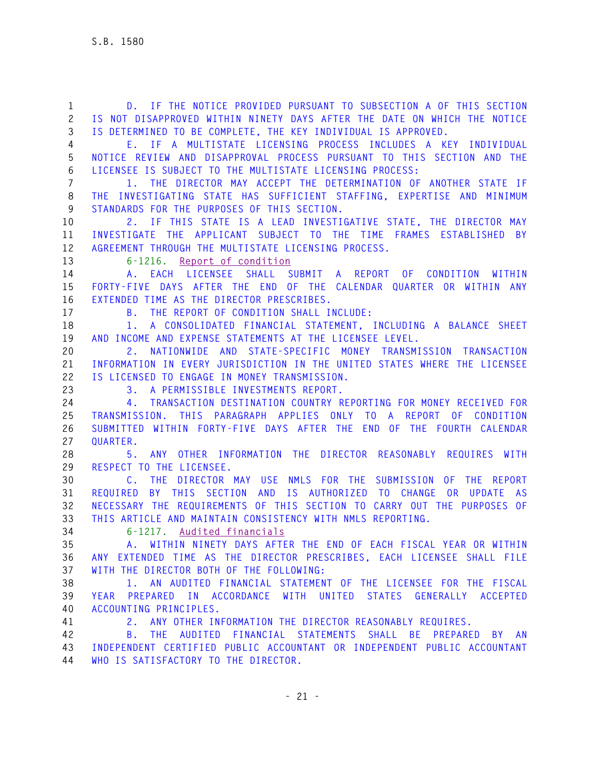**1 D. IF THE NOTICE PROVIDED PURSUANT TO SUBSECTION A OF THIS SECTION 2 IS NOT DISAPPROVED WITHIN NINETY DAYS AFTER THE DATE ON WHICH THE NOTICE 3 IS DETERMINED TO BE COMPLETE, THE KEY INDIVIDUAL IS APPROVED. 4 E. IF A MULTISTATE LICENSING PROCESS INCLUDES A KEY INDIVIDUAL 5 NOTICE REVIEW AND DISAPPROVAL PROCESS PURSUANT TO THIS SECTION AND THE 6 LICENSEE IS SUBJECT TO THE MULTISTATE LICENSING PROCESS: 7 1. THE DIRECTOR MAY ACCEPT THE DETERMINATION OF ANOTHER STATE IF 8 THE INVESTIGATING STATE HAS SUFFICIENT STAFFING, EXPERTISE AND MINIMUM 9 STANDARDS FOR THE PURPOSES OF THIS SECTION. 10 2. IF THIS STATE IS A LEAD INVESTIGATIVE STATE, THE DIRECTOR MAY 11 INVESTIGATE THE APPLICANT SUBJECT TO THE TIME FRAMES ESTABLISHED BY 12 AGREEMENT THROUGH THE MULTISTATE LICENSING PROCESS. 13 6-1216. Report of condition 14 A. EACH LICENSEE SHALL SUBMIT A REPORT OF CONDITION WITHIN 15 FORTY-FIVE DAYS AFTER THE END OF THE CALENDAR QUARTER OR WITHIN ANY 16 EXTENDED TIME AS THE DIRECTOR PRESCRIBES. 17 B. THE REPORT OF CONDITION SHALL INCLUDE: 18 1. A CONSOLIDATED FINANCIAL STATEMENT, INCLUDING A BALANCE SHEET 19 AND INCOME AND EXPENSE STATEMENTS AT THE LICENSEE LEVEL. 20 2. NATIONWIDE AND STATE-SPECIFIC MONEY TRANSMISSION TRANSACTION 21 INFORMATION IN EVERY JURISDICTION IN THE UNITED STATES WHERE THE LICENSEE 22 IS LICENSED TO ENGAGE IN MONEY TRANSMISSION. 23 3. A PERMISSIBLE INVESTMENTS REPORT. 24 4. TRANSACTION DESTINATION COUNTRY REPORTING FOR MONEY RECEIVED FOR 25 TRANSMISSION. THIS PARAGRAPH APPLIES ONLY TO A REPORT OF CONDITION 26 SUBMITTED WITHIN FORTY-FIVE DAYS AFTER THE END OF THE FOURTH CALENDAR 27 QUARTER. 28 5. ANY OTHER INFORMATION THE DIRECTOR REASONABLY REQUIRES WITH 29 RESPECT TO THE LICENSEE. 30 C. THE DIRECTOR MAY USE NMLS FOR THE SUBMISSION OF THE REPORT 31 REQUIRED BY THIS SECTION AND IS AUTHORIZED TO CHANGE OR UPDATE AS 32 NECESSARY THE REQUIREMENTS OF THIS SECTION TO CARRY OUT THE PURPOSES OF 33 THIS ARTICLE AND MAINTAIN CONSISTENCY WITH NMLS REPORTING. 34 6-1217. Audited financials 35 A. WITHIN NINETY DAYS AFTER THE END OF EACH FISCAL YEAR OR WITHIN 36 ANY EXTENDED TIME AS THE DIRECTOR PRESCRIBES, EACH LICENSEE SHALL FILE 37 WITH THE DIRECTOR BOTH OF THE FOLLOWING: 38 1. AN AUDITED FINANCIAL STATEMENT OF THE LICENSEE FOR THE FISCAL 39 YEAR PREPARED IN ACCORDANCE WITH UNITED STATES GENERALLY ACCEPTED 40 ACCOUNTING PRINCIPLES. 41 2. ANY OTHER INFORMATION THE DIRECTOR REASONABLY REQUIRES. 42 B. THE AUDITED FINANCIAL STATEMENTS SHALL BE PREPARED BY AN 43 INDEPENDENT CERTIFIED PUBLIC ACCOUNTANT OR INDEPENDENT PUBLIC ACCOUNTANT 44 WHO IS SATISFACTORY TO THE DIRECTOR.**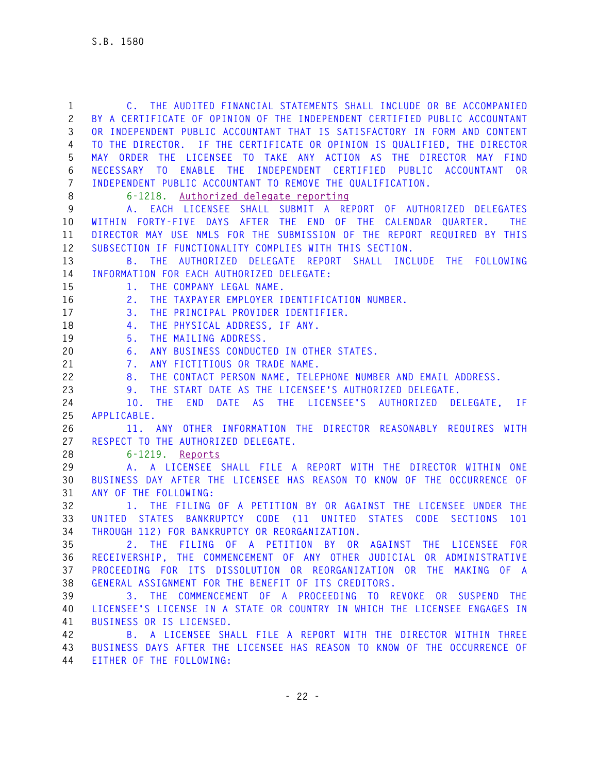| $\mathbf{1}$   | C. THE AUDITED FINANCIAL STATEMENTS SHALL INCLUDE OR BE ACCOMPANIED                  |
|----------------|--------------------------------------------------------------------------------------|
| $\mathbf{2}$   | BY A CERTIFICATE OF OPINION OF THE INDEPENDENT CERTIFIED PUBLIC ACCOUNTANT           |
| 3              | OR INDEPENDENT PUBLIC ACCOUNTANT THAT IS SATISFACTORY IN FORM AND CONTENT            |
| 4              | TO THE DIRECTOR. IF THE CERTIFICATE OR OPINION IS QUALIFIED, THE DIRECTOR            |
| 5              | MAY ORDER THE LICENSEE TO TAKE ANY ACTION AS THE DIRECTOR MAY FIND                   |
| 6              | NECESSARY TO ENABLE THE INDEPENDENT CERTIFIED PUBLIC ACCOUNTANT OR                   |
| $\overline{7}$ | INDEPENDENT PUBLIC ACCOUNTANT TO REMOVE THE QUALIFICATION.                           |
| $\,8\,$        | Authorized delegate reporting<br>$6 - 1218$ .                                        |
| 9              | A. EACH LICENSEE SHALL SUBMIT A REPORT OF AUTHORIZED DELEGATES                       |
| 10             | WITHIN FORTY-FIVE DAYS AFTER THE END OF THE CALENDAR QUARTER. THE                    |
| 11             | DIRECTOR MAY USE NMLS FOR THE SUBMISSION OF THE REPORT REQUIRED BY THIS              |
| 12             | SUBSECTION IF FUNCTIONALITY COMPLIES WITH THIS SECTION.                              |
| 13             | B. THE AUTHORIZED DELEGATE REPORT SHALL INCLUDE THE FOLLOWING                        |
| 14             | INFORMATION FOR EACH AUTHORIZED DELEGATE:                                            |
| 15             | 1. THE COMPANY LEGAL NAME.                                                           |
| 16             | THE TAXPAYER EMPLOYER IDENTIFICATION NUMBER.<br>2.                                   |
| 17             | THE PRINCIPAL PROVIDER IDENTIFIER.<br>3.                                             |
| 18             | THE PHYSICAL ADDRESS, IF ANY.<br>4.                                                  |
| 19             | THE MAILING ADDRESS.<br>5.                                                           |
| 20             | ANY BUSINESS CONDUCTED IN OTHER STATES.<br>6.                                        |
| 21             | ANY FICTITIOUS OR TRADE NAME.<br>7.                                                  |
| 22             | THE CONTACT PERSON NAME, TELEPHONE NUMBER AND EMAIL ADDRESS.<br>8.                   |
| 23             | THE START DATE AS THE LICENSEE'S AUTHORIZED DELEGATE.<br>9.                          |
| 24             | END<br>DATE AS THE LICENSEE'S AUTHORIZED DELEGATE, IF<br>10. THE                     |
| 25             | APPLICABLE.                                                                          |
| 26             | 11. ANY OTHER INFORMATION THE DIRECTOR REASONABLY REQUIRES WITH                      |
| 27             | RESPECT TO THE AUTHORIZED DELEGATE.                                                  |
| 28             | $6 - 1219$ .<br>Reports                                                              |
| 29             | A. A LICENSEE SHALL FILE A REPORT WITH THE DIRECTOR WITHIN ONE                       |
| 30             | BUSINESS DAY AFTER THE LICENSEE HAS REASON TO KNOW OF THE OCCURRENCE OF              |
| 31             | ANY OF THE FOLLOWING:                                                                |
| 32             | 1. THE FILING OF A PETITION BY OR AGAINST THE LICENSEE UNDER THE                     |
| 33             | STATES BANKRUPTCY CODE (11 UNITED<br>STATES CODE<br><b>SECTIONS</b><br>UNITED<br>101 |
| 34             | THROUGH 112) FOR BANKRUPTCY OR REORGANIZATION.                                       |
| 35             | 2. THE FILING OF A PETITION BY OR AGAINST THE LICENSEE FOR                           |
| 36             | RECEIVERSHIP, THE COMMENCEMENT OF ANY OTHER JUDICIAL OR ADMINISTRATIVE               |
| 37             | PROCEEDING FOR ITS DISSOLUTION OR REORGANIZATION OR THE MAKING OF A                  |
| 38             | GENERAL ASSIGNMENT FOR THE BENEFIT OF ITS CREDITORS.                                 |
| 39             | 3. THE COMMENCEMENT OF A PROCEEDING TO REVOKE OR SUSPEND THE                         |
| 40             | LICENSEE'S LICENSE IN A STATE OR COUNTRY IN WHICH THE LICENSEE ENGAGES IN            |
| 41             | BUSINESS OR IS LICENSED.                                                             |
| 42             | B. A LICENSEE SHALL FILE A REPORT WITH THE DIRECTOR WITHIN THREE                     |
| 43<br>44       | BUSINESS DAYS AFTER THE LICENSEE HAS REASON TO KNOW OF THE OCCURRENCE OF             |
|                | EITHER OF THE FOLLOWING:                                                             |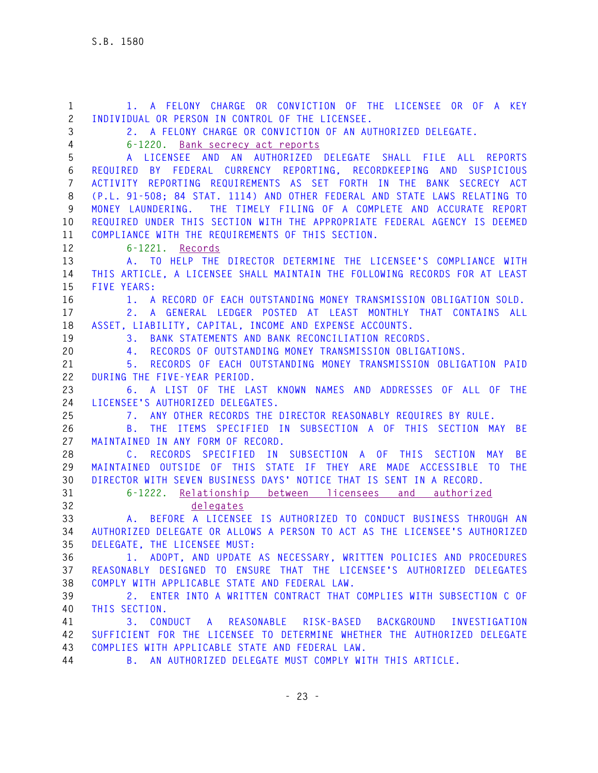**1 1. A FELONY CHARGE OR CONVICTION OF THE LICENSEE OR OF A KEY 2 INDIVIDUAL OR PERSON IN CONTROL OF THE LICENSEE. 3 2. A FELONY CHARGE OR CONVICTION OF AN AUTHORIZED DELEGATE. 4 6-1220. Bank secrecy act reports 5 A LICENSEE AND AN AUTHORIZED DELEGATE SHALL FILE ALL REPORTS 6 REQUIRED BY FEDERAL CURRENCY REPORTING, RECORDKEEPING AND SUSPICIOUS 7 ACTIVITY REPORTING REQUIREMENTS AS SET FORTH IN THE BANK SECRECY ACT 8 (P.L. 91-508; 84 STAT. 1114) AND OTHER FEDERAL AND STATE LAWS RELATING TO 9 MONEY LAUNDERING. THE TIMELY FILING OF A COMPLETE AND ACCURATE REPORT 10 REQUIRED UNDER THIS SECTION WITH THE APPROPRIATE FEDERAL AGENCY IS DEEMED 11 COMPLIANCE WITH THE REQUIREMENTS OF THIS SECTION. 12 6-1221. Records 13 A. TO HELP THE DIRECTOR DETERMINE THE LICENSEE'S COMPLIANCE WITH 14 THIS ARTICLE, A LICENSEE SHALL MAINTAIN THE FOLLOWING RECORDS FOR AT LEAST 15 FIVE YEARS: 16 1. A RECORD OF EACH OUTSTANDING MONEY TRANSMISSION OBLIGATION SOLD. 17 2. A GENERAL LEDGER POSTED AT LEAST MONTHLY THAT CONTAINS ALL 18 ASSET, LIABILITY, CAPITAL, INCOME AND EXPENSE ACCOUNTS. 19 3. BANK STATEMENTS AND BANK RECONCILIATION RECORDS. 20 4. RECORDS OF OUTSTANDING MONEY TRANSMISSION OBLIGATIONS. 21 5. RECORDS OF EACH OUTSTANDING MONEY TRANSMISSION OBLIGATION PAID 22 DURING THE FIVE-YEAR PERIOD. 23 6. A LIST OF THE LAST KNOWN NAMES AND ADDRESSES OF ALL OF THE 24 LICENSEE'S AUTHORIZED DELEGATES. 25 7. ANY OTHER RECORDS THE DIRECTOR REASONABLY REQUIRES BY RULE. 26 B. THE ITEMS SPECIFIED IN SUBSECTION A OF THIS SECTION MAY BE 27 MAINTAINED IN ANY FORM OF RECORD. 28 C. RECORDS SPECIFIED IN SUBSECTION A OF THIS SECTION MAY BE 29 MAINTAINED OUTSIDE OF THIS STATE IF THEY ARE MADE ACCESSIBLE TO THE 30 DIRECTOR WITH SEVEN BUSINESS DAYS' NOTICE THAT IS SENT IN A RECORD. 31 6-1222. Relationship between licensees and authorized 32 delegates 33 A. BEFORE A LICENSEE IS AUTHORIZED TO CONDUCT BUSINESS THROUGH AN 34 AUTHORIZED DELEGATE OR ALLOWS A PERSON TO ACT AS THE LICENSEE'S AUTHORIZED 35 DELEGATE, THE LICENSEE MUST: 36 1. ADOPT, AND UPDATE AS NECESSARY, WRITTEN POLICIES AND PROCEDURES 37 REASONABLY DESIGNED TO ENSURE THAT THE LICENSEE'S AUTHORIZED DELEGATES 38 COMPLY WITH APPLICABLE STATE AND FEDERAL LAW. 39 2. ENTER INTO A WRITTEN CONTRACT THAT COMPLIES WITH SUBSECTION C OF 40 THIS SECTION. 41 3. CONDUCT A REASONABLE RISK-BASED BACKGROUND INVESTIGATION 42 SUFFICIENT FOR THE LICENSEE TO DETERMINE WHETHER THE AUTHORIZED DELEGATE 43 COMPLIES WITH APPLICABLE STATE AND FEDERAL LAW. 44 B. AN AUTHORIZED DELEGATE MUST COMPLY WITH THIS ARTICLE.**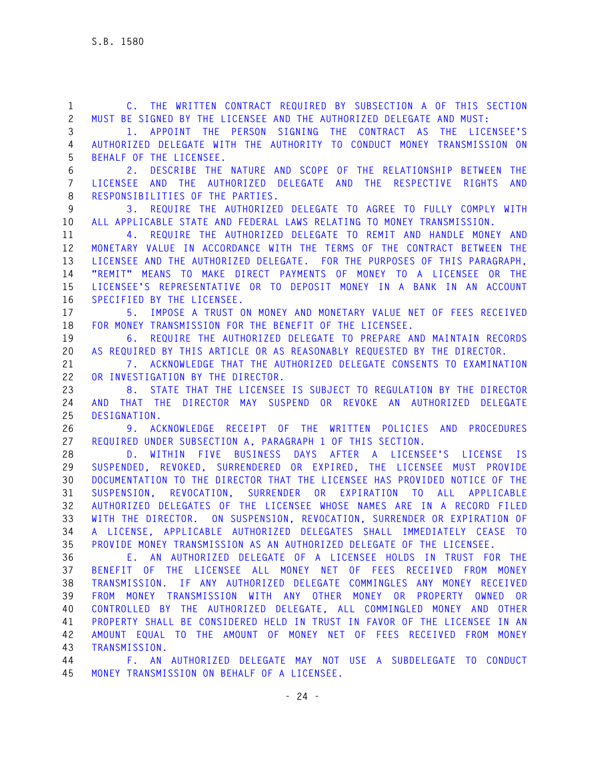**1 C. THE WRITTEN CONTRACT REQUIRED BY SUBSECTION A OF THIS SECTION 2 MUST BE SIGNED BY THE LICENSEE AND THE AUTHORIZED DELEGATE AND MUST: 3 1. APPOINT THE PERSON SIGNING THE CONTRACT AS THE LICENSEE'S 4 AUTHORIZED DELEGATE WITH THE AUTHORITY TO CONDUCT MONEY TRANSMISSION ON 5 BEHALF OF THE LICENSEE. 6 2. DESCRIBE THE NATURE AND SCOPE OF THE RELATIONSHIP BETWEEN THE 7 LICENSEE AND THE AUTHORIZED DELEGATE AND THE RESPECTIVE RIGHTS AND 8 RESPONSIBILITIES OF THE PARTIES. 9 3. REQUIRE THE AUTHORIZED DELEGATE TO AGREE TO FULLY COMPLY WITH 10 ALL APPLICABLE STATE AND FEDERAL LAWS RELATING TO MONEY TRANSMISSION. 11 4. REQUIRE THE AUTHORIZED DELEGATE TO REMIT AND HANDLE MONEY AND 12 MONETARY VALUE IN ACCORDANCE WITH THE TERMS OF THE CONTRACT BETWEEN THE 13 LICENSEE AND THE AUTHORIZED DELEGATE. FOR THE PURPOSES OF THIS PARAGRAPH, 14 "REMIT" MEANS TO MAKE DIRECT PAYMENTS OF MONEY TO A LICENSEE OR THE 15 LICENSEE'S REPRESENTATIVE OR TO DEPOSIT MONEY IN A BANK IN AN ACCOUNT 16 SPECIFIED BY THE LICENSEE. 17 5. IMPOSE A TRUST ON MONEY AND MONETARY VALUE NET OF FEES RECEIVED 18 FOR MONEY TRANSMISSION FOR THE BENEFIT OF THE LICENSEE. 19 6. REQUIRE THE AUTHORIZED DELEGATE TO PREPARE AND MAINTAIN RECORDS 20 AS REQUIRED BY THIS ARTICLE OR AS REASONABLY REQUESTED BY THE DIRECTOR. 21 7. ACKNOWLEDGE THAT THE AUTHORIZED DELEGATE CONSENTS TO EXAMINATION 22 OR INVESTIGATION BY THE DIRECTOR. 23 8. STATE THAT THE LICENSEE IS SUBJECT TO REGULATION BY THE DIRECTOR 24 AND THAT THE DIRECTOR MAY SUSPEND OR REVOKE AN AUTHORIZED DELEGATE 25 DESIGNATION. 26 9. ACKNOWLEDGE RECEIPT OF THE WRITTEN POLICIES AND PROCEDURES 27 REQUIRED UNDER SUBSECTION A, PARAGRAPH 1 OF THIS SECTION. 28 D. WITHIN FIVE BUSINESS DAYS AFTER A LICENSEE'S LICENSE IS 29 SUSPENDED, REVOKED, SURRENDERED OR EXPIRED, THE LICENSEE MUST PROVIDE 30 DOCUMENTATION TO THE DIRECTOR THAT THE LICENSEE HAS PROVIDED NOTICE OF THE 31 SUSPENSION, REVOCATION, SURRENDER OR EXPIRATION TO ALL APPLICABLE 32 AUTHORIZED DELEGATES OF THE LICENSEE WHOSE NAMES ARE IN A RECORD FILED 33 WITH THE DIRECTOR. ON SUSPENSION, REVOCATION, SURRENDER OR EXPIRATION OF 34 A LICENSE, APPLICABLE AUTHORIZED DELEGATES SHALL IMMEDIATELY CEASE TO 35 PROVIDE MONEY TRANSMISSION AS AN AUTHORIZED DELEGATE OF THE LICENSEE. 36 E. AN AUTHORIZED DELEGATE OF A LICENSEE HOLDS IN TRUST FOR THE 37 BENEFIT OF THE LICENSEE ALL MONEY NET OF FEES RECEIVED FROM MONEY 38 TRANSMISSION. IF ANY AUTHORIZED DELEGATE COMMINGLES ANY MONEY RECEIVED 39 FROM MONEY TRANSMISSION WITH ANY OTHER MONEY OR PROPERTY OWNED OR 40 CONTROLLED BY THE AUTHORIZED DELEGATE, ALL COMMINGLED MONEY AND OTHER 41 PROPERTY SHALL BE CONSIDERED HELD IN TRUST IN FAVOR OF THE LICENSEE IN AN 42 AMOUNT EQUAL TO THE AMOUNT OF MONEY NET OF FEES RECEIVED FROM MONEY 43 TRANSMISSION. 44 F. AN AUTHORIZED DELEGATE MAY NOT USE A SUBDELEGATE TO CONDUCT 45 MONEY TRANSMISSION ON BEHALF OF A LICENSEE.**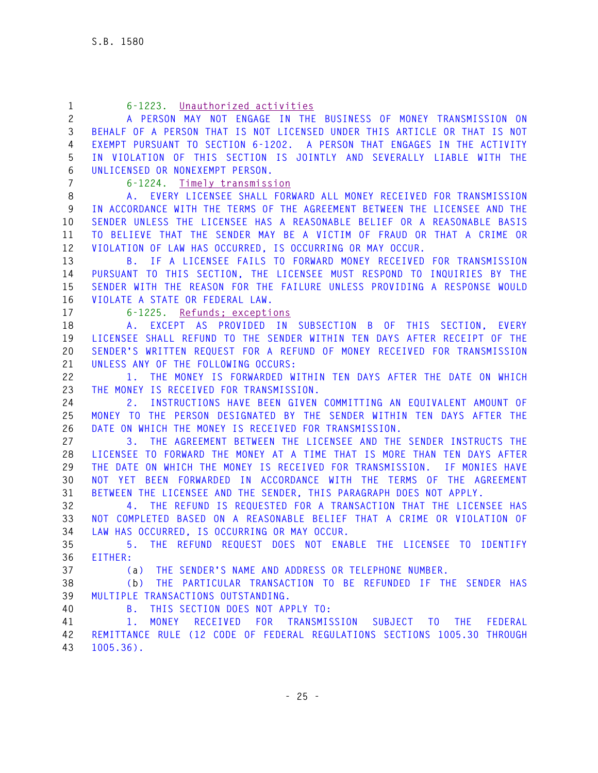| $\mathbf{1}$   | 6-1223. Unauthorized activities                                                    |
|----------------|------------------------------------------------------------------------------------|
| $\overline{c}$ | A PERSON MAY NOT ENGAGE IN THE BUSINESS OF MONEY TRANSMISSION ON                   |
| 3              | BEHALF OF A PERSON THAT IS NOT LICENSED UNDER THIS ARTICLE OR THAT IS NOT          |
| 4              | EXEMPT PURSUANT TO SECTION 6-1202. A PERSON THAT ENGAGES IN THE ACTIVITY           |
| 5              | IN VIOLATION OF THIS SECTION IS JOINTLY AND SEVERALLY LIABLE WITH THE              |
| 6              | UNLICENSED OR NONEXEMPT PERSON.                                                    |
| $\overline{7}$ | $6 - 1224$ .<br>Timely transmission                                                |
| 8              | A. EVERY LICENSEE SHALL FORWARD ALL MONEY RECEIVED FOR TRANSMISSION                |
| 9              | IN ACCORDANCE WITH THE TERMS OF THE AGREEMENT BETWEEN THE LICENSEE AND THE         |
| 10             | SENDER UNLESS THE LICENSEE HAS A REASONABLE BELIEF OR A REASONABLE BASIS           |
| 11             | TO BELIEVE THAT THE SENDER MAY BE A VICTIM OF FRAUD OR THAT A CRIME OR             |
| 12             | VIOLATION OF LAW HAS OCCURRED, IS OCCURRING OR MAY OCCUR.                          |
| 13             | B. IF A LICENSEE FAILS TO FORWARD MONEY RECEIVED FOR TRANSMISSION                  |
| 14             | PURSUANT TO THIS SECTION, THE LICENSEE MUST RESPOND TO INQUIRIES BY THE            |
| 15             | SENDER WITH THE REASON FOR THE FAILURE UNLESS PROVIDING A RESPONSE WOULD           |
| 16             | VIOLATE A STATE OR FEDERAL LAW.                                                    |
| 17             | $6 - 1225$ .<br>Refunds; exceptions                                                |
| 18             | A. EXCEPT AS PROVIDED IN SUBSECTION B OF THIS SECTION, EVERY                       |
| 19             | LICENSEE SHALL REFUND TO THE SENDER WITHIN TEN DAYS AFTER RECEIPT OF THE           |
| 20             | SENDER'S WRITTEN REQUEST FOR A REFUND OF MONEY RECEIVED FOR TRANSMISSION           |
| 21             | UNLESS ANY OF THE FOLLOWING OCCURS:                                                |
| 22             | 1. THE MONEY IS FORWARDED WITHIN TEN DAYS AFTER THE DATE ON WHICH                  |
| 23             | THE MONEY IS RECEIVED FOR TRANSMISSION.                                            |
| 24             | INSTRUCTIONS HAVE BEEN GIVEN COMMITTING AN EQUIVALENT AMOUNT OF<br>2.              |
| 25             | THE PERSON DESIGNATED BY THE SENDER WITHIN TEN DAYS AFTER THE<br>MONEY TO          |
| 26             | DATE ON WHICH THE MONEY IS RECEIVED FOR TRANSMISSION.                              |
| 27             | 3. THE AGREEMENT BETWEEN THE LICENSEE AND THE SENDER INSTRUCTS THE                 |
| 28             | LICENSEE TO FORWARD THE MONEY AT A TIME THAT IS MORE THAN TEN DAYS AFTER           |
| 29             | THE DATE ON WHICH THE MONEY IS RECEIVED FOR TRANSMISSION. IF MONIES HAVE           |
| 30             | NOT YET BEEN FORWARDED<br>IN ACCORDANCE WITH THE TERMS OF THE AGREEMENT            |
| 31             | BETWEEN THE LICENSEE AND THE SENDER, THIS PARAGRAPH DOES NOT APPLY.                |
| 32             | 4. THE REFUND IS REQUESTED FOR A TRANSACTION THAT THE LICENSEE HAS                 |
| 33             | NOT COMPLETED BASED ON A REASONABLE BELIEF THAT A CRIME OR VIOLATION OF            |
| 34             | LAW HAS OCCURRED, IS OCCURRING OR MAY OCCUR.                                       |
| 35             | THE REFUND REQUEST DOES NOT ENABLE THE LICENSEE TO IDENTIFY<br>5.                  |
| 36             | EITHER:                                                                            |
| 37             | THE SENDER'S NAME AND ADDRESS OR TELEPHONE NUMBER.<br>(a)                          |
| 38             | (b) THE PARTICULAR TRANSACTION TO BE REFUNDED IF THE SENDER HAS                    |
| 39             | MULTIPLE TRANSACTIONS OUTSTANDING.                                                 |
| 40             | THIS SECTION DOES NOT APPLY TO:<br>В.                                              |
| 41             | MONEY<br>RECEIVED<br>FOR TRANSMISSION SUBJECT TO<br><b>THE</b><br>$1$ .<br>FEDERAL |
| 42             | REMITTANCE RULE (12 CODE OF FEDERAL REGULATIONS SECTIONS 1005.30 THROUGH           |
| 43             | $1005.36$ .                                                                        |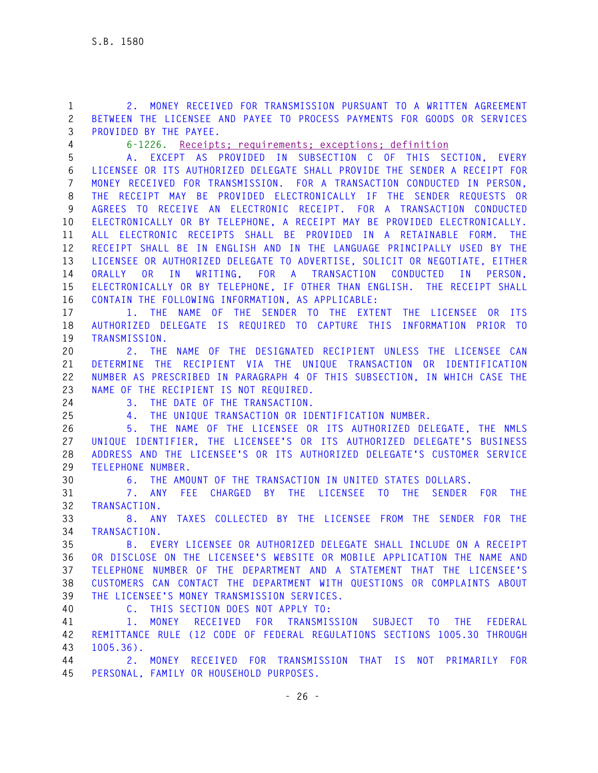**1 2. MONEY RECEIVED FOR TRANSMISSION PURSUANT TO A WRITTEN AGREEMENT 2 BETWEEN THE LICENSEE AND PAYEE TO PROCESS PAYMENTS FOR GOODS OR SERVICES 3 PROVIDED BY THE PAYEE.**

**4 6-1226. Receipts; requirements; exceptions; definition** 

**5 A. EXCEPT AS PROVIDED IN SUBSECTION C OF THIS SECTION, EVERY 6 LICENSEE OR ITS AUTHORIZED DELEGATE SHALL PROVIDE THE SENDER A RECEIPT FOR 7 MONEY RECEIVED FOR TRANSMISSION. FOR A TRANSACTION CONDUCTED IN PERSON, 8 THE RECEIPT MAY BE PROVIDED ELECTRONICALLY IF THE SENDER REQUESTS OR 9 AGREES TO RECEIVE AN ELECTRONIC RECEIPT. FOR A TRANSACTION CONDUCTED 10 ELECTRONICALLY OR BY TELEPHONE, A RECEIPT MAY BE PROVIDED ELECTRONICALLY. 11 ALL ELECTRONIC RECEIPTS SHALL BE PROVIDED IN A RETAINABLE FORM. THE 12 RECEIPT SHALL BE IN ENGLISH AND IN THE LANGUAGE PRINCIPALLY USED BY THE 13 LICENSEE OR AUTHORIZED DELEGATE TO ADVERTISE, SOLICIT OR NEGOTIATE, EITHER 14 ORALLY OR IN WRITING, FOR A TRANSACTION CONDUCTED IN PERSON, 15 ELECTRONICALLY OR BY TELEPHONE, IF OTHER THAN ENGLISH. THE RECEIPT SHALL 16 CONTAIN THE FOLLOWING INFORMATION, AS APPLICABLE:** 

**17 1. THE NAME OF THE SENDER TO THE EXTENT THE LICENSEE OR ITS 18 AUTHORIZED DELEGATE IS REQUIRED TO CAPTURE THIS INFORMATION PRIOR TO 19 TRANSMISSION.** 

**20 2. THE NAME OF THE DESIGNATED RECIPIENT UNLESS THE LICENSEE CAN 21 DETERMINE THE RECIPIENT VIA THE UNIQUE TRANSACTION OR IDENTIFICATION 22 NUMBER AS PRESCRIBED IN PARAGRAPH 4 OF THIS SUBSECTION, IN WHICH CASE THE 23 NAME OF THE RECIPIENT IS NOT REQUIRED.** 

- 
- 

**24 3. THE DATE OF THE TRANSACTION.** 

**25 4. THE UNIQUE TRANSACTION OR IDENTIFICATION NUMBER.** 

**26 5. THE NAME OF THE LICENSEE OR ITS AUTHORIZED DELEGATE, THE NMLS 27 UNIQUE IDENTIFIER, THE LICENSEE'S OR ITS AUTHORIZED DELEGATE'S BUSINESS 28 ADDRESS AND THE LICENSEE'S OR ITS AUTHORIZED DELEGATE'S CUSTOMER SERVICE 29 TELEPHONE NUMBER.** 

**30 6. THE AMOUNT OF THE TRANSACTION IN UNITED STATES DOLLARS.** 

**31 7. ANY FEE CHARGED BY THE LICENSEE TO THE SENDER FOR THE 32 TRANSACTION.** 

**33 8. ANY TAXES COLLECTED BY THE LICENSEE FROM THE SENDER FOR THE 34 TRANSACTION.** 

**35 B. EVERY LICENSEE OR AUTHORIZED DELEGATE SHALL INCLUDE ON A RECEIPT 36 OR DISCLOSE ON THE LICENSEE'S WEBSITE OR MOBILE APPLICATION THE NAME AND 37 TELEPHONE NUMBER OF THE DEPARTMENT AND A STATEMENT THAT THE LICENSEE'S 38 CUSTOMERS CAN CONTACT THE DEPARTMENT WITH QUESTIONS OR COMPLAINTS ABOUT 39 THE LICENSEE'S MONEY TRANSMISSION SERVICES.** 

**40 C. THIS SECTION DOES NOT APPLY TO:** 

**41 1. MONEY RECEIVED FOR TRANSMISSION SUBJECT TO THE FEDERAL 42 REMITTANCE RULE (12 CODE OF FEDERAL REGULATIONS SECTIONS 1005.30 THROUGH 43 1005.36).** 

**44 2. MONEY RECEIVED FOR TRANSMISSION THAT IS NOT PRIMARILY FOR 45 PERSONAL, FAMILY OR HOUSEHOLD PURPOSES.**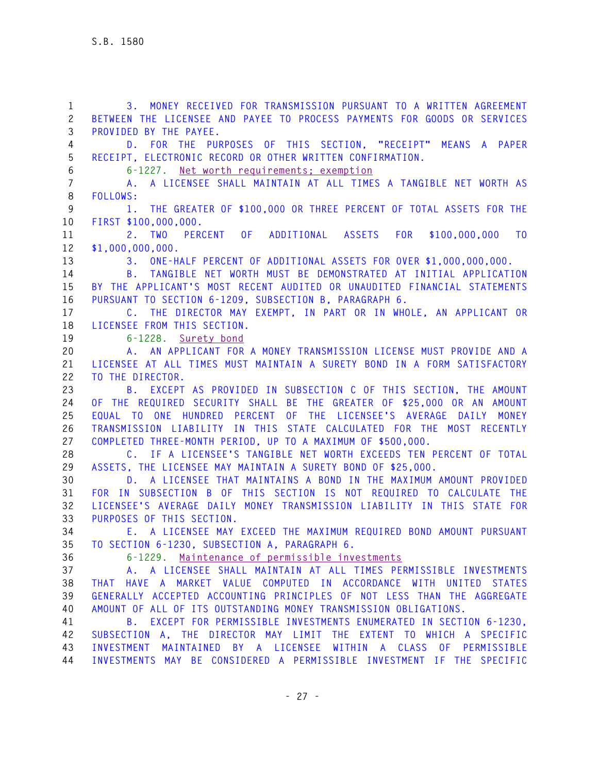**1 3. MONEY RECEIVED FOR TRANSMISSION PURSUANT TO A WRITTEN AGREEMENT 2 BETWEEN THE LICENSEE AND PAYEE TO PROCESS PAYMENTS FOR GOODS OR SERVICES 3 PROVIDED BY THE PAYEE. 4 D. FOR THE PURPOSES OF THIS SECTION, "RECEIPT" MEANS A PAPER 5 RECEIPT, ELECTRONIC RECORD OR OTHER WRITTEN CONFIRMATION. 6 6-1227. Net worth requirements; exemption 7 A. A LICENSEE SHALL MAINTAIN AT ALL TIMES A TANGIBLE NET WORTH AS 8 FOLLOWS: 9 1. THE GREATER OF \$100,000 OR THREE PERCENT OF TOTAL ASSETS FOR THE 10 FIRST \$100,000,000. 11 2. TWO PERCENT OF ADDITIONAL ASSETS FOR \$100,000,000 TO 12 \$1,000,000,000. 13 3. ONE-HALF PERCENT OF ADDITIONAL ASSETS FOR OVER \$1,000,000,000. 14 B. TANGIBLE NET WORTH MUST BE DEMONSTRATED AT INITIAL APPLICATION 15 BY THE APPLICANT'S MOST RECENT AUDITED OR UNAUDITED FINANCIAL STATEMENTS 16 PURSUANT TO SECTION 6-1209, SUBSECTION B, PARAGRAPH 6. 17 C. THE DIRECTOR MAY EXEMPT, IN PART OR IN WHOLE, AN APPLICANT OR 18 LICENSEE FROM THIS SECTION. 19 6-1228. Surety bond 20 A. AN APPLICANT FOR A MONEY TRANSMISSION LICENSE MUST PROVIDE AND A 21 LICENSEE AT ALL TIMES MUST MAINTAIN A SURETY BOND IN A FORM SATISFACTORY 22 TO THE DIRECTOR. 23 B. EXCEPT AS PROVIDED IN SUBSECTION C OF THIS SECTION, THE AMOUNT 24 OF THE REQUIRED SECURITY SHALL BE THE GREATER OF \$25,000 OR AN AMOUNT 25 EQUAL TO ONE HUNDRED PERCENT OF THE LICENSEE'S AVERAGE DAILY MONEY 26 TRANSMISSION LIABILITY IN THIS STATE CALCULATED FOR THE MOST RECENTLY 27 COMPLETED THREE-MONTH PERIOD, UP TO A MAXIMUM OF \$500,000. 28 C. IF A LICENSEE'S TANGIBLE NET WORTH EXCEEDS TEN PERCENT OF TOTAL 29 ASSETS, THE LICENSEE MAY MAINTAIN A SURETY BOND OF \$25,000. 30 D. A LICENSEE THAT MAINTAINS A BOND IN THE MAXIMUM AMOUNT PROVIDED 31 FOR IN SUBSECTION B OF THIS SECTION IS NOT REQUIRED TO CALCULATE THE 32 LICENSEE'S AVERAGE DAILY MONEY TRANSMISSION LIABILITY IN THIS STATE FOR 33 PURPOSES OF THIS SECTION. 34 E. A LICENSEE MAY EXCEED THE MAXIMUM REQUIRED BOND AMOUNT PURSUANT 35 TO SECTION 6-1230, SUBSECTION A, PARAGRAPH 6. 36 6-1229. Maintenance of permissible investments 37 A. A LICENSEE SHALL MAINTAIN AT ALL TIMES PERMISSIBLE INVESTMENTS 38 THAT HAVE A MARKET VALUE COMPUTED IN ACCORDANCE WITH UNITED STATES 39 GENERALLY ACCEPTED ACCOUNTING PRINCIPLES OF NOT LESS THAN THE AGGREGATE 40 AMOUNT OF ALL OF ITS OUTSTANDING MONEY TRANSMISSION OBLIGATIONS. 41 B. EXCEPT FOR PERMISSIBLE INVESTMENTS ENUMERATED IN SECTION 6-1230, 42 SUBSECTION A, THE DIRECTOR MAY LIMIT THE EXTENT TO WHICH A SPECIFIC 43 INVESTMENT MAINTAINED BY A LICENSEE WITHIN A CLASS OF PERMISSIBLE 44 INVESTMENTS MAY BE CONSIDERED A PERMISSIBLE INVESTMENT IF THE SPECIFIC**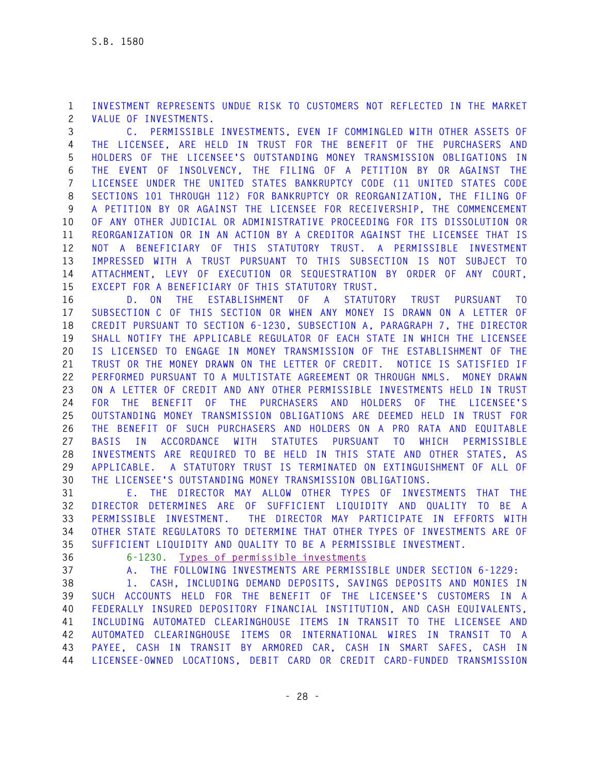**1 INVESTMENT REPRESENTS UNDUE RISK TO CUSTOMERS NOT REFLECTED IN THE MARKET 2 VALUE OF INVESTMENTS.** 

**3 C. PERMISSIBLE INVESTMENTS, EVEN IF COMMINGLED WITH OTHER ASSETS OF 4 THE LICENSEE, ARE HELD IN TRUST FOR THE BENEFIT OF THE PURCHASERS AND 5 HOLDERS OF THE LICENSEE'S OUTSTANDING MONEY TRANSMISSION OBLIGATIONS IN 6 THE EVENT OF INSOLVENCY, THE FILING OF A PETITION BY OR AGAINST THE 7 LICENSEE UNDER THE UNITED STATES BANKRUPTCY CODE (11 UNITED STATES CODE 8 SECTIONS 101 THROUGH 112) FOR BANKRUPTCY OR REORGANIZATION, THE FILING OF 9 A PETITION BY OR AGAINST THE LICENSEE FOR RECEIVERSHIP, THE COMMENCEMENT 10 OF ANY OTHER JUDICIAL OR ADMINISTRATIVE PROCEEDING FOR ITS DISSOLUTION OR 11 REORGANIZATION OR IN AN ACTION BY A CREDITOR AGAINST THE LICENSEE THAT IS 12 NOT A BENEFICIARY OF THIS STATUTORY TRUST. A PERMISSIBLE INVESTMENT 13 IMPRESSED WITH A TRUST PURSUANT TO THIS SUBSECTION IS NOT SUBJECT TO 14 ATTACHMENT, LEVY OF EXECUTION OR SEQUESTRATION BY ORDER OF ANY COURT, 15 EXCEPT FOR A BENEFICIARY OF THIS STATUTORY TRUST.** 

**16 D. ON THE ESTABLISHMENT OF A STATUTORY TRUST PURSUANT TO 17 SUBSECTION C OF THIS SECTION OR WHEN ANY MONEY IS DRAWN ON A LETTER OF 18 CREDIT PURSUANT TO SECTION 6-1230, SUBSECTION A, PARAGRAPH 7, THE DIRECTOR 19 SHALL NOTIFY THE APPLICABLE REGULATOR OF EACH STATE IN WHICH THE LICENSEE 20 IS LICENSED TO ENGAGE IN MONEY TRANSMISSION OF THE ESTABLISHMENT OF THE 21 TRUST OR THE MONEY DRAWN ON THE LETTER OF CREDIT. NOTICE IS SATISFIED IF 22 PERFORMED PURSUANT TO A MULTISTATE AGREEMENT OR THROUGH NMLS. MONEY DRAWN 23 ON A LETTER OF CREDIT AND ANY OTHER PERMISSIBLE INVESTMENTS HELD IN TRUST 24 FOR THE BENEFIT OF THE PURCHASERS AND HOLDERS OF THE LICENSEE'S 25 OUTSTANDING MONEY TRANSMISSION OBLIGATIONS ARE DEEMED HELD IN TRUST FOR 26 THE BENEFIT OF SUCH PURCHASERS AND HOLDERS ON A PRO RATA AND EQUITABLE 27 BASIS IN ACCORDANCE WITH STATUTES PURSUANT TO WHICH PERMISSIBLE 28 INVESTMENTS ARE REQUIRED TO BE HELD IN THIS STATE AND OTHER STATES, AS 29 APPLICABLE. A STATUTORY TRUST IS TERMINATED ON EXTINGUISHMENT OF ALL OF 30 THE LICENSEE'S OUTSTANDING MONEY TRANSMISSION OBLIGATIONS.** 

**31 E. THE DIRECTOR MAY ALLOW OTHER TYPES OF INVESTMENTS THAT THE 32 DIRECTOR DETERMINES ARE OF SUFFICIENT LIQUIDITY AND QUALITY TO BE A 33 PERMISSIBLE INVESTMENT. THE DIRECTOR MAY PARTICIPATE IN EFFORTS WITH 34 OTHER STATE REGULATORS TO DETERMINE THAT OTHER TYPES OF INVESTMENTS ARE OF 35 SUFFICIENT LIQUIDITY AND QUALITY TO BE A PERMISSIBLE INVESTMENT.**

**36 6-1230. Types of permissible investments** 

**37 A. THE FOLLOWING INVESTMENTS ARE PERMISSIBLE UNDER SECTION 6-1229:** 

**38 1. CASH, INCLUDING DEMAND DEPOSITS, SAVINGS DEPOSITS AND MONIES IN 39 SUCH ACCOUNTS HELD FOR THE BENEFIT OF THE LICENSEE'S CUSTOMERS IN A 40 FEDERALLY INSURED DEPOSITORY FINANCIAL INSTITUTION, AND CASH EQUIVALENTS, 41 INCLUDING AUTOMATED CLEARINGHOUSE ITEMS IN TRANSIT TO THE LICENSEE AND 42 AUTOMATED CLEARINGHOUSE ITEMS OR INTERNATIONAL WIRES IN TRANSIT TO A 43 PAYEE, CASH IN TRANSIT BY ARMORED CAR, CASH IN SMART SAFES, CASH IN 44 LICENSEE-OWNED LOCATIONS, DEBIT CARD OR CREDIT CARD-FUNDED TRANSMISSION**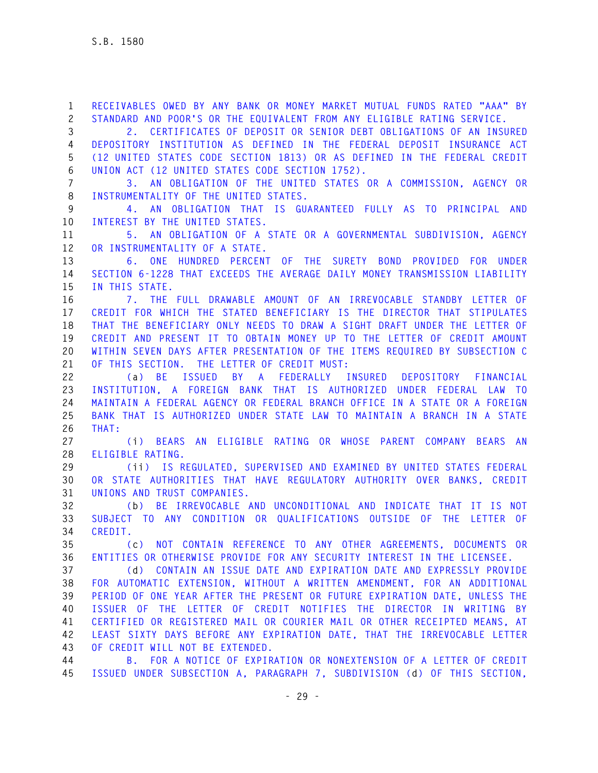**1 RECEIVABLES OWED BY ANY BANK OR MONEY MARKET MUTUAL FUNDS RATED "AAA" BY 2 STANDARD AND POOR'S OR THE EQUIVALENT FROM ANY ELIGIBLE RATING SERVICE.** 

**3 2. CERTIFICATES OF DEPOSIT OR SENIOR DEBT OBLIGATIONS OF AN INSURED 4 DEPOSITORY INSTITUTION AS DEFINED IN THE FEDERAL DEPOSIT INSURANCE ACT 5 (12 UNITED STATES CODE SECTION 1813) OR AS DEFINED IN THE FEDERAL CREDIT 6 UNION ACT (12 UNITED STATES CODE SECTION 1752).** 

**7 3. AN OBLIGATION OF THE UNITED STATES OR A COMMISSION, AGENCY OR 8 INSTRUMENTALITY OF THE UNITED STATES.** 

**9 4. AN OBLIGATION THAT IS GUARANTEED FULLY AS TO PRINCIPAL AND 10 INTEREST BY THE UNITED STATES.** 

**11 5. AN OBLIGATION OF A STATE OR A GOVERNMENTAL SUBDIVISION, AGENCY 12 OR INSTRUMENTALITY OF A STATE.** 

**13 6. ONE HUNDRED PERCENT OF THE SURETY BOND PROVIDED FOR UNDER 14 SECTION 6-1228 THAT EXCEEDS THE AVERAGE DAILY MONEY TRANSMISSION LIABILITY 15 IN THIS STATE.** 

**16 7. THE FULL DRAWABLE AMOUNT OF AN IRREVOCABLE STANDBY LETTER OF 17 CREDIT FOR WHICH THE STATED BENEFICIARY IS THE DIRECTOR THAT STIPULATES 18 THAT THE BENEFICIARY ONLY NEEDS TO DRAW A SIGHT DRAFT UNDER THE LETTER OF 19 CREDIT AND PRESENT IT TO OBTAIN MONEY UP TO THE LETTER OF CREDIT AMOUNT 20 WITHIN SEVEN DAYS AFTER PRESENTATION OF THE ITEMS REQUIRED BY SUBSECTION C 21 OF THIS SECTION. THE LETTER OF CREDIT MUST:** 

**22 (a) BE ISSUED BY A FEDERALLY INSURED DEPOSITORY FINANCIAL 23 INSTITUTION, A FOREIGN BANK THAT IS AUTHORIZED UNDER FEDERAL LAW TO 24 MAINTAIN A FEDERAL AGENCY OR FEDERAL BRANCH OFFICE IN A STATE OR A FOREIGN 25 BANK THAT IS AUTHORIZED UNDER STATE LAW TO MAINTAIN A BRANCH IN A STATE 26 THAT:** 

**27 (i) BEARS AN ELIGIBLE RATING OR WHOSE PARENT COMPANY BEARS AN 28 ELIGIBLE RATING.** 

**29 (ii) IS REGULATED, SUPERVISED AND EXAMINED BY UNITED STATES FEDERAL 30 OR STATE AUTHORITIES THAT HAVE REGULATORY AUTHORITY OVER BANKS, CREDIT 31 UNIONS AND TRUST COMPANIES.** 

**32 (b) BE IRREVOCABLE AND UNCONDITIONAL AND INDICATE THAT IT IS NOT 33 SUBJECT TO ANY CONDITION OR QUALIFICATIONS OUTSIDE OF THE LETTER OF 34 CREDIT.** 

**35 (c) NOT CONTAIN REFERENCE TO ANY OTHER AGREEMENTS, DOCUMENTS OR 36 ENTITIES OR OTHERWISE PROVIDE FOR ANY SECURITY INTEREST IN THE LICENSEE.** 

**37 (d) CONTAIN AN ISSUE DATE AND EXPIRATION DATE AND EXPRESSLY PROVIDE 38 FOR AUTOMATIC EXTENSION, WITHOUT A WRITTEN AMENDMENT, FOR AN ADDITIONAL 39 PERIOD OF ONE YEAR AFTER THE PRESENT OR FUTURE EXPIRATION DATE, UNLESS THE 40 ISSUER OF THE LETTER OF CREDIT NOTIFIES THE DIRECTOR IN WRITING BY 41 CERTIFIED OR REGISTERED MAIL OR COURIER MAIL OR OTHER RECEIPTED MEANS, AT 42 LEAST SIXTY DAYS BEFORE ANY EXPIRATION DATE, THAT THE IRREVOCABLE LETTER 43 OF CREDIT WILL NOT BE EXTENDED.** 

**44 B. FOR A NOTICE OF EXPIRATION OR NONEXTENSION OF A LETTER OF CREDIT 45 ISSUED UNDER SUBSECTION A, PARAGRAPH 7, SUBDIVISION (d) OF THIS SECTION,**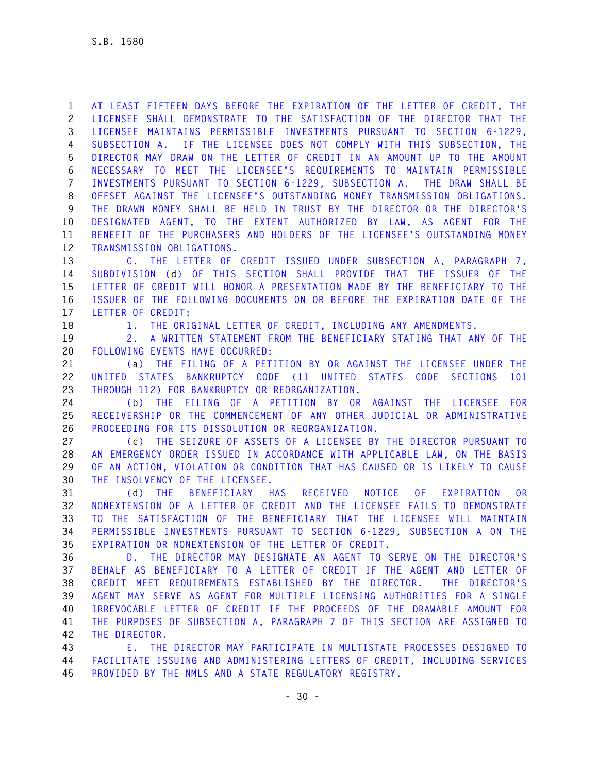**1 AT LEAST FIFTEEN DAYS BEFORE THE EXPIRATION OF THE LETTER OF CREDIT, THE 2 LICENSEE SHALL DEMONSTRATE TO THE SATISFACTION OF THE DIRECTOR THAT THE 3 LICENSEE MAINTAINS PERMISSIBLE INVESTMENTS PURSUANT TO SECTION 6-1229, 4 SUBSECTION A. IF THE LICENSEE DOES NOT COMPLY WITH THIS SUBSECTION, THE 5 DIRECTOR MAY DRAW ON THE LETTER OF CREDIT IN AN AMOUNT UP TO THE AMOUNT 6 NECESSARY TO MEET THE LICENSEE'S REQUIREMENTS TO MAINTAIN PERMISSIBLE 7 INVESTMENTS PURSUANT TO SECTION 6-1229, SUBSECTION A. THE DRAW SHALL BE 8 OFFSET AGAINST THE LICENSEE'S OUTSTANDING MONEY TRANSMISSION OBLIGATIONS. 9 THE DRAWN MONEY SHALL BE HELD IN TRUST BY THE DIRECTOR OR THE DIRECTOR'S 10 DESIGNATED AGENT, TO THE EXTENT AUTHORIZED BY LAW, AS AGENT FOR THE 11 BENEFIT OF THE PURCHASERS AND HOLDERS OF THE LICENSEE'S OUTSTANDING MONEY 12 TRANSMISSION OBLIGATIONS.** 

**13 C. THE LETTER OF CREDIT ISSUED UNDER SUBSECTION A, PARAGRAPH 7, 14 SUBDIVISION (d) OF THIS SECTION SHALL PROVIDE THAT THE ISSUER OF THE 15 LETTER OF CREDIT WILL HONOR A PRESENTATION MADE BY THE BENEFICIARY TO THE 16 ISSUER OF THE FOLLOWING DOCUMENTS ON OR BEFORE THE EXPIRATION DATE OF THE 17 LETTER OF CREDIT:** 

**18 1. THE ORIGINAL LETTER OF CREDIT, INCLUDING ANY AMENDMENTS.** 

**19 2. A WRITTEN STATEMENT FROM THE BENEFICIARY STATING THAT ANY OF THE 20 FOLLOWING EVENTS HAVE OCCURRED:** 

**21 (a) THE FILING OF A PETITION BY OR AGAINST THE LICENSEE UNDER THE 22 UNITED STATES BANKRUPTCY CODE (11 UNITED STATES CODE SECTIONS 101 23 THROUGH 112) FOR BANKRUPTCY OR REORGANIZATION.** 

**24 (b) THE FILING OF A PETITION BY OR AGAINST THE LICENSEE FOR 25 RECEIVERSHIP OR THE COMMENCEMENT OF ANY OTHER JUDICIAL OR ADMINISTRATIVE 26 PROCEEDING FOR ITS DISSOLUTION OR REORGANIZATION.** 

**27 (c) THE SEIZURE OF ASSETS OF A LICENSEE BY THE DIRECTOR PURSUANT TO 28 AN EMERGENCY ORDER ISSUED IN ACCORDANCE WITH APPLICABLE LAW, ON THE BASIS 29 OF AN ACTION, VIOLATION OR CONDITION THAT HAS CAUSED OR IS LIKELY TO CAUSE 30 THE INSOLVENCY OF THE LICENSEE.** 

**31 (d) THE BENEFICIARY HAS RECEIVED NOTICE OF EXPIRATION OR 32 NONEXTENSION OF A LETTER OF CREDIT AND THE LICENSEE FAILS TO DEMONSTRATE 33 TO THE SATISFACTION OF THE BENEFICIARY THAT THE LICENSEE WILL MAINTAIN 34 PERMISSIBLE INVESTMENTS PURSUANT TO SECTION 6-1229, SUBSECTION A ON THE 35 EXPIRATION OR NONEXTENSION OF THE LETTER OF CREDIT.** 

**36 D. THE DIRECTOR MAY DESIGNATE AN AGENT TO SERVE ON THE DIRECTOR'S 37 BEHALF AS BENEFICIARY TO A LETTER OF CREDIT IF THE AGENT AND LETTER OF 38 CREDIT MEET REQUIREMENTS ESTABLISHED BY THE DIRECTOR. THE DIRECTOR'S 39 AGENT MAY SERVE AS AGENT FOR MULTIPLE LICENSING AUTHORITIES FOR A SINGLE 40 IRREVOCABLE LETTER OF CREDIT IF THE PROCEEDS OF THE DRAWABLE AMOUNT FOR 41 THE PURPOSES OF SUBSECTION A, PARAGRAPH 7 OF THIS SECTION ARE ASSIGNED TO 42 THE DIRECTOR.** 

**43 E. THE DIRECTOR MAY PARTICIPATE IN MULTISTATE PROCESSES DESIGNED TO 44 FACILITATE ISSUING AND ADMINISTERING LETTERS OF CREDIT, INCLUDING SERVICES 45 PROVIDED BY THE NMLS AND A STATE REGULATORY REGISTRY.**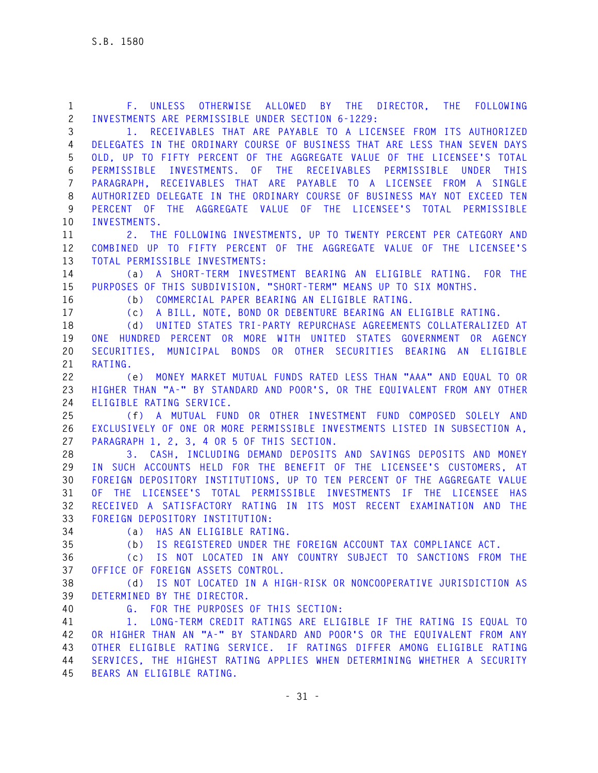| $\mathbf{1}$        | F. UNLESS OTHERWISE ALLOWED BY THE DIRECTOR, THE FOLLOWING                                                                                            |
|---------------------|-------------------------------------------------------------------------------------------------------------------------------------------------------|
| $\mathbf{2}$        | INVESTMENTS ARE PERMISSIBLE UNDER SECTION 6-1229:                                                                                                     |
| 3                   | 1. RECEIVABLES THAT ARE PAYABLE TO A LICENSEE FROM ITS AUTHORIZED                                                                                     |
| $\overline{4}$<br>5 | DELEGATES IN THE ORDINARY COURSE OF BUSINESS THAT ARE LESS THAN SEVEN DAYS<br>OLD, UP TO FIFTY PERCENT OF THE AGGREGATE VALUE OF THE LICENSEE'S TOTAL |
|                     |                                                                                                                                                       |
| 6<br>$\overline{7}$ | PERMISSIBLE INVESTMENTS. OF THE RECEIVABLES PERMISSIBLE UNDER THIS                                                                                    |
| 8                   | PARAGRAPH, RECEIVABLES THAT ARE PAYABLE TO A LICENSEE FROM A SINGLE<br>AUTHORIZED DELEGATE IN THE ORDINARY COURSE OF BUSINESS MAY NOT EXCEED TEN      |
| 9                   | PERCENT OF THE AGGREGATE VALUE OF THE LICENSEE'S TOTAL PERMISSIBLE                                                                                    |
| 10                  | INVESTMENTS.                                                                                                                                          |
| 11                  | 2. THE FOLLOWING INVESTMENTS, UP TO TWENTY PERCENT PER CATEGORY AND                                                                                   |
| 12                  | COMBINED UP TO FIFTY PERCENT OF THE AGGREGATE VALUE OF THE LICENSEE'S                                                                                 |
| 13                  | TOTAL PERMISSIBLE INVESTMENTS:                                                                                                                        |
| 14                  | (a) A SHORT-TERM INVESTMENT BEARING AN ELIGIBLE RATING. FOR THE                                                                                       |
| 15                  | PURPOSES OF THIS SUBDIVISION, "SHORT-TERM" MEANS UP TO SIX MONTHS.                                                                                    |
| 16                  | (b) COMMERCIAL PAPER BEARING AN ELIGIBLE RATING.                                                                                                      |
| 17                  | A BILL, NOTE, BOND OR DEBENTURE BEARING AN ELIGIBLE RATING.<br>(c)                                                                                    |
| 18                  | (d) UNITED STATES TRI-PARTY REPURCHASE AGREEMENTS COLLATERALIZED AT                                                                                   |
| 19                  | ONE HUNDRED PERCENT OR MORE WITH UNITED STATES GOVERNMENT OR AGENCY                                                                                   |
| 20                  | SECURITIES, MUNICIPAL BONDS OR OTHER SECURITIES BEARING AN ELIGIBLE                                                                                   |
| 21                  | RATING.                                                                                                                                               |
| 22                  | (e) MONEY MARKET MUTUAL FUNDS RATED LESS THAN "AAA" AND EQUAL TO OR                                                                                   |
| 23                  | HIGHER THAN "A-" BY STANDARD AND POOR'S, OR THE EQUIVALENT FROM ANY OTHER                                                                             |
| 24                  | ELIGIBLE RATING SERVICE.                                                                                                                              |
| 25                  | (f) A MUTUAL FUND OR OTHER INVESTMENT FUND COMPOSED SOLELY AND                                                                                        |
| 26                  | EXCLUSIVELY OF ONE OR MORE PERMISSIBLE INVESTMENTS LISTED IN SUBSECTION A,                                                                            |
| 27                  | PARAGRAPH 1, 2, 3, 4 OR 5 OF THIS SECTION.                                                                                                            |
| 28                  | 3. CASH, INCLUDING DEMAND DEPOSITS AND SAVINGS DEPOSITS AND MONEY                                                                                     |
| 29                  | IN SUCH ACCOUNTS HELD FOR THE BENEFIT OF THE LICENSEE'S CUSTOMERS, AT                                                                                 |
| 30<br>31            | FOREIGN DEPOSITORY INSTITUTIONS, UP TO TEN PERCENT OF THE AGGREGATE VALUE<br>OF THE LICENSEE'S TOTAL PERMISSIBLE INVESTMENTS IF THE LICENSEE HAS      |
| 32                  | RECEIVED A SATISFACTORY RATING IN ITS MOST RECENT EXAMINATION AND THE                                                                                 |
| 33                  | FOREIGN DEPOSITORY INSTITUTION:                                                                                                                       |
| 34                  | (a) HAS AN ELIGIBLE RATING.                                                                                                                           |
| 35                  | (b) IS REGISTERED UNDER THE FOREIGN ACCOUNT TAX COMPLIANCE ACT.                                                                                       |
| 36                  | (c) IS NOT LOCATED IN ANY COUNTRY SUBJECT TO SANCTIONS FROM THE                                                                                       |
| 37                  | OFFICE OF FOREIGN ASSETS CONTROL.                                                                                                                     |
| 38                  | (d) IS NOT LOCATED IN A HIGH-RISK OR NONCOOPERATIVE JURISDICTION AS                                                                                   |
| 39                  | DETERMINED BY THE DIRECTOR.                                                                                                                           |
| 40                  | G. FOR THE PURPOSES OF THIS SECTION:                                                                                                                  |
| 41                  | LONG-TERM CREDIT RATINGS ARE ELIGIBLE IF THE RATING IS EQUAL TO<br>$1_{\odot}$                                                                        |
| 42                  | OR HIGHER THAN AN "A-" BY STANDARD AND POOR'S OR THE EQUIVALENT FROM ANY                                                                              |
| 43                  | OTHER ELIGIBLE RATING SERVICE. IF RATINGS DIFFER AMONG ELIGIBLE RATING                                                                                |
| 44                  | SERVICES, THE HIGHEST RATING APPLIES WHEN DETERMINING WHETHER A SECURITY                                                                              |
| 45                  | BEARS AN ELIGIBLE RATING.                                                                                                                             |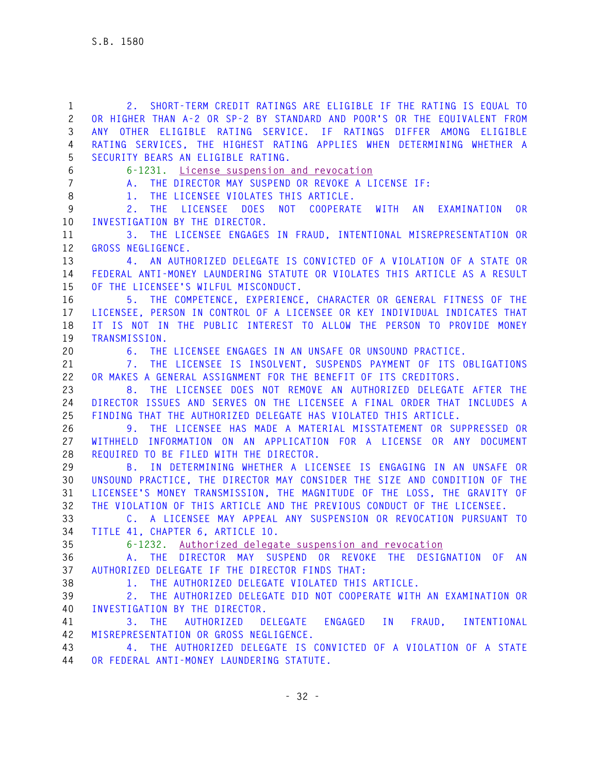**1 2. SHORT-TERM CREDIT RATINGS ARE ELIGIBLE IF THE RATING IS EQUAL TO 2 OR HIGHER THAN A-2 OR SP-2 BY STANDARD AND POOR'S OR THE EQUIVALENT FROM 3 ANY OTHER ELIGIBLE RATING SERVICE. IF RATINGS DIFFER AMONG ELIGIBLE 4 RATING SERVICES, THE HIGHEST RATING APPLIES WHEN DETERMINING WHETHER A 5 SECURITY BEARS AN ELIGIBLE RATING. 6 6-1231. License suspension and revocation 7 A. THE DIRECTOR MAY SUSPEND OR REVOKE A LICENSE IF: 8 1. THE LICENSEE VIOLATES THIS ARTICLE. 9 2. THE LICENSEE DOES NOT COOPERATE WITH AN EXAMINATION OR 10 INVESTIGATION BY THE DIRECTOR. 11 3. THE LICENSEE ENGAGES IN FRAUD, INTENTIONAL MISREPRESENTATION OR 12 GROSS NEGLIGENCE. 13 4. AN AUTHORIZED DELEGATE IS CONVICTED OF A VIOLATION OF A STATE OR 14 FEDERAL ANTI-MONEY LAUNDERING STATUTE OR VIOLATES THIS ARTICLE AS A RESULT 15 OF THE LICENSEE'S WILFUL MISCONDUCT. 16 5. THE COMPETENCE, EXPERIENCE, CHARACTER OR GENERAL FITNESS OF THE 17 LICENSEE, PERSON IN CONTROL OF A LICENSEE OR KEY INDIVIDUAL INDICATES THAT 18 IT IS NOT IN THE PUBLIC INTEREST TO ALLOW THE PERSON TO PROVIDE MONEY 19 TRANSMISSION. 20 6. THE LICENSEE ENGAGES IN AN UNSAFE OR UNSOUND PRACTICE. 21 7. THE LICENSEE IS INSOLVENT, SUSPENDS PAYMENT OF ITS OBLIGATIONS 22 OR MAKES A GENERAL ASSIGNMENT FOR THE BENEFIT OF ITS CREDITORS. 23 8. THE LICENSEE DOES NOT REMOVE AN AUTHORIZED DELEGATE AFTER THE 24 DIRECTOR ISSUES AND SERVES ON THE LICENSEE A FINAL ORDER THAT INCLUDES A 25 FINDING THAT THE AUTHORIZED DELEGATE HAS VIOLATED THIS ARTICLE. 26 9. THE LICENSEE HAS MADE A MATERIAL MISSTATEMENT OR SUPPRESSED OR 27 WITHHELD INFORMATION ON AN APPLICATION FOR A LICENSE OR ANY DOCUMENT 28 REQUIRED TO BE FILED WITH THE DIRECTOR. 29 B. IN DETERMINING WHETHER A LICENSEE IS ENGAGING IN AN UNSAFE OR 30 UNSOUND PRACTICE, THE DIRECTOR MAY CONSIDER THE SIZE AND CONDITION OF THE 31 LICENSEE'S MONEY TRANSMISSION, THE MAGNITUDE OF THE LOSS, THE GRAVITY OF 32 THE VIOLATION OF THIS ARTICLE AND THE PREVIOUS CONDUCT OF THE LICENSEE. 33 C. A LICENSEE MAY APPEAL ANY SUSPENSION OR REVOCATION PURSUANT TO 34 TITLE 41, CHAPTER 6, ARTICLE 10. 35 6-1232. Authorized delegate suspension and revocation 36 A. THE DIRECTOR MAY SUSPEND OR REVOKE THE DESIGNATION OF AN 37 AUTHORIZED DELEGATE IF THE DIRECTOR FINDS THAT: 38 1. THE AUTHORIZED DELEGATE VIOLATED THIS ARTICLE. 39 2. THE AUTHORIZED DELEGATE DID NOT COOPERATE WITH AN EXAMINATION OR 40 INVESTIGATION BY THE DIRECTOR. 41 3. THE AUTHORIZED DELEGATE ENGAGED IN FRAUD, INTENTIONAL 42 MISREPRESENTATION OR GROSS NEGLIGENCE. 43 4. THE AUTHORIZED DELEGATE IS CONVICTED OF A VIOLATION OF A STATE** 

**44 OR FEDERAL ANTI-MONEY LAUNDERING STATUTE.**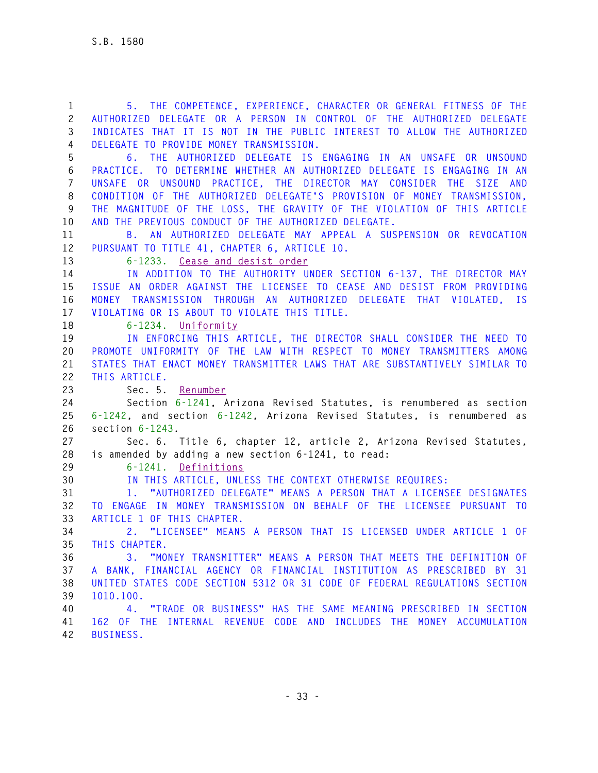**1 5. THE COMPETENCE, EXPERIENCE, CHARACTER OR GENERAL FITNESS OF THE 2 AUTHORIZED DELEGATE OR A PERSON IN CONTROL OF THE AUTHORIZED DELEGATE 3 INDICATES THAT IT IS NOT IN THE PUBLIC INTEREST TO ALLOW THE AUTHORIZED 4 DELEGATE TO PROVIDE MONEY TRANSMISSION. 5 6. THE AUTHORIZED DELEGATE IS ENGAGING IN AN UNSAFE OR UNSOUND 6 PRACTICE. TO DETERMINE WHETHER AN AUTHORIZED DELEGATE IS ENGAGING IN AN 7 UNSAFE OR UNSOUND PRACTICE, THE DIRECTOR MAY CONSIDER THE SIZE AND 8 CONDITION OF THE AUTHORIZED DELEGATE'S PROVISION OF MONEY TRANSMISSION, 9 THE MAGNITUDE OF THE LOSS, THE GRAVITY OF THE VIOLATION OF THIS ARTICLE 10 AND THE PREVIOUS CONDUCT OF THE AUTHORIZED DELEGATE. 11 B. AN AUTHORIZED DELEGATE MAY APPEAL A SUSPENSION OR REVOCATION 12 PURSUANT TO TITLE 41, CHAPTER 6, ARTICLE 10. 13 6-1233. Cease and desist order 14 IN ADDITION TO THE AUTHORITY UNDER SECTION 6-137, THE DIRECTOR MAY 15 ISSUE AN ORDER AGAINST THE LICENSEE TO CEASE AND DESIST FROM PROVIDING 16 MONEY TRANSMISSION THROUGH AN AUTHORIZED DELEGATE THAT VIOLATED, IS 17 VIOLATING OR IS ABOUT TO VIOLATE THIS TITLE. 18 6-1234. Uniformity 19 IN ENFORCING THIS ARTICLE, THE DIRECTOR SHALL CONSIDER THE NEED TO 20 PROMOTE UNIFORMITY OF THE LAW WITH RESPECT TO MONEY TRANSMITTERS AMONG 21 STATES THAT ENACT MONEY TRANSMITTER LAWS THAT ARE SUBSTANTIVELY SIMILAR TO 22 THIS ARTICLE. 23 Sec. 5. Renumber 24 Section 6-1241, Arizona Revised Statutes, is renumbered as section 25 6-1242, and section 6-1242, Arizona Revised Statutes, is renumbered as 26 section 6-1243. 27 Sec. 6. Title 6, chapter 12, article 2, Arizona Revised Statutes, 28 is amended by adding a new section 6-1241, to read: 29 6-1241. Definitions 30 IN THIS ARTICLE, UNLESS THE CONTEXT OTHERWISE REQUIRES: 31 1. "AUTHORIZED DELEGATE" MEANS A PERSON THAT A LICENSEE DESIGNATES 32 TO ENGAGE IN MONEY TRANSMISSION ON BEHALF OF THE LICENSEE PURSUANT TO 33 ARTICLE 1 OF THIS CHAPTER. 34 2. "LICENSEE" MEANS A PERSON THAT IS LICENSED UNDER ARTICLE 1 OF 35 THIS CHAPTER. 36 3. "MONEY TRANSMITTER" MEANS A PERSON THAT MEETS THE DEFINITION OF 37 A BANK, FINANCIAL AGENCY OR FINANCIAL INSTITUTION AS PRESCRIBED BY 31 38 UNITED STATES CODE SECTION 5312 OR 31 CODE OF FEDERAL REGULATIONS SECTION 39 1010.100. 40 4. "TRADE OR BUSINESS" HAS THE SAME MEANING PRESCRIBED IN SECTION 41 162 OF THE INTERNAL REVENUE CODE AND INCLUDES THE MONEY ACCUMULATION 42 BUSINESS.**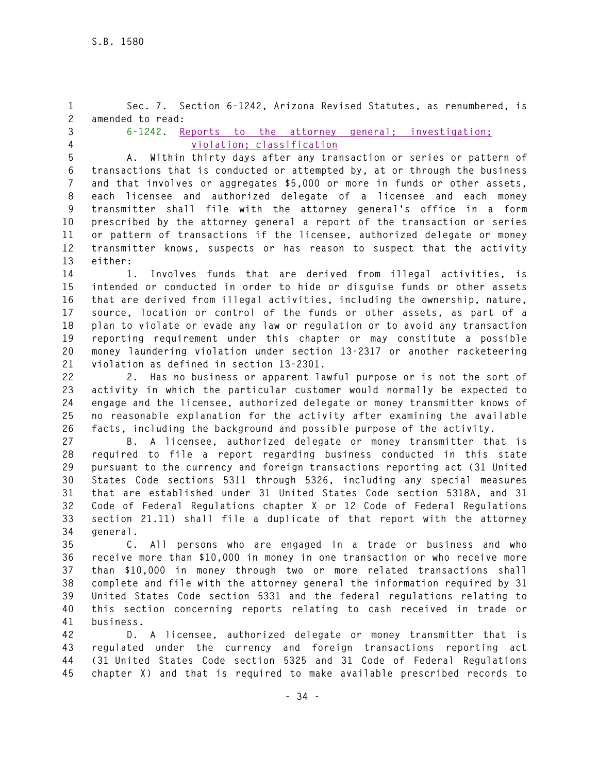**1 Sec. 7. Section 6-1242, Arizona Revised Statutes, as renumbered, is 2 amended to read:** 

- 
- 

**3 6-1242. Reports to the attorney general; investigation; 4 violation; classification**

**5 A. Within thirty days after any transaction or series or pattern of 6 transactions that is conducted or attempted by, at or through the business 7 and that involves or aggregates \$5,000 or more in funds or other assets, 8 each licensee and authorized delegate of a licensee and each money 9 transmitter shall file with the attorney general's office in a form 10 prescribed by the attorney general a report of the transaction or series 11 or pattern of transactions if the licensee, authorized delegate or money 12 transmitter knows, suspects or has reason to suspect that the activity 13 either:** 

**14 1. Involves funds that are derived from illegal activities, is 15 intended or conducted in order to hide or disguise funds or other assets 16 that are derived from illegal activities, including the ownership, nature, 17 source, location or control of the funds or other assets, as part of a 18 plan to violate or evade any law or regulation or to avoid any transaction 19 reporting requirement under this chapter or may constitute a possible 20 money laundering violation under section 13-2317 or another racketeering 21 violation as defined in section 13-2301.** 

**22 2. Has no business or apparent lawful purpose or is not the sort of 23 activity in which the particular customer would normally be expected to 24 engage and the licensee, authorized delegate or money transmitter knows of 25 no reasonable explanation for the activity after examining the available 26 facts, including the background and possible purpose of the activity.** 

**27 B. A licensee, authorized delegate or money transmitter that is 28 required to file a report regarding business conducted in this state 29 pursuant to the currency and foreign transactions reporting act (31 United 30 States Code sections 5311 through 5326, including any special measures 31 that are established under 31 United States Code section 5318A, and 31 32 Code of Federal Regulations chapter X or 12 Code of Federal Regulations 33 section 21.11) shall file a duplicate of that report with the attorney 34 general.** 

**35 C. All persons who are engaged in a trade or business and who 36 receive more than \$10,000 in money in one transaction or who receive more 37 than \$10,000 in money through two or more related transactions shall 38 complete and file with the attorney general the information required by 31 39 United States Code section 5331 and the federal regulations relating to 40 this section concerning reports relating to cash received in trade or 41 business.** 

**42 D. A licensee, authorized delegate or money transmitter that is 43 regulated under the currency and foreign transactions reporting act 44 (31 United States Code section 5325 and 31 Code of Federal Regulations 45 chapter X) and that is required to make available prescribed records to**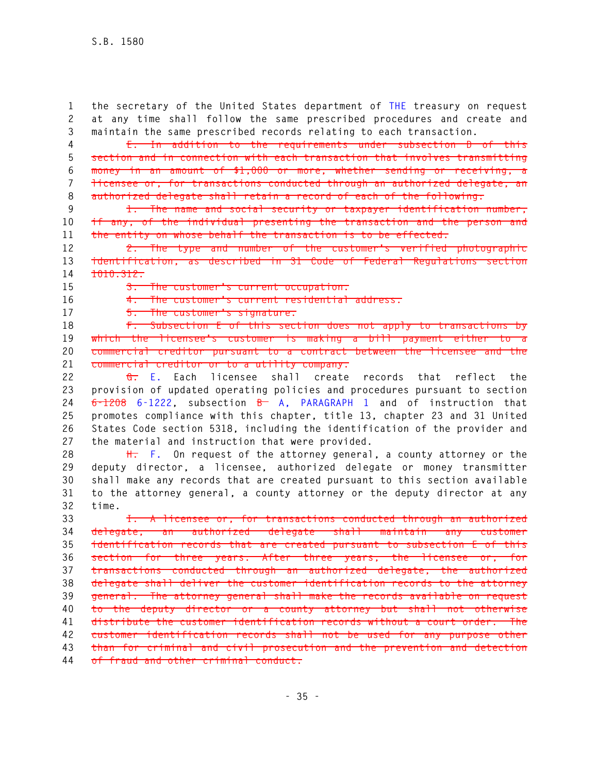**1 the secretary of the United States department of THE treasury on request 2 at any time shall follow the same prescribed procedures and create and 3 maintain the same prescribed records relating to each transaction.** 

**4 E. In addition to the requirements under subsection D of this 5 section and in connection with each transaction that involves transmitting 6 money in an amount of \$1,000 or more, whether sending or receiving, a 7 licensee or, for transactions conducted through an authorized delegate, an 8 authorized delegate shall retain a record of each of the following:** 

**9 1. The name and social security or taxpayer identification number, 10 if any, of the individual presenting the transaction and the person and 11 the entity on whose behalf the transaction is to be effected.** 

**12 2. The type and number of the customer's verified photographic 13 identification, as described in 31 Code of Federal Regulations section 14 1010.312.** 

**15 3. The customer's current occupation.** 

**16 4. The customer's current residential address.** 

**17 5. The customer's signature.** 

**18 F. Subsection E of this section does not apply to transactions by**  19 which the licensee's customer is making a bill payment either to **20 commercial creditor pursuant to a contract between the licensee and the 21 commercial creditor or to a utility company.** 

**22 G. E. Each licensee shall create records that reflect the 23 provision of updated operating policies and procedures pursuant to section 24 6-1208 6-1222, subsection B A, PARAGRAPH 1 and of instruction that 25 promotes compliance with this chapter, title 13, chapter 23 and 31 United 26 States Code section 5318, including the identification of the provider and 27 the material and instruction that were provided.** 

**28 H. F. On request of the attorney general, a county attorney or the 29 deputy director, a licensee, authorized delegate or money transmitter 30 shall make any records that are created pursuant to this section available 31 to the attorney general, a county attorney or the deputy director at any 32 time.** 

**33 I. A licensee or, for transactions conducted through an authorized 34 delegate, an authorized delegate shall maintain any customer 35 identification records that are created pursuant to subsection E of this 36 section for three years. After three years, the licensee or, for 37 transactions conducted through an authorized delegate, the authorized 38 delegate shall deliver the customer identification records to the attorney 39 general. The attorney general shall make the records available on request 40 to the deputy director or a county attorney but shall not otherwise 41 distribute the customer identification records without a court order. The 42 customer identification records shall not be used for any purpose other 43 than for criminal and civil prosecution and the prevention and detection 44 of fraud and other criminal conduct.**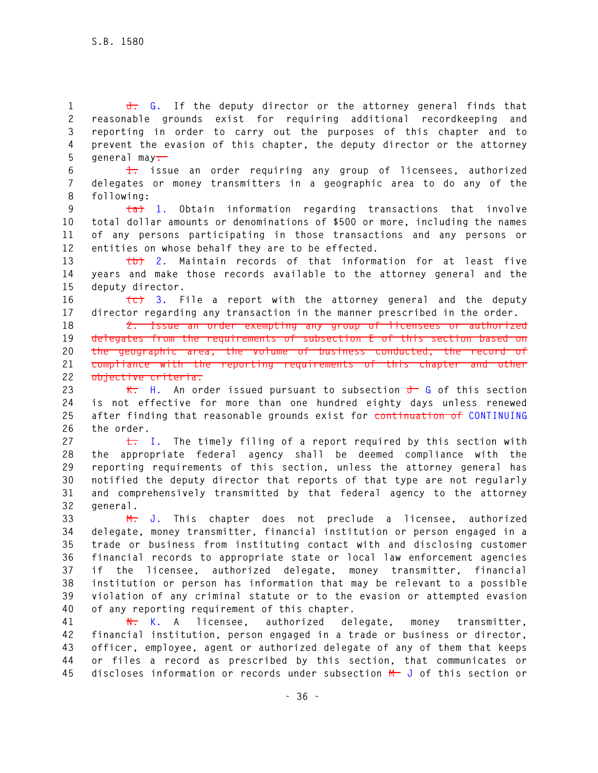**1 J. G. If the deputy director or the attorney general finds that 2 reasonable grounds exist for requiring additional recordkeeping and 3 reporting in order to carry out the purposes of this chapter and to 4 prevent the evasion of this chapter, the deputy director or the attorney 5 general may:** 

**6 1. issue an order requiring any group of licensees, authorized 7 delegates or money transmitters in a geographic area to do any of the 8 following:** 

**9 (a) 1. Obtain information regarding transactions that involve 10 total dollar amounts or denominations of \$500 or more, including the names 11 of any persons participating in those transactions and any persons or 12 entities on whose behalf they are to be effected.** 

**13 (b) 2. Maintain records of that information for at least five 14 years and make those records available to the attorney general and the 15 deputy director.** 

**16 (c) 3. File a report with the attorney general and the deputy 17 director regarding any transaction in the manner prescribed in the order.** 

**18 2. Issue an order exempting any group of licensees or authorized 19 delegates from the requirements of subsection E of this section based on 20 the geographic area, the volume of business conducted, the record of 21 compliance with the reporting requirements of this chapter and other 22 objective criteria.** 

23 **K.** H. An order issued pursuant to subsection  $\frac{1}{\sqrt{1-\theta}}$  G of this section **24 is not effective for more than one hundred eighty days unless renewed 25 after finding that reasonable grounds exist for continuation of CONTINUING 26 the order.** 

**27 L. I. The timely filing of a report required by this section with 28 the appropriate federal agency shall be deemed compliance with the 29 reporting requirements of this section, unless the attorney general has 30 notified the deputy director that reports of that type are not regularly 31 and comprehensively transmitted by that federal agency to the attorney 32 general.** 

**33 M. J. This chapter does not preclude a licensee, authorized 34 delegate, money transmitter, financial institution or person engaged in a 35 trade or business from instituting contact with and disclosing customer 36 financial records to appropriate state or local law enforcement agencies 37 if the licensee, authorized delegate, money transmitter, financial 38 institution or person has information that may be relevant to a possible 39 violation of any criminal statute or to the evasion or attempted evasion 40 of any reporting requirement of this chapter.** 

**41 N. K. A licensee, authorized delegate, money transmitter, 42 financial institution, person engaged in a trade or business or director, 43 officer, employee, agent or authorized delegate of any of them that keeps 44 or files a record as prescribed by this section, that communicates or 45 discloses information or records under subsection M J of this section or**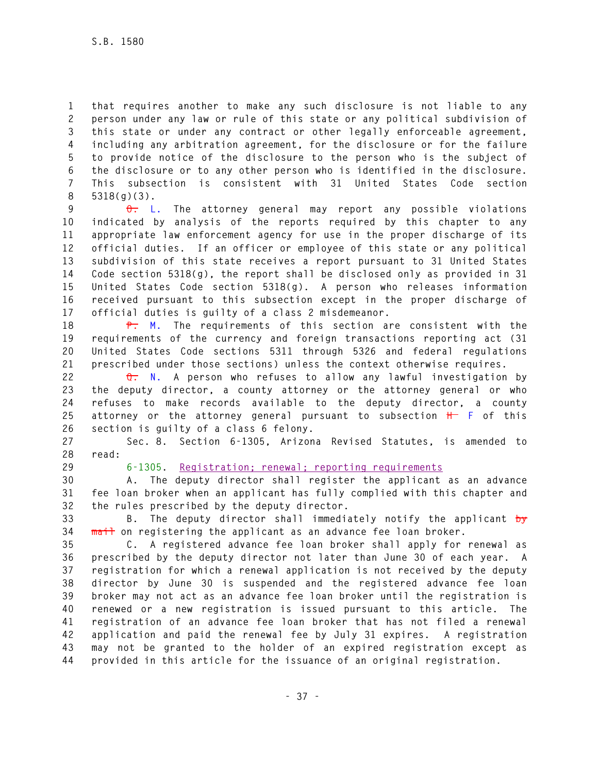**1 that requires another to make any such disclosure is not liable to any 2 person under any law or rule of this state or any political subdivision of 3 this state or under any contract or other legally enforceable agreement, 4 including any arbitration agreement, for the disclosure or for the failure 5 to provide notice of the disclosure to the person who is the subject of 6 the disclosure or to any other person who is identified in the disclosure. 7 This subsection is consistent with 31 United States Code section 8 5318(g)(3).** 

**9 O. L. The attorney general may report any possible violations 10 indicated by analysis of the reports required by this chapter to any 11 appropriate law enforcement agency for use in the proper discharge of its 12 official duties. If an officer or employee of this state or any political 13 subdivision of this state receives a report pursuant to 31 United States 14 Code section 5318(g), the report shall be disclosed only as provided in 31 15 United States Code section 5318(g). A person who releases information 16 received pursuant to this subsection except in the proper discharge of 17 official duties is guilty of a class 2 misdemeanor.** 

**18 P. M. The requirements of this section are consistent with the 19 requirements of the currency and foreign transactions reporting act (31 20 United States Code sections 5311 through 5326 and federal regulations 21 prescribed under those sections) unless the context otherwise requires.** 

**22 Q. N. A person who refuses to allow any lawful investigation by 23 the deputy director, a county attorney or the attorney general or who 24 refuses to make records available to the deputy director, a county 25 attorney or the attorney general pursuant to subsection H F of this 26 section is guilty of a class 6 felony.** 

**27 Sec. 8. Section 6-1305, Arizona Revised Statutes, is amended to 28 read:** 

## **29 6-1305. Registration; renewal; reporting requirements**

**30 A. The deputy director shall register the applicant as an advance 31 fee loan broker when an applicant has fully complied with this chapter and 32 the rules prescribed by the deputy director.** 

**33 B. The deputy director shall immediately notify the applicant by 34 mail on registering the applicant as an advance fee loan broker.** 

**35 C. A registered advance fee loan broker shall apply for renewal as 36 prescribed by the deputy director not later than June 30 of each year. A 37 registration for which a renewal application is not received by the deputy 38 director by June 30 is suspended and the registered advance fee loan 39 broker may not act as an advance fee loan broker until the registration is 40 renewed or a new registration is issued pursuant to this article. The 41 registration of an advance fee loan broker that has not filed a renewal 42 application and paid the renewal fee by July 31 expires. A registration 43 may not be granted to the holder of an expired registration except as 44 provided in this article for the issuance of an original registration.**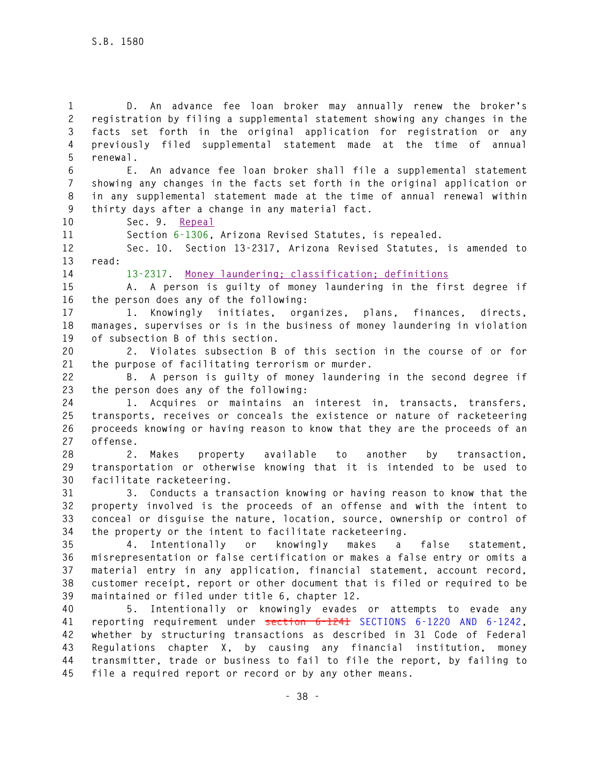**1 D. An advance fee loan broker may annually renew the broker's 2 registration by filing a supplemental statement showing any changes in the 3 facts set forth in the original application for registration or any 4 previously filed supplemental statement made at the time of annual 5 renewal. 6 E. An advance fee loan broker shall file a supplemental statement 7 showing any changes in the facts set forth in the original application or 8 in any supplemental statement made at the time of annual renewal within 9 thirty days after a change in any material fact. 10 Sec. 9. Repeal 11 Section 6-1306, Arizona Revised Statutes, is repealed. 12 Sec. 10. Section 13-2317, Arizona Revised Statutes, is amended to 13 read: 14 13-2317. Money laundering; classification; definitions 15 A. A person is guilty of money laundering in the first degree if 16 the person does any of the following: 17 1. Knowingly initiates, organizes, plans, finances, directs, 18 manages, supervises or is in the business of money laundering in violation 19 of subsection B of this section. 20 2. Violates subsection B of this section in the course of or for 21 the purpose of facilitating terrorism or murder. 22 B. A person is guilty of money laundering in the second degree if 23 the person does any of the following: 24 1. Acquires or maintains an interest in, transacts, transfers, 25 transports, receives or conceals the existence or nature of racketeering 26 proceeds knowing or having reason to know that they are the proceeds of an 27 offense. 28 2. Makes property available to another by transaction, 29 transportation or otherwise knowing that it is intended to be used to 30 facilitate racketeering. 31 3. Conducts a transaction knowing or having reason to know that the 32 property involved is the proceeds of an offense and with the intent to 33 conceal or disguise the nature, location, source, ownership or control of 34 the property or the intent to facilitate racketeering. 35 4. Intentionally or knowingly makes a false statement, 36 misrepresentation or false certification or makes a false entry or omits a 37 material entry in any application, financial statement, account record, 38 customer receipt, report or other document that is filed or required to be 39 maintained or filed under title 6, chapter 12. 40 5. Intentionally or knowingly evades or attempts to evade any 41 reporting requirement under section 6-1241 SECTIONS 6-1220 AND 6-1242, 42 whether by structuring transactions as described in 31 Code of Federal 43 Regulations chapter X, by causing any financial institution, money 44 transmitter, trade or business to fail to file the report, by failing to 45 file a required report or record or by any other means.**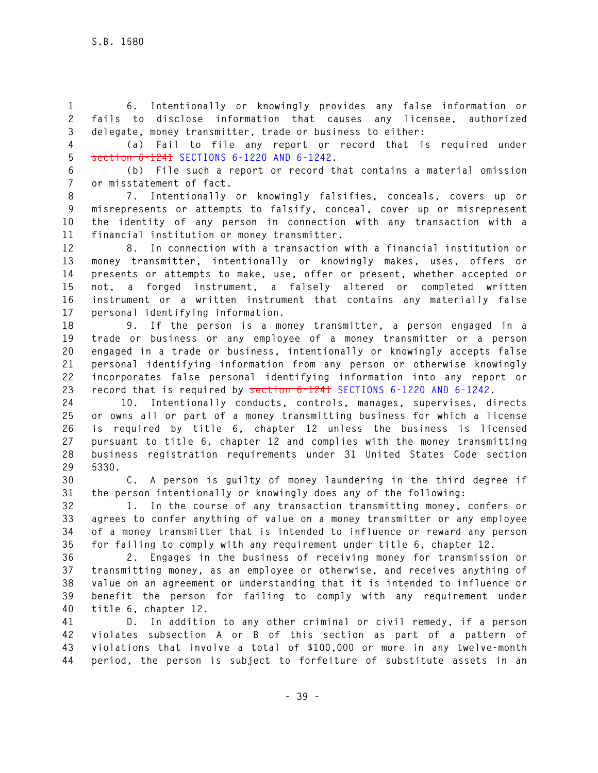**1 6. Intentionally or knowingly provides any false information or 2 fails to disclose information that causes any licensee, authorized 3 delegate, money transmitter, trade or business to either:** 

**4 (a) Fail to file any report or record that is required under 5 section 6-1241 SECTIONS 6-1220 AND 6-1242.** 

**6 (b) File such a report or record that contains a material omission 7 or misstatement of fact.** 

**8 7. Intentionally or knowingly falsifies, conceals, covers up or 9 misrepresents or attempts to falsify, conceal, cover up or misrepresent 10 the identity of any person in connection with any transaction with a 11 financial institution or money transmitter.** 

**12 8. In connection with a transaction with a financial institution or 13 money transmitter, intentionally or knowingly makes, uses, offers or 14 presents or attempts to make, use, offer or present, whether accepted or 15 not, a forged instrument, a falsely altered or completed written 16 instrument or a written instrument that contains any materially false 17 personal identifying information.** 

**18 9. If the person is a money transmitter, a person engaged in a 19 trade or business or any employee of a money transmitter or a person 20 engaged in a trade or business, intentionally or knowingly accepts false 21 personal identifying information from any person or otherwise knowingly 22 incorporates false personal identifying information into any report or 23 record that is required by section 6-1241 SECTIONS 6-1220 AND 6-1242.** 

**24 10. Intentionally conducts, controls, manages, supervises, directs 25 or owns all or part of a money transmitting business for which a license 26 is required by title 6, chapter 12 unless the business is licensed 27 pursuant to title 6, chapter 12 and complies with the money transmitting 28 business registration requirements under 31 United States Code section 29 5330.** 

**30 C. A person is guilty of money laundering in the third degree if 31 the person intentionally or knowingly does any of the following:** 

**32 1. In the course of any transaction transmitting money, confers or 33 agrees to confer anything of value on a money transmitter or any employee 34 of a money transmitter that is intended to influence or reward any person 35 for failing to comply with any requirement under title 6, chapter 12.** 

**36 2. Engages in the business of receiving money for transmission or 37 transmitting money, as an employee or otherwise, and receives anything of 38 value on an agreement or understanding that it is intended to influence or 39 benefit the person for failing to comply with any requirement under 40 title 6, chapter 12.** 

**41 D. In addition to any other criminal or civil remedy, if a person 42 violates subsection A or B of this section as part of a pattern of 43 violations that involve a total of \$100,000 or more in any twelve-month 44 period, the person is subject to forfeiture of substitute assets in an**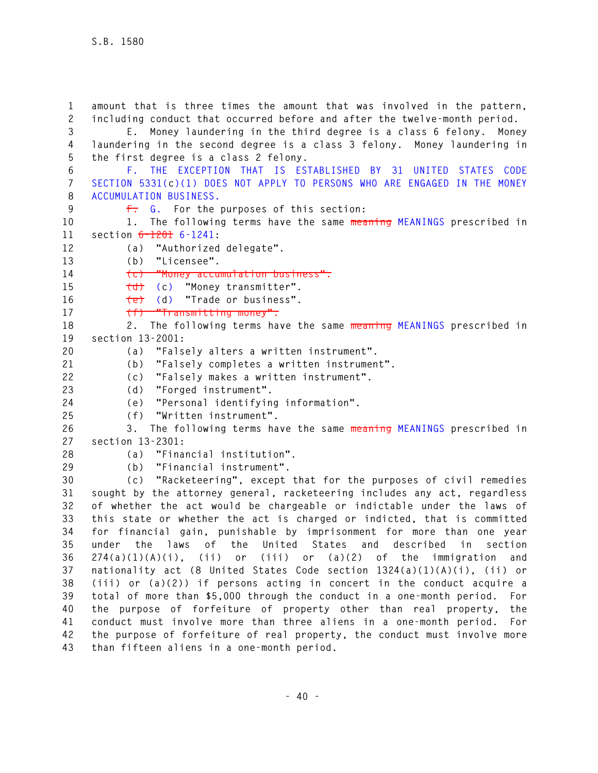**1 amount that is three times the amount that was involved in the pattern, 2 including conduct that occurred before and after the twelve-month period. 3 E. Money laundering in the third degree is a class 6 felony. Money 4 laundering in the second degree is a class 3 felony. Money laundering in 5 the first degree is a class 2 felony. 6 F. THE EXCEPTION THAT IS ESTABLISHED BY 31 UNITED STATES CODE 7 SECTION 5331(c)(1) DOES NOT APPLY TO PERSONS WHO ARE ENGAGED IN THE MONEY 8 ACCUMULATION BUSINESS. 9 F. G. For the purposes of this section: 10 1. The following terms have the same meaning MEANINGS prescribed in 11 section 6-1201 6-1241: 12 (a) "Authorized delegate". 13 (b) "Licensee". 14 (c) "Money accumulation business". 15 (d) (c) "Money transmitter". 16 (e) (d) "Trade or business". 17 (f) "Transmitting money". 18 2. The following terms have the same meaning MEANINGS prescribed in 19 section 13-2001: 20 (a) "Falsely alters a written instrument". 21 (b) "Falsely completes a written instrument". 22 (c) "Falsely makes a written instrument". 23 (d) "Forged instrument". 24 (e) "Personal identifying information". 25 (f) "Written instrument". 26 3. The following terms have the same meaning MEANINGS prescribed in 27 section 13-2301: 28 (a) "Financial institution". 29 (b) "Financial instrument". 30 (c) "Racketeering", except that for the purposes of civil remedies 31 sought by the attorney general, racketeering includes any act, regardless 32 of whether the act would be chargeable or indictable under the laws of 33 this state or whether the act is charged or indicted, that is committed 34 for financial gain, punishable by imprisonment for more than one year 35 under the laws of the United States and described in section 36 274(a)(1)(A)(i), (ii) or (iii) or (a)(2) of the immigration and 37 nationality act (8 United States Code section 1324(a)(1)(A)(i), (ii) or 38 (iii) or (a)(2)) if persons acting in concert in the conduct acquire a 39 total of more than \$5,000 through the conduct in a one-month period. For 40 the purpose of forfeiture of property other than real property, the 41 conduct must involve more than three aliens in a one-month period. For 42 the purpose of forfeiture of real property, the conduct must involve more 43 than fifteen aliens in a one-month period.**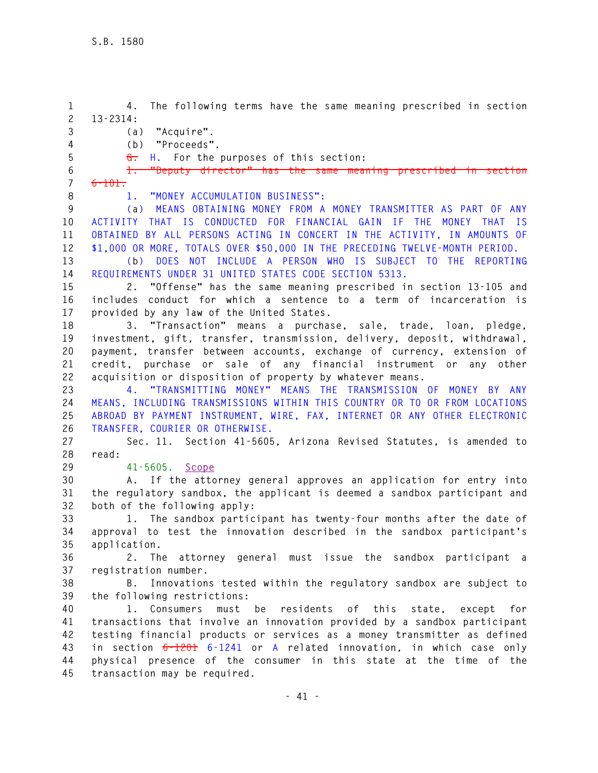**1 4. The following terms have the same meaning prescribed in section 2 13-2314: 3 (a) "Acquire". 4 (b) "Proceeds". 5 G. H. For the purposes of this section: 6 1. "Deputy director" has the same meaning prescribed in section 7 6-101. 8 1. "MONEY ACCUMULATION BUSINESS": 9 (a) MEANS OBTAINING MONEY FROM A MONEY TRANSMITTER AS PART OF ANY 10 ACTIVITY THAT IS CONDUCTED FOR FINANCIAL GAIN IF THE MONEY THAT IS 11 OBTAINED BY ALL PERSONS ACTING IN CONCERT IN THE ACTIVITY, IN AMOUNTS OF 12 \$1,000 OR MORE, TOTALS OVER \$50,000 IN THE PRECEDING TWELVE-MONTH PERIOD. 13 (b) DOES NOT INCLUDE A PERSON WHO IS SUBJECT TO THE REPORTING 14 REQUIREMENTS UNDER 31 UNITED STATES CODE SECTION 5313. 15 2. "Offense" has the same meaning prescribed in section 13-105 and 16 includes conduct for which a sentence to a term of incarceration is 17 provided by any law of the United States. 18 3. "Transaction" means a purchase, sale, trade, loan, pledge, 19 investment, gift, transfer, transmission, delivery, deposit, withdrawal, 20 payment, transfer between accounts, exchange of currency, extension of 21 credit, purchase or sale of any financial instrument or any other 22 acquisition or disposition of property by whatever means. 23 4. "TRANSMITTING MONEY" MEANS THE TRANSMISSION OF MONEY BY ANY 24 MEANS, INCLUDING TRANSMISSIONS WITHIN THIS COUNTRY OR TO OR FROM LOCATIONS 25 ABROAD BY PAYMENT INSTRUMENT, WIRE, FAX, INTERNET OR ANY OTHER ELECTRONIC 26 TRANSFER, COURIER OR OTHERWISE. 27 Sec. 11. Section 41-5605, Arizona Revised Statutes, is amended to 28 read: 29 41-5605. Scope 30 A. If the attorney general approves an application for entry into 31 the regulatory sandbox, the applicant is deemed a sandbox participant and 32 both of the following apply: 33 1. The sandbox participant has twenty-four months after the date of 34 approval to test the innovation described in the sandbox participant's 35 application. 36 2. The attorney general must issue the sandbox participant a 37 registration number. 38 B. Innovations tested within the regulatory sandbox are subject to 39 the following restrictions: 40 1. Consumers must be residents of this state, except for 41 transactions that involve an innovation provided by a sandbox participant 42 testing financial products or services as a money transmitter as defined 43 in section 6-1201 6-1241 or A related innovation, in which case only 44 physical presence of the consumer in this state at the time of the 45 transaction may be required.**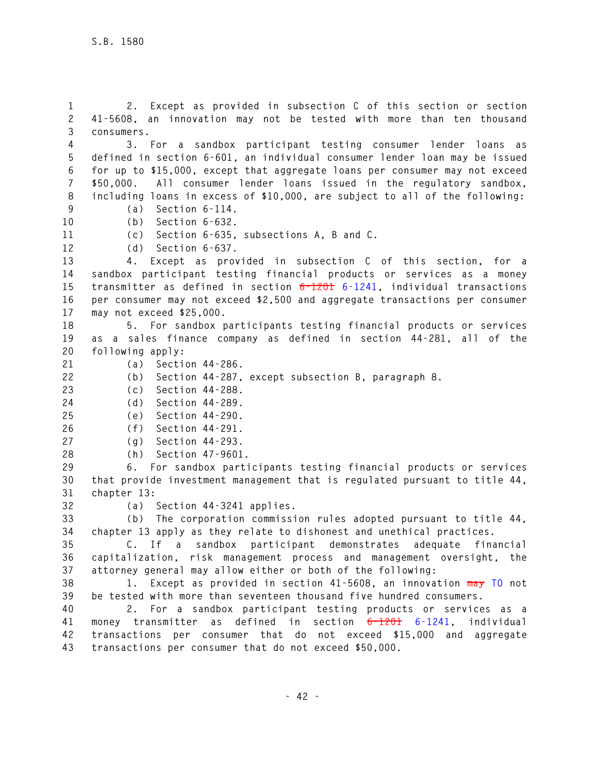**1 2. Except as provided in subsection C of this section or section 2 41-5608, an innovation may not be tested with more than ten thousand 3 consumers.** 

**4 3. For a sandbox participant testing consumer lender loans as 5 defined in section 6-601, an individual consumer lender loan may be issued 6 for up to \$15,000, except that aggregate loans per consumer may not exceed 7 \$50,000. All consumer lender loans issued in the regulatory sandbox, 8 including loans in excess of \$10,000, are subject to all of the following:** 

**9 (a) Section 6-114. 10 (b) Section 6-632.** 

**11 (c) Section 6-635, subsections A, B and C.** 

**12 (d) Section 6-637.** 

**13 4. Except as provided in subsection C of this section, for a 14 sandbox participant testing financial products or services as a money 15 transmitter as defined in section 6-1201 6-1241, individual transactions 16 per consumer may not exceed \$2,500 and aggregate transactions per consumer 17 may not exceed \$25,000.** 

**18 5. For sandbox participants testing financial products or services 19 as a sales finance company as defined in section 44-281, all of the 20 following apply:** 

- **21 (a) Section 44-286.**
- **22 (b) Section 44-287, except subsection B, paragraph 8.**
- **23 (c) Section 44-288.**
- **24 (d) Section 44-289.**

**25 (e) Section 44-290.** 

- **26 (f) Section 44-291.**
- **27 (g) Section 44-293.**
- **28 (h) Section 47-9601.**

**29 6. For sandbox participants testing financial products or services 30 that provide investment management that is regulated pursuant to title 44, 31 chapter 13:** 

**32 (a) Section 44-3241 applies.** 

**33 (b) The corporation commission rules adopted pursuant to title 44, 34 chapter 13 apply as they relate to dishonest and unethical practices.** 

**35 C. If a sandbox participant demonstrates adequate financial 36 capitalization, risk management process and management oversight, the 37 attorney general may allow either or both of the following:** 

**38 1. Except as provided in section 41-5608, an innovation may TO not 39 be tested with more than seventeen thousand five hundred consumers.** 

**40 2. For a sandbox participant testing products or services as a 41 money transmitter as defined in section 6-1201 6-1241, individual 42 transactions per consumer that do not exceed \$15,000 and aggregate 43 transactions per consumer that do not exceed \$50,000.**